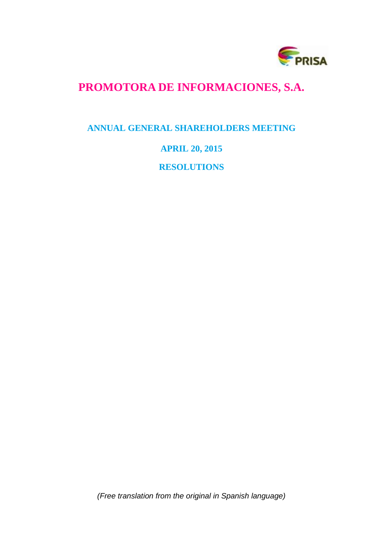

# **PROMOTORA DE INFORMACIONES, S.A.**

# **ANNUAL GENERAL SHAREHOLDERS MEETING**

# **APRIL 20, 2015**

**RESOLUTIONS**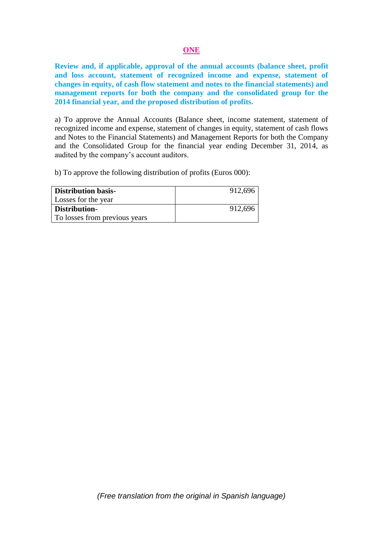### **ONE**

**Review and, if applicable, approval of the annual accounts (balance sheet, profit and loss account, statement of recognized income and expense, statement of changes in equity, of cash flow statement and notes to the financial statements) and management reports for both the company and the consolidated group for the 2014 financial year, and the proposed distribution of profits.**

a) To approve the Annual Accounts (Balance sheet, income statement, statement of recognized income and expense, statement of changes in equity, statement of cash flows and Notes to the Financial Statements) and Management Reports for both the Company and the Consolidated Group for the financial year ending December 31, 2014, as audited by the company's account auditors.

b) To approve the following distribution of profits (Euros 000):

| <b>Distribution basis-</b>    | 912,696 |
|-------------------------------|---------|
| Losses for the year           |         |
| Distribution-                 | 912,696 |
| To losses from previous years |         |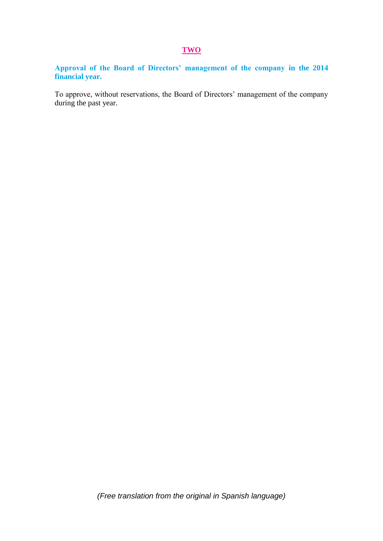# **TWO**

**Approval of the Board of Directors' management of the company in the 2014 financial year.**

To approve, without reservations, the Board of Directors' management of the company during the past year.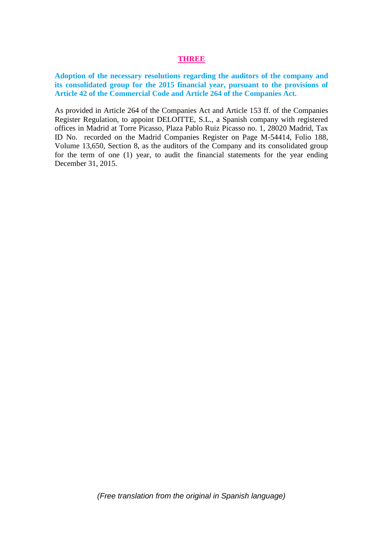### **THREE**

**Adoption of the necessary resolutions regarding the auditors of the company and its consolidated group for the 2015 financial year, pursuant to the provisions of Article 42 of the Commercial Code and Article 264 of the Companies Act.**

As provided in Article 264 of the Companies Act and Article 153 ff. of the Companies Register Regulation, to appoint DELOITTE, S.L., a Spanish company with registered offices in Madrid at Torre Picasso, Plaza Pablo Ruiz Picasso no. 1, 28020 Madrid, Tax ID No. recorded on the Madrid Companies Register on Page M-54414, Folio 188, Volume 13,650, Section 8, as the auditors of the Company and its consolidated group for the term of one (1) year, to audit the financial statements for the year ending December 31, 2015.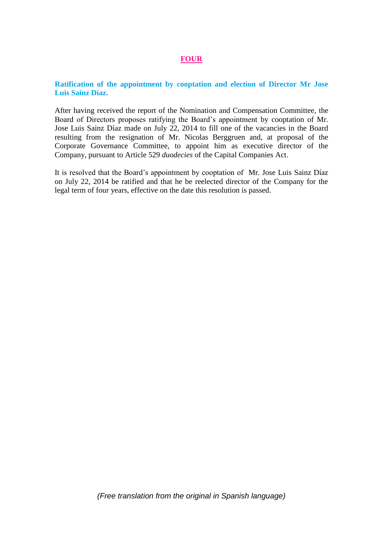# **FOUR**

# **Ratification of the appointment by cooptation and election of Director Mr Jose Luis Sainz Díaz.**

After having received the report of the Nomination and Compensation Committee, the Board of Directors proposes ratifying the Board's appointment by cooptation of Mr. Jose Luis Sainz Díaz made on July 22, 2014 to fill one of the vacancies in the Board resulting from the resignation of Mr. Nicolas Berggruen and, at proposal of the Corporate Governance Committee, to appoint him as executive director of the Company, pursuant to Article 529 *duodecies* of the Capital Companies Act.

It is resolved that the Board's appointment by cooptation of Mr. Jose Luis Sainz Díaz on July 22, 2014 be ratified and that he be reelected director of the Company for the legal term of four years, effective on the date this resolution is passed.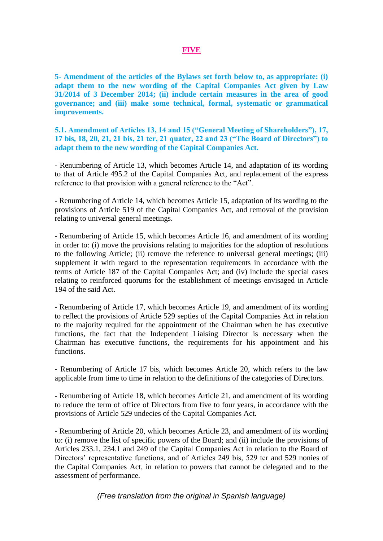# **FIVE**

**5- Amendment of the articles of the Bylaws set forth below to, as appropriate: (i) adapt them to the new wording of the Capital Companies Act given by Law 31/2014 of 3 December 2014; (ii) include certain measures in the area of good governance; and (iii) make some technical, formal, systematic or grammatical improvements.**

**5.1. Amendment of Articles 13, 14 and 15 ("General Meeting of Shareholders"), 17, 17 bis, 18, 20, 21, 21 bis, 21 ter, 21 quater, 22 and 23 ("The Board of Directors") to adapt them to the new wording of the Capital Companies Act.** 

- Renumbering of Article 13, which becomes Article 14, and adaptation of its wording to that of Article 495.2 of the Capital Companies Act, and replacement of the express reference to that provision with a general reference to the "Act".

- Renumbering of Article 14, which becomes Article 15, adaptation of its wording to the provisions of Article 519 of the Capital Companies Act, and removal of the provision relating to universal general meetings.

- Renumbering of Article 15, which becomes Article 16, and amendment of its wording in order to: (i) move the provisions relating to majorities for the adoption of resolutions to the following Article; (ii) remove the reference to universal general meetings; (iii) supplement it with regard to the representation requirements in accordance with the terms of Article 187 of the Capital Companies Act; and (iv) include the special cases relating to reinforced quorums for the establishment of meetings envisaged in Article 194 of the said Act.

- Renumbering of Article 17, which becomes Article 19, and amendment of its wording to reflect the provisions of Article 529 septies of the Capital Companies Act in relation to the majority required for the appointment of the Chairman when he has executive functions, the fact that the Independent Liaising Director is necessary when the Chairman has executive functions, the requirements for his appointment and his functions.

- Renumbering of Article 17 bis, which becomes Article 20, which refers to the law applicable from time to time in relation to the definitions of the categories of Directors.

- Renumbering of Article 18, which becomes Article 21, and amendment of its wording to reduce the term of office of Directors from five to four years, in accordance with the provisions of Article 529 undecies of the Capital Companies Act.

- Renumbering of Article 20, which becomes Article 23, and amendment of its wording to: (i) remove the list of specific powers of the Board; and (ii) include the provisions of Articles 233.1, 234.1 and 249 of the Capital Companies Act in relation to the Board of Directors' representative functions, and of Articles 249 bis, 529 ter and 529 nonies of the Capital Companies Act, in relation to powers that cannot be delegated and to the assessment of performance.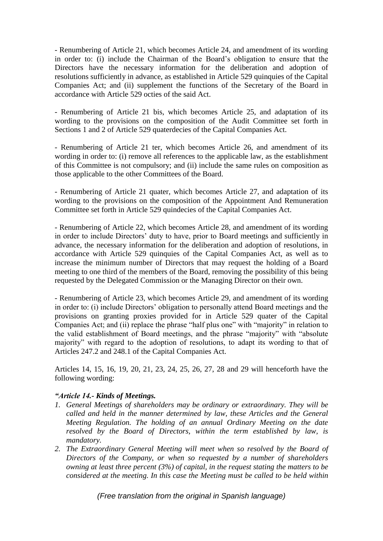- Renumbering of Article 21, which becomes Article 24, and amendment of its wording in order to: (i) include the Chairman of the Board's obligation to ensure that the Directors have the necessary information for the deliberation and adoption of resolutions sufficiently in advance, as established in Article 529 quinquies of the Capital Companies Act; and (ii) supplement the functions of the Secretary of the Board in accordance with Article 529 octies of the said Act.

- Renumbering of Article 21 bis, which becomes Article 25, and adaptation of its wording to the provisions on the composition of the Audit Committee set forth in Sections 1 and 2 of Article 529 quaterdecies of the Capital Companies Act.

- Renumbering of Article 21 ter, which becomes Article 26, and amendment of its wording in order to: (i) remove all references to the applicable law, as the establishment of this Committee is not compulsory; and (ii) include the same rules on composition as those applicable to the other Committees of the Board.

- Renumbering of Article 21 quater, which becomes Article 27, and adaptation of its wording to the provisions on the composition of the Appointment And Remuneration Committee set forth in Article 529 quindecies of the Capital Companies Act.

- Renumbering of Article 22, which becomes Article 28, and amendment of its wording in order to include Directors' duty to have, prior to Board meetings and sufficiently in advance, the necessary information for the deliberation and adoption of resolutions, in accordance with Article 529 quinquies of the Capital Companies Act, as well as to increase the minimum number of Directors that may request the holding of a Board meeting to one third of the members of the Board, removing the possibility of this being requested by the Delegated Commission or the Managing Director on their own.

- Renumbering of Article 23, which becomes Article 29, and amendment of its wording in order to: (i) include Directors' obligation to personally attend Board meetings and the provisions on granting proxies provided for in Article 529 quater of the Capital Companies Act; and (ii) replace the phrase "half plus one" with "majority" in relation to the valid establishment of Board meetings, and the phrase "majority" with "absolute majority" with regard to the adoption of resolutions, to adapt its wording to that of Articles 247.2 and 248.1 of the Capital Companies Act.

Articles 14, 15, 16, 19, 20, 21, 23, 24, 25, 26, 27, 28 and 29 will henceforth have the following wording:

# *"Article 14.- Kinds of Meetings.*

- *1. General Meetings of shareholders may be ordinary or extraordinary. They will be called and held in the manner determined by law, these Articles and the General Meeting Regulation. The holding of an annual Ordinary Meeting on the date resolved by the Board of Directors, within the term established by law, is mandatory.*
- *2. The Extraordinary General Meeting will meet when so resolved by the Board of Directors of the Company, or when so requested by a number of shareholders owning at least three percent (3%) of capital, in the request stating the matters to be considered at the meeting. In this case the Meeting must be called to be held within*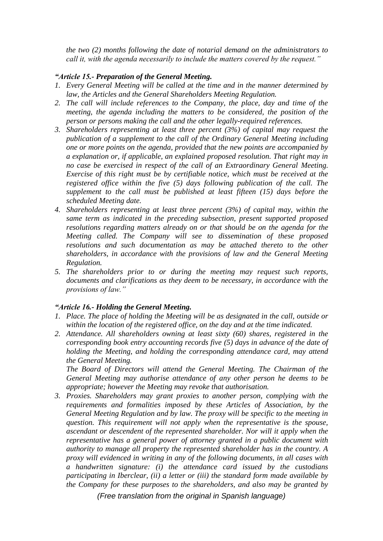*the two (2) months following the date of notarial demand on the administrators to call it, with the agenda necessarily to include the matters covered by the request."*

# *"Article 15.- Preparation of the General Meeting.*

- *1. Every General Meeting will be called at the time and in the manner determined by law, the Articles and the General Shareholders Meeting Regulation.*
- *2. The call will include references to the Company, the place, day and time of the meeting, the agenda including the matters to be considered, the position of the person or persons making the call and the other legally-required references.*
- *3. Shareholders representing at least three percent (3%) of capital may request the publication of a supplement to the call of the Ordinary General Meeting including one or more points on the agenda, provided that the new points are accompanied by a explanation or, if applicable, an explained proposed resolution. That right may in no case be exercised in respect of the call of an Extraordinary General Meeting. Exercise of this right must be by certifiable notice, which must be received at the registered office within the five (5) days following publication of the call. The supplement to the call must be published at least fifteen (15) days before the scheduled Meeting date.*
- *4. Shareholders representing at least three percent (3%) of capital may, within the same term as indicated in the preceding subsection, present supported proposed resolutions regarding matters already on or that should be on the agenda for the Meeting called. The Company will see to dissemination of these proposed resolutions and such documentation as may be attached thereto to the other shareholders, in accordance with the provisions of law and the General Meeting Regulation.*
- *5. The shareholders prior to or during the meeting may request such reports, documents and clarifications as they deem to be necessary, in accordance with the provisions of law."*

# *"Article 16.- Holding the General Meeting.*

- *1. Place. The place of holding the Meeting will be as designated in the call, outside or within the location of the registered office, on the day and at the time indicated.*
- *2. Attendance. All shareholders owning at least sixty (60) shares, registered in the corresponding book entry accounting records five (5) days in advance of the date of holding the Meeting, and holding the corresponding attendance card, may attend the General Meeting.*

*The Board of Directors will attend the General Meeting. The Chairman of the General Meeting may authorise attendance of any other person he deems to be appropriate; however the Meeting may revoke that authorisation.* 

*3. Proxies. Shareholders may grant proxies to another person, complying with the requirements and formalities imposed by these Articles of Association, by the General Meeting Regulation and by law. The proxy will be specific to the meeting in question. This requirement will not apply when the representative is the spouse, ascendant or descendent of the represented shareholder. Nor will it apply when the representative has a general power of attorney granted in a public document with authority to manage all property the represented shareholder has in the country. A proxy will evidenced in writing in any of the following documents, in all cases with a handwritten signature: (i) the attendance card issued by the custodians participating in Iberclear, (ii) a letter or (iii) the standard form made available by the Company for these purposes to the shareholders, and also may be granted by*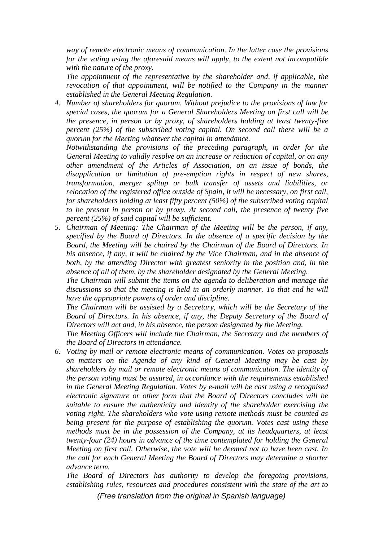*way of remote electronic means of communication. In the latter case the provisions for the voting using the aforesaid means will apply, to the extent not incompatible with the nature of the proxy.*

*The appointment of the representative by the shareholder and, if applicable, the revocation of that appointment, will be notified to the Company in the manner established in the General Meeting Regulation.* 

*4. Number of shareholders for quorum. Without prejudice to the provisions of law for special cases, the quorum for a General Shareholders Meeting on first call will be the presence, in person or by proxy, of shareholders holding at least twenty-five percent (25%) of the subscribed voting capital. On second call there will be a quorum for the Meeting whatever the capital in attendance.*

*Notwithstanding the provisions of the preceding paragraph, in order for the General Meeting to validly resolve on an increase or reduction of capital, or on any other amendment of the Articles of Association, on an issue of bonds, the disapplication or limitation of pre-emption rights in respect of new shares, transformation, merger splitup or bulk transfer of assets and liabilities, or relocation of the registered office outside of Spain, it will be necessary, on first call, for shareholders holding at least fifty percent (50%) of the subscribed voting capital to be present in person or by proxy. At second call, the presence of twenty five percent (25%) of said capital will be sufficient.*

*5. Chairman of Meeting: The Chairman of the Meeting will be the person, if any, specified by the Board of Directors. In the absence of a specific decision by the Board, the Meeting will be chaired by the Chairman of the Board of Directors. In his absence, if any, it will be chaired by the Vice Chairman, and in the absence of*  both, by the attending Director with greatest seniority in the position and, in the *absence of all of them, by the shareholder designated by the General Meeting.* 

*The Chairman will submit the items on the agenda to deliberation and manage the discussions so that the meeting is held in an orderly manner. To that end he will have the appropriate powers of order and discipline.* 

*The Chairman will be assisted by a Secretary, which will be the Secretary of the Board of Directors. In his absence, if any, the Deputy Secretary of the Board of Directors will act and, in his absence, the person designated by the Meeting.*

*The Meeting Officers will include the Chairman, the Secretary and the members of the Board of Directors in attendance.*

*6. Voting by mail or remote electronic means of communication. Votes on proposals on matters on the Agenda of any kind of General Meeting may be cast by shareholders by mail or remote electronic means of communication. The identity of the person voting must be assured, in accordance with the requirements established in the General Meeting Regulation. Votes by e-mail will be cast using a recognised electronic signature or other form that the Board of Directors concludes will be suitable to ensure the authenticity and identity of the shareholder exercising the voting right. The shareholders who vote using remote methods must be counted as being present for the purpose of establishing the quorum. Votes cast using these methods must be in the possession of the Company, at its headquarters, at least twenty-four (24) hours in advance of the time contemplated for holding the General Meeting on first call. Otherwise, the vote will be deemed not to have been cast. In the call for each General Meeting the Board of Directors may determine a shorter advance term.*

*The Board of Directors has authority to develop the foregoing provisions, establishing rules, resources and procedures consistent with the state of the art to*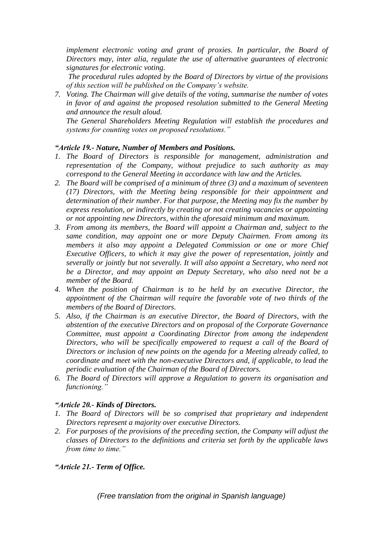*implement electronic voting and grant of proxies. In particular, the Board of Directors may, inter alia, regulate the use of alternative guarantees of electronic signatures for electronic voting.*

*The procedural rules adopted by the Board of Directors by virtue of the provisions of this section will be published on the Company's website.*

*7. Voting. The Chairman will give details of the voting, summarise the number of votes in favor of and against the proposed resolution submitted to the General Meeting and announce the result aloud.*

*The General Shareholders Meeting Regulation will establish the procedures and systems for counting votes on proposed resolutions."* 

# *"Article 19.- Nature, Number of Members and Positions.*

- *1. The Board of Directors is responsible for management, administration and representation of the Company, without prejudice to such authority as may correspond to the General Meeting in accordance with law and the Articles.*
- *2. The Board will be comprised of a minimum of three (3) and a maximum of seventeen (17) Directors, with the Meeting being responsible for their appointment and determination of their number. For that purpose, the Meeting may fix the number by express resolution, or indirectly by creating or not creating vacancies or appointing or not appointing new Directors, within the aforesaid minimum and maximum.*
- *3. From among its members, the Board will appoint a Chairman and, subject to the same condition, may appoint one or more Deputy Chairmen. From among its members it also may appoint a Delegated Commission or one or more Chief Executive Officers, to which it may give the power of representation, jointly and severally or jointly but not severally. It will also appoint a Secretary, who need not be a Director, and may appoint an Deputy Secretary, who also need not be a member of the Board.*
- *4. When the position of Chairman is to be held by an executive Director, the appointment of the Chairman will require the favorable vote of two thirds of the members of the Board of Directors.*
- *5. Also, if the Chairman is an executive Director, the Board of Directors, with the abstention of the executive Directors and on proposal of the Corporate Governance Committee, must appoint a Coordinating Director from among the independent Directors, who will be specifically empowered to request a call of the Board of Directors or inclusion of new points on the agenda for a Meeting already called, to coordinate and meet with the non-executive Directors and, if applicable, to lead the periodic evaluation of the Chairman of the Board of Directors.*
- *6. The Board of Directors will approve a Regulation to govern its organisation and functioning."*

# *"Article 20.- Kinds of Directors.*

- *1. The Board of Directors will be so comprised that proprietary and independent Directors represent a majority over executive Directors.*
- *2. For purposes of the provisions of the preceding section, the Company will adjust the classes of Directors to the definitions and criteria set forth by the applicable laws from time to time."*

# *"Article 21.- Term of Office.*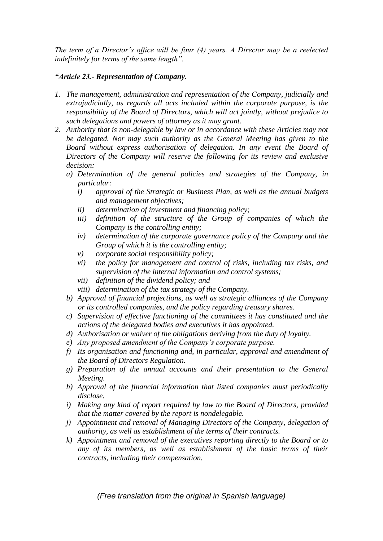*The term of a Director's office will be four (4) years. A Director may be a reelected indefinitely for terms of the same length".*

# *"Article 23.- Representation of Company.*

- *1. The management, administration and representation of the Company, judicially and extrajudicially, as regards all acts included within the corporate purpose, is the responsibility of the Board of Directors, which will act jointly, without prejudice to such delegations and powers of attorney as it may grant.*
- *2. Authority that is non-delegable by law or in accordance with these Articles may not be delegated. Nor may such authority as the General Meeting has given to the Board without express authorisation of delegation. In any event the Board of Directors of the Company will reserve the following for its review and exclusive decision:* 
	- *a) Determination of the general policies and strategies of the Company, in particular:*
		- *i) approval of the Strategic or Business Plan, as well as the annual budgets and management objectives;*
		- *ii) determination of investment and financing policy;*
		- iii) definition of the structure of the Group of companies of which the *Company is the controlling entity;*
		- *iv) determination of the corporate governance policy of the Company and the Group of which it is the controlling entity;*
		- *v) corporate social responsibility policy;*
		- *vi) the policy for management and control of risks, including tax risks, and supervision of the internal information and control systems;*
		- *vii) definition of the dividend policy; and*
		- *viii) determination of the tax strategy of the Company.*
	- *b) Approval of financial projections, as well as strategic alliances of the Company or its controlled companies, and the policy regarding treasury shares.*
	- *c) Supervision of effective functioning of the committees it has constituted and the actions of the delegated bodies and executives it has appointed.*
	- *d) Authorisation or waiver of the obligations deriving from the duty of loyalty.*
	- *e) Any proposed amendment of the Company's corporate purpose.*
	- *f) Its organisation and functioning and, in particular, approval and amendment of the Board of Directors Regulation.*
	- *g) Preparation of the annual accounts and their presentation to the General Meeting.*
	- *h) Approval of the financial information that listed companies must periodically disclose.*
	- *i) Making any kind of report required by law to the Board of Directors, provided that the matter covered by the report is nondelegable.*
	- *j) Appointment and removal of Managing Directors of the Company, delegation of authority, as well as establishment of the terms of their contracts.*
	- *k) Appointment and removal of the executives reporting directly to the Board or to any of its members, as well as establishment of the basic terms of their contracts, including their compensation.*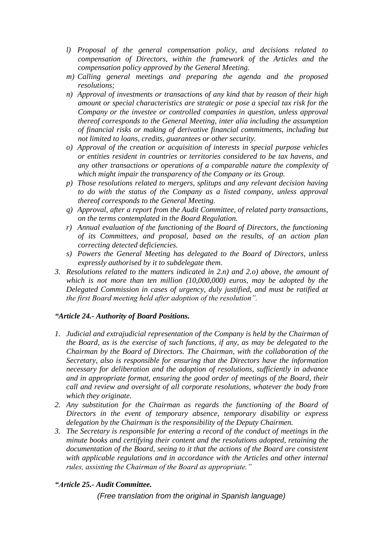- *l) Proposal of the general compensation policy, and decisions related to compensation of Directors, within the framework of the Articles and the compensation policy approved by the General Meeting.*
- *m) Calling general meetings and preparing the agenda and the proposed resolutions;*
- *n) Approval of investments or transactions of any kind that by reason of their high amount or special characteristics are strategic or pose a special tax risk for the Company or the investee or controlled companies in question, unless approval thereof corresponds to the General Meeting, inter alia including the assumption of financial risks or making of derivative financial commitments, including but not limited to loans, credits, guarantees or other security.*
- *o) Approval of the creation or acquisition of interests in special purpose vehicles or entities resident in countries or territories considered to be tax havens, and any other transactions or operations of a comparable nature the complexity of which might impair the transparency of the Company or its Group.*
- *p) Those resolutions related to mergers, splitups and any relevant decision having to do with the status of the Company as a listed company, unless approval thereof corresponds to the General Meeting.*
- *q) Approval, after a report from the Audit Committee, of related party transactions, on the terms contemplated in the Board Regulation.*
- *r) Annual evaluation of the functioning of the Board of Directors, the functioning of its Committees, and proposal, based on the results, of an action plan correcting detected deficiencies.*
- *s) Powers the General Meeting has delegated to the Board of Directors, unless expressly authorised by it to subdelegate them.*
- *3. Resolutions related to the matters indicated in 2.n) and 2.o) above, the amount of which is not more than ten million (10,000,000) euros, may be adopted by the Delegated Commission in cases of urgency, duly justified, and must be ratified at the first Board meeting held after adoption of the resolution".*

# *"Article 24.- Authority of Board Positions.*

- *1. Judicial and extrajudicial representation of the Company is held by the Chairman of the Board, as is the exercise of such functions, if any, as may be delegated to the Chairman by the Board of Directors. The Chairman, with the collaboration of the Secretary, also is responsible for ensuring that the Directors have the information necessary for deliberation and the adoption of resolutions, sufficiently in advance and in appropriate format, ensuring the good order of meetings of the Board, their call and review and oversight of all corporate resolutions, whatever the body from which they originate.*
- *2. Any substitution for the Chairman as regards the functioning of the Board of Directors in the event of temporary absence, temporary disability or express delegation by the Chairman is the responsibility of the Deputy Chairmen.*
- *3. The Secretary is responsible for entering a record of the conduct of meetings in the minute books and certifying their content and the resolutions adopted, retaining the documentation of the Board, seeing to it that the actions of the Board are consistent with applicable regulations and in accordance with the Articles and other internal rules, assisting the Chairman of the Board as appropriate."*

# *"Article 25.- Audit Committee.*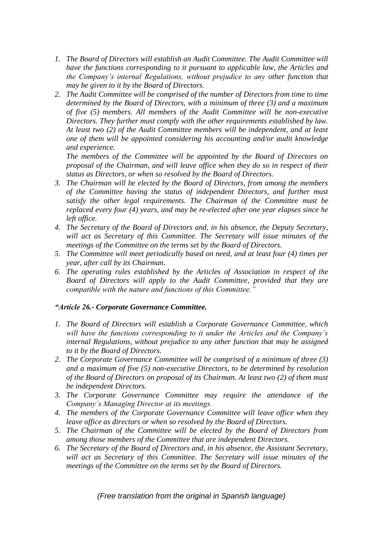- *1. The Board of Directors will establish an Audit Committee. The Audit Committee will have the functions corresponding to it pursuant to applicable law, the Articles and the Company's internal Regulations, without prejudice to any other function that may be given to it by the Board of Directors.*
- *2. The Audit Committee will be comprised of the number of Directors from time to time determined by the Board of Directors, with a minimum of three (3) and a maximum of five (5) members. All members of the Audit Committee will be non-executive Directors. They further must comply with the other requirements established by law. At least two (2) of the Audit Committee members will be independent, and at least one of them will be appointed considering his accounting and/or audit knowledge and experience.*

*The members of the Committee will be appointed by the Board of Directors on proposal of the Chairman, and will leave office when they do so in respect of their status as Directors, or when so resolved by the Board of Directors.*

- *3. The Chairman will be elected by the Board of Directors, from among the members of the Committee having the status of independent Directors, and further must satisfy the other legal requirements. The Chairman of the Committee must be replaced every four (4) years, and may be re-elected after one year elapses since he left office.*
- *4. The Secretary of the Board of Directors and, in his absence, the Deputy Secretary, will act as Secretary of this Committee. The Secretary will issue minutes of the meetings of the Committee on the terms set by the Board of Directors.*
- *5. The Committee will meet periodically based on need, and at least four (4) times per year, after call by its Chairman.*
- *6. The operating rules established by the Articles of Association in respect of the Board of Directors will apply to the Audit Committee, provided that they are compatible with the nature and functions of this Committee."*

# *"Article 26.- Corporate Governance Committee.*

- *1. The Board of Directors will establish a Corporate Governance Committee, which will have the functions corresponding to it under the Articles and the Company's internal Regulations, without prejudice to any other function that may be assigned to it by the Board of Directors.*
- *2. The Corporate Governance Committee will be comprised of a minimum of three (3) and a maximum of five (5) non-executive Directors, to be determined by resolution of the Board of Directors on proposal of its Chairman. At least two (2) of them must be independent Directors.*
- *3. The Corporate Governance Committee may require the attendance of the Company's Managing Director at its meetings.*
- *4. The members of the Corporate Governance Committee will leave office when they leave office as directors or when so resolved by the Board of Directors.*
- *5. The Chairman of the Committee will be elected by the Board of Directors from among those members of the Committee that are independent Directors.*
- *6. The Secretary of the Board of Directors and, in his absence, the Assistant Secretary, will act as Secretary of this Committee. The Secretary will issue minutes of the meetings of the Committee on the terms set by the Board of Directors.*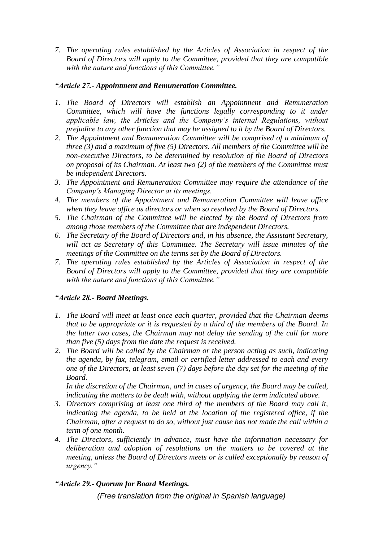*7. The operating rules established by the Articles of Association in respect of the Board of Directors will apply to the Committee, provided that they are compatible with the nature and functions of this Committee."*

# *"Article 27.- Appointment and Remuneration Committee.*

- *1. The Board of Directors will establish an Appointment and Remuneration Committee, which will have the functions legally corresponding to it under applicable law, the Articles and the Company's internal Regulations, without prejudice to any other function that may be assigned to it by the Board of Directors.*
- *2. The Appointment and Remuneration Committee will be comprised of a minimum of three (3) and a maximum of five (5) Directors. All members of the Committee will be non-executive Directors, to be determined by resolution of the Board of Directors on proposal of its Chairman. At least two (2) of the members of the Committee must be independent Directors.*
- *3. The Appointment and Remuneration Committee may require the attendance of the Company's Managing Director at its meetings.*
- *4. The members of the Appointment and Remuneration Committee will leave office when they leave office as directors or when so resolved by the Board of Directors.*
- *5. The Chairman of the Committee will be elected by the Board of Directors from among those members of the Committee that are independent Directors.*
- *6. The Secretary of the Board of Directors and, in his absence, the Assistant Secretary, will act as Secretary of this Committee. The Secretary will issue minutes of the meetings of the Committee on the terms set by the Board of Directors.*
- *7. The operating rules established by the Articles of Association in respect of the Board of Directors will apply to the Committee, provided that they are compatible with the nature and functions of this Committee."*

# *"Article 28.- Board Meetings.*

- *1. The Board will meet at least once each quarter, provided that the Chairman deems that to be appropriate or it is requested by a third of the members of the Board. In the latter two cases, the Chairman may not delay the sending of the call for more than five (5) days from the date the request is received.*
- *2. The Board will be called by the Chairman or the person acting as such, indicating the agenda, by fax, telegram, email or certified letter addressed to each and every one of the Directors, at least seven (7) days before the day set for the meeting of the Board.*

*In the discretion of the Chairman, and in cases of urgency, the Board may be called, indicating the matters to be dealt with, without applying the term indicated above.*

- *3. Directors comprising at least one third of the members of the Board may call it, indicating the agenda, to be held at the location of the registered office, if the Chairman, after a request to do so, without just cause has not made the call within a term of one month.*
- *4. The Directors, sufficiently in advance, must have the information necessary for deliberation and adoption of resolutions on the matters to be covered at the meeting, unless the Board of Directors meets or is called exceptionally by reason of urgency."*

# *"Article 29.- Quorum for Board Meetings.*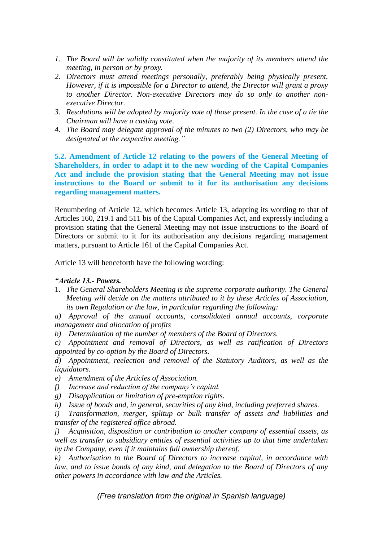- *1. The Board will be validly constituted when the majority of its members attend the meeting, in person or by proxy.*
- *2. Directors must attend meetings personally, preferably being physically present. However, if it is impossible for a Director to attend, the Director will grant a proxy to another Director. Non-executive Directors may do so only to another nonexecutive Director.*
- *3. Resolutions will be adopted by majority vote of those present. In the case of a tie the Chairman will have a casting vote.*
- *4. The Board may delegate approval of the minutes to two (2) Directors, who may be designated at the respective meeting."*

**5.2. Amendment of Article 12 relating to the powers of the General Meeting of Shareholders, in order to adapt it to the new wording of the Capital Companies Act and include the provision stating that the General Meeting may not issue instructions to the Board or submit to it for its authorisation any decisions regarding management matters.**

Renumbering of Article 12, which becomes Article 13, adapting its wording to that of Articles 160, 219.1 and 511 bis of the Capital Companies Act, and expressly including a provision stating that the General Meeting may not issue instructions to the Board of Directors or submit to it for its authorisation any decisions regarding management matters, pursuant to Article 161 of the Capital Companies Act.

Article 13 will henceforth have the following wording:

# *"Article 13.- Powers.*

- 1. *The General Shareholders Meeting is the supreme corporate authority. The General Meeting will decide on the matters attributed to it by these Articles of Association, its own Regulation or the law, in particular regarding the following:*
- *a) Approval of the annual accounts, consolidated annual accounts, corporate management and allocation of profits*
- *b) Determination of the number of members of the Board of Directors.*
- *c) Appointment and removal of Directors, as well as ratification of Directors appointed by co-option by the Board of Directors.*

*d) Appointment, reelection and removal of the Statutory Auditors, as well as the liquidators.*

- *e) Amendment of the Articles of Association.*
- *f) Increase and reduction of the company's capital.*
- *g) Disapplication or limitation of pre-emption rights.*
- *h) Issue of bonds and, in general, securities of any kind, including preferred shares.*
- *i) Transformation, merger, splitup or bulk transfer of assets and liabilities and transfer of the registered office abroad.*

*j) Acquisition, disposition or contribution to another company of essential assets, as well as transfer to subsidiary entities of essential activities up to that time undertaken by the Company, even if it maintains full ownership thereof.*

*k) Authorisation to the Board of Directors to increase capital, in accordance with law, and to issue bonds of any kind, and delegation to the Board of Directors of any other powers in accordance with law and the Articles.*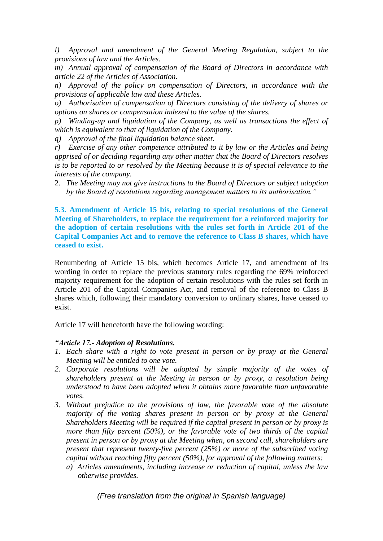*l) Approval and amendment of the General Meeting Regulation, subject to the provisions of law and the Articles.*

*m) Annual approval of compensation of the Board of Directors in accordance with article 22 of the Articles of Association.*

*n) Approval of the policy on compensation of Directors, in accordance with the provisions of applicable law and these Articles.*

*o) Authorisation of compensation of Directors consisting of the delivery of shares or options on shares or compensation indexed to the value of the shares.*

*p) Winding-up and liquidation of the Company, as well as transactions the effect of which is equivalent to that of liquidation of the Company.*

*q) Approval of the final liquidation balance sheet.*

*r) Exercise of any other competence attributed to it by law or the Articles and being apprised of or deciding regarding any other matter that the Board of Directors resolves is to be reported to or resolved by the Meeting because it is of special relevance to the interests of the company.*

2. *The Meeting may not give instructions to the Board of Directors or subject adoption by the Board of resolutions regarding management matters to its authorisation."*

**5.3. Amendment of Article 15 bis, relating to special resolutions of the General Meeting of Shareholders, to replace the requirement for a reinforced majority for the adoption of certain resolutions with the rules set forth in Article 201 of the Capital Companies Act and to remove the reference to Class B shares, which have ceased to exist.**

Renumbering of Article 15 bis, which becomes Article 17, and amendment of its wording in order to replace the previous statutory rules regarding the 69% reinforced majority requirement for the adoption of certain resolutions with the rules set forth in Article 201 of the Capital Companies Act, and removal of the reference to Class B shares which, following their mandatory conversion to ordinary shares, have ceased to exist.

Article 17 will henceforth have the following wording:

# *"Article 17.- Adoption of Resolutions.*

- *1. Each share with a right to vote present in person or by proxy at the General Meeting will be entitled to one vote.*
- *2. Corporate resolutions will be adopted by simple majority of the votes of shareholders present at the Meeting in person or by proxy, a resolution being understood to have been adopted when it obtains more favorable than unfavorable votes.*
- *3. Without prejudice to the provisions of law, the favorable vote of the absolute majority of the voting shares present in person or by proxy at the General Shareholders Meeting will be required if the capital present in person or by proxy is more than fifty percent (50%), or the favorable vote of two thirds of the capital present in person or by proxy at the Meeting when, on second call, shareholders are present that represent twenty-five percent (25%) or more of the subscribed voting capital without reaching fifty percent (50%), for approval of the following matters:*
	- *a) Articles amendments, including increase or reduction of capital, unless the law otherwise provides.*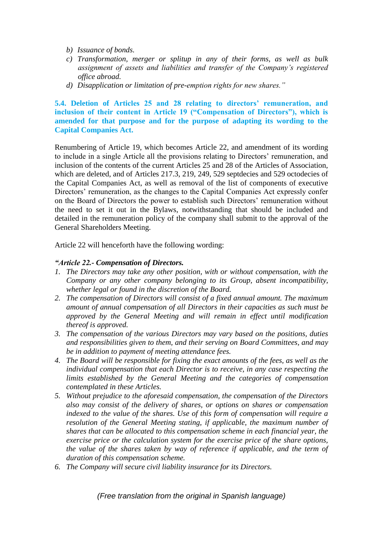- *b) Issuance of bonds.*
- *c) Transformation, merger or splitup in any of their forms, as well as bulk assignment of assets and liabilities and transfer of the Company's registered office abroad.*
- *d) Disapplication or limitation of pre-emption rights for new shares."*

# **5.4. Deletion of Articles 25 and 28 relating to directors' remuneration, and inclusion of their content in Article 19 ("Compensation of Directors"), which is amended for that purpose and for the purpose of adapting its wording to the Capital Companies Act.**

Renumbering of Article 19, which becomes Article 22, and amendment of its wording to include in a single Article all the provisions relating to Directors' remuneration, and inclusion of the contents of the current Articles 25 and 28 of the Articles of Association, which are deleted, and of Articles 217.3, 219, 249, 529 septdecies and 529 octodecies of the Capital Companies Act, as well as removal of the list of components of executive Directors' remuneration, as the changes to the Capital Companies Act expressly confer on the Board of Directors the power to establish such Directors' remuneration without the need to set it out in the Bylaws, notwithstanding that should be included and detailed in the remuneration policy of the company shall submit to the approval of the General Shareholders Meeting.

Article 22 will henceforth have the following wording:

# *"Article 22.- Compensation of Directors.*

- *1. The Directors may take any other position, with or without compensation, with the Company or any other company belonging to its Group, absent incompatibility, whether legal or found in the discretion of the Board.*
- *2. The compensation of Directors will consist of a fixed annual amount. The maximum amount of annual compensation of all Directors in their capacities as such must be approved by the General Meeting and will remain in effect until modification thereof is approved.*
- *3. The compensation of the various Directors may vary based on the positions, duties and responsibilities given to them, and their serving on Board Committees, and may be in addition to payment of meeting attendance fees.*
- *4. The Board will be responsible for fixing the exact amounts of the fees, as well as the individual compensation that each Director is to receive, in any case respecting the limits established by the General Meeting and the categories of compensation contemplated in these Articles.*
- *5. Without prejudice to the aforesaid compensation, the compensation of the Directors also may consist of the delivery of shares, or options on shares or compensation indexed to the value of the shares. Use of this form of compensation will require a resolution of the General Meeting stating, if applicable, the maximum number of shares that can be allocated to this compensation scheme in each financial year, the exercise price or the calculation system for the exercise price of the share options, the value of the shares taken by way of reference if applicable, and the term of duration of this compensation scheme.*
- *6. The Company will secure civil liability insurance for its Directors.*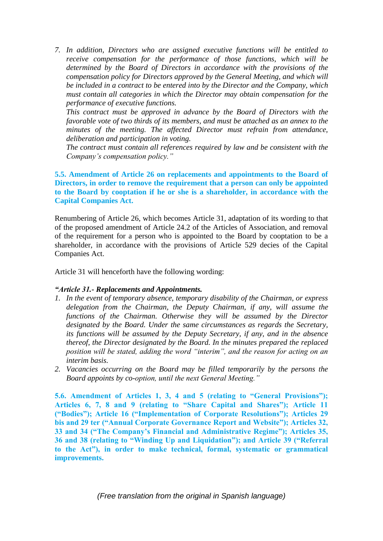*7. In addition, Directors who are assigned executive functions will be entitled to receive compensation for the performance of those functions, which will be determined by the Board of Directors in accordance with the provisions of the compensation policy for Directors approved by the General Meeting, and which will be included in a contract to be entered into by the Director and the Company, which must contain all categories in which the Director may obtain compensation for the performance of executive functions.*

*This contract must be approved in advance by the Board of Directors with the favorable vote of two thirds of its members, and must be attached as an annex to the minutes of the meeting. The affected Director must refrain from attendance, deliberation and participation in voting.*

*The contract must contain all references required by law and be consistent with the Company's compensation policy."*

**5.5. Amendment of Article 26 on replacements and appointments to the Board of Directors, in order to remove the requirement that a person can only be appointed to the Board by cooptation if he or she is a shareholder, in accordance with the Capital Companies Act.** 

Renumbering of Article 26, which becomes Article 31, adaptation of its wording to that of the proposed amendment of Article 24.2 of the Articles of Association, and removal of the requirement for a person who is appointed to the Board by cooptation to be a shareholder, in accordance with the provisions of Article 529 decies of the Capital Companies Act.

Article 31 will henceforth have the following wording:

# *"Article 31.- Replacements and Appointments.*

- *1. In the event of temporary absence, temporary disability of the Chairman, or express delegation from the Chairman, the Deputy Chairman, if any, will assume the functions of the Chairman. Otherwise they will be assumed by the Director designated by the Board. Under the same circumstances as regards the Secretary, its functions will be assumed by the Deputy Secretary, if any, and in the absence thereof, the Director designated by the Board. In the minutes prepared the replaced position will be stated, adding the word "interim", and the reason for acting on an interim basis.*
- *2. Vacancies occurring on the Board may be filled temporarily by the persons the Board appoints by co-option, until the next General Meeting."*

**5.6. Amendment of Articles 1, 3, 4 and 5 (relating to "General Provisions"); Articles 6, 7, 8 and 9 (relating to "Share Capital and Shares"); Article 11 ("Bodies"); Article 16 ("Implementation of Corporate Resolutions"); Articles 29 bis and 29 ter ("Annual Corporate Governance Report and Website"); Articles 32, 33 and 34 ("The Company's Financial and Administrative Regime"); Articles 35, 36 and 38 (relating to "Winding Up and Liquidation"); and Article 39 ("Referral to the Act"), in order to make technical, formal, systematic or grammatical improvements.**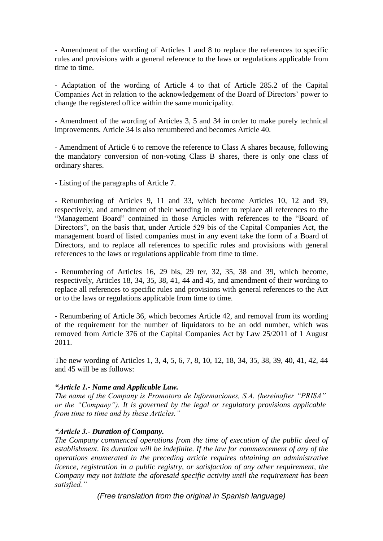- Amendment of the wording of Articles 1 and 8 to replace the references to specific rules and provisions with a general reference to the laws or regulations applicable from time to time.

- Adaptation of the wording of Article 4 to that of Article 285.2 of the Capital Companies Act in relation to the acknowledgement of the Board of Directors' power to change the registered office within the same municipality.

- Amendment of the wording of Articles 3, 5 and 34 in order to make purely technical improvements. Article 34 is also renumbered and becomes Article 40.

- Amendment of Article 6 to remove the reference to Class A shares because, following the mandatory conversion of non-voting Class B shares, there is only one class of ordinary shares.

- Listing of the paragraphs of Article 7.

- Renumbering of Articles 9, 11 and 33, which become Articles 10, 12 and 39, respectively, and amendment of their wording in order to replace all references to the "Management Board" contained in those Articles with references to the "Board of Directors", on the basis that, under Article 529 bis of the Capital Companies Act, the management board of listed companies must in any event take the form of a Board of Directors, and to replace all references to specific rules and provisions with general references to the laws or regulations applicable from time to time.

- Renumbering of Articles 16, 29 bis, 29 ter, 32, 35, 38 and 39, which become, respectively, Articles 18, 34, 35, 38, 41, 44 and 45, and amendment of their wording to replace all references to specific rules and provisions with general references to the Act or to the laws or regulations applicable from time to time.

- Renumbering of Article 36, which becomes Article 42, and removal from its wording of the requirement for the number of liquidators to be an odd number, which was removed from Article 376 of the Capital Companies Act by Law 25/2011 of 1 August 2011.

The new wording of Articles 1, 3, 4, 5, 6, 7, 8, 10, 12, 18, 34, 35, 38, 39, 40, 41, 42, 44 and 45 will be as follows:

# *"Article 1.- Name and Applicable Law.*

*The name of the Company is Promotora de Informaciones, S.A. (hereinafter "PRISA" or the "Company"). It is governed by the legal or regulatory provisions applicable from time to time and by these Articles."*

# *"Article 3.- Duration of Company.*

*The Company commenced operations from the time of execution of the public deed of establishment. Its duration will be indefinite. If the law for commencement of any of the operations enumerated in the preceding article requires obtaining an administrative licence, registration in a public registry, or satisfaction of any other requirement, the Company may not initiate the aforesaid specific activity until the requirement has been satisfied."*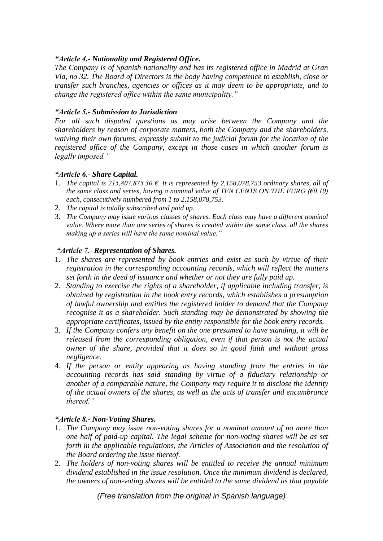# *"Article 4.- Nationality and Registered Office.*

*The Company is of Spanish nationality and has its registered office in Madrid at Gran Vía, no 32. The Board of Directors is the body having competence to establish, close or transfer such branches, agencies or offices as it may deem to be appropriate, and to change the registered office within the same municipality."*

# *"Article 5.- Submission to Jurisdiction*

*For all such disputed questions as may arise between the Company and the shareholders by reason of corporate matters, both the Company and the shareholders, waiving their own forums, expressly submit to the judicial forum for the location of the registered office of the Company, except in those cases in which another forum is legally imposed."*

# *"Article 6.- Share Capital.*

- 1. *The capital is 215,807,875.30 €. It is represented by 2,158,078,753 ordinary shares, all of the same class and series, having a nominal value of TEN CENTS ON THE EURO (* $\epsilon$ *0.10) each, consecutively numbered from 1 to 2,158,078,753.*
- 2. *The capital is totally subscribed and paid up.*
- 3. *The Company may issue various classes of shares. Each class may have a different nominal value. Where more than one series of shares is created within the same class, all the shares making up a series will have the same nominal value."*

# *"Article 7.- Representation of Shares.*

- 1. *The shares are represented by book entries and exist as such by virtue of their registration in the corresponding accounting records, which will reflect the matters set forth in the deed of issuance and whether or not they are fully paid up.*
- 2. *Standing to exercise the rights of a shareholder, if applicable including transfer, is obtained by registration in the book entry records, which establishes a presumption of lawful ownership and entitles the registered holder to demand that the Company recognise it as a shareholder. Such standing may be demonstrated by showing the appropriate certificates, issued by the entity responsible for the book entry records.*
- 3. *If the Company confers any benefit on the one presumed to have standing, it will be released from the corresponding obligation, even if that person is not the actual owner of the share, provided that it does so in good faith and without gross negligence.*
- 4. *If the person or entity appearing as having standing from the entries in the accounting records has said standing by virtue of a fiduciary relationship or another of a comparable nature, the Company may require it to disclose the identity of the actual owners of the shares, as well as the acts of transfer and encumbrance thereof."*

# *"Article 8.- Non-Voting Shares.*

- 1. *The Company may issue non-voting shares for a nominal amount of no more than one half of paid-up capital. The legal scheme for non-voting shares will be as set forth in the applicable regulations, the Articles of Association and the resolution of the Board ordering the issue thereof.*
- 2. *The holders of non-voting shares will be entitled to receive the annual minimum dividend established in the issue resolution. Once the minimum dividend is declared, the owners of non-voting shares will be entitled to the same dividend as that payable*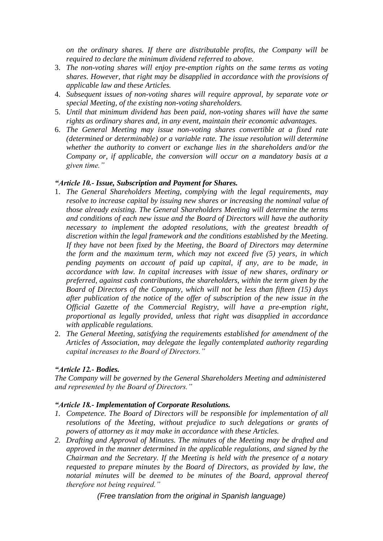*on the ordinary shares. If there are distributable profits, the Company will be required to declare the minimum dividend referred to above.* 

- 3. *The non-voting shares will enjoy pre-emption rights on the same terms as voting shares. However, that right may be disapplied in accordance with the provisions of applicable law and these Articles.*
- 4. *Subsequent issues of non-voting shares will require approval, by separate vote or special Meeting, of the existing non-voting shareholders.*
- 5. *Until that minimum dividend has been paid, non-voting shares will have the same rights as ordinary shares and, in any event, maintain their economic advantages.*
- 6. *The General Meeting may issue non-voting shares convertible at a fixed rate (determined or determinable) or a variable rate. The issue resolution will determine whether the authority to convert or exchange lies in the shareholders and/or the Company or, if applicable, the conversion will occur on a mandatory basis at a given time."*

# *"Article 10.- Issue, Subscription and Payment for Shares.*

- 1. *The General Shareholders Meeting, complying with the legal requirements, may resolve to increase capital by issuing new shares or increasing the nominal value of those already existing. The General Shareholders Meeting will determine the terms and conditions of each new issue and the Board of Directors will have the authority necessary to implement the adopted resolutions, with the greatest breadth of discretion within the legal framework and the conditions established by the Meeting. If they have not been fixed by the Meeting, the Board of Directors may determine the form and the maximum term, which may not exceed five (5) years, in which pending payments on account of paid up capital, if any, are to be made, in accordance with law. In capital increases with issue of new shares, ordinary or preferred, against cash contributions, the shareholders, within the term given by the Board of Directors of the Company, which will not be less than fifteen (15) days after publication of the notice of the offer of subscription of the new issue in the Official Gazette of the Commercial Registry, will have a pre-emption right, proportional as legally provided, unless that right was disapplied in accordance with applicable regulations.*
- 2. *The General Meeting, satisfying the requirements established for amendment of the Articles of Association, may delegate the legally contemplated authority regarding capital increases to the Board of Directors."*

# *"Article 12.- Bodies.*

*The Company will be governed by the General Shareholders Meeting and administered and represented by the Board of Directors."*

# *"Article 18.- Implementation of Corporate Resolutions.*

- *1. Competence. The Board of Directors will be responsible for implementation of all resolutions of the Meeting, without prejudice to such delegations or grants of powers of attorney as it may make in accordance with these Articles.*
- *2. Drafting and Approval of Minutes. The minutes of the Meeting may be drafted and approved in the manner determined in the applicable regulations, and signed by the Chairman and the Secretary. If the Meeting is held with the presence of a notary requested to prepare minutes by the Board of Directors, as provided by law, the notarial minutes will be deemed to be minutes of the Board, approval thereof therefore not being required."*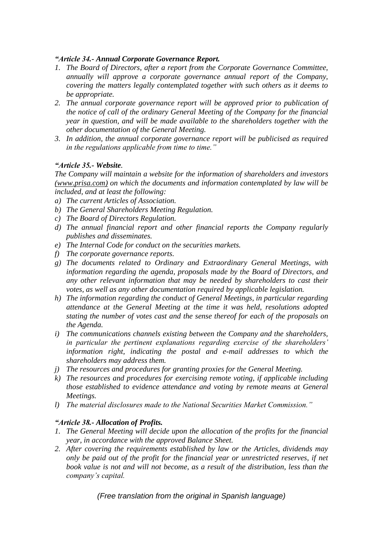# *"Article 34.- Annual Corporate Governance Report.*

- *1. The Board of Directors, after a report from the Corporate Governance Committee, annually will approve a corporate governance annual report of the Company, covering the matters legally contemplated together with such others as it deems to be appropriate.*
- *2. The annual corporate governance report will be approved prior to publication of the notice of call of the ordinary General Meeting of the Company for the financial year in question, and will be made available to the shareholders together with the other documentation of the General Meeting.*
- *3. In addition, the annual corporate governance report will be publicised as required in the regulations applicable from time to time."*

# *"Article 35.- Website.*

*The Company will maintain a website for the information of shareholders and investors [\(www.prisa.com\)](http://www.prisa.com/) on which the documents and information contemplated by law will be included, and at least the following:*

- *a) The current Articles of Association.*
- *b) The General Shareholders Meeting Regulation.*
- *c) The Board of Directors Regulation.*
- *d) The annual financial report and other financial reports the Company regularly publishes and disseminates.*
- *e) The Internal Code for conduct on the securities markets.*
- *f) The corporate governance reports.*
- *g) The documents related to Ordinary and Extraordinary General Meetings, with information regarding the agenda, proposals made by the Board of Directors, and any other relevant information that may be needed by shareholders to cast their votes, as well as any other documentation required by applicable legislation.*
- *h) The information regarding the conduct of General Meetings, in particular regarding attendance at the General Meeting at the time it was held, resolutions adopted stating the number of votes cast and the sense thereof for each of the proposals on the Agenda.*
- *i) The communications channels existing between the Company and the shareholders, in particular the pertinent explanations regarding exercise of the shareholders' information right, indicating the postal and e-mail addresses to which the shareholders may address them.*
- *j) The resources and procedures for granting proxies for the General Meeting.*
- *k) The resources and procedures for exercising remote voting, if applicable including those established to evidence attendance and voting by remote means at General Meetings.*
- *l) The material disclosures made to the National Securities Market Commission."*

# *"Article 38.- Allocation of Profits.*

- *1. The General Meeting will decide upon the allocation of the profits for the financial year, in accordance with the approved Balance Sheet.*
- *2. After covering the requirements established by law or the Articles, dividends may only be paid out of the profit for the financial year or unrestricted reserves, if net book value is not and will not become, as a result of the distribution, less than the company's capital.*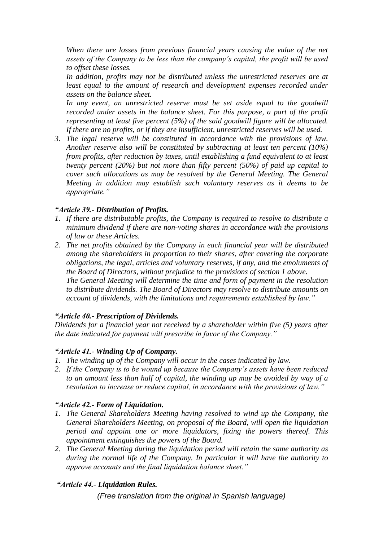*When there are losses from previous financial years causing the value of the net assets of the Company to be less than the company's capital, the profit will be used to offset these losses.* 

*In addition, profits may not be distributed unless the unrestricted reserves are at least equal to the amount of research and development expenses recorded under assets on the balance sheet.*

In any event, an unrestricted reserve must be set aside equal to the goodwill *recorded under assets in the balance sheet. For this purpose, a part of the profit representing at least five percent (5%) of the said goodwill figure will be allocated. If there are no profits, or if they are insufficient, unrestricted reserves will be used.*

*3. The legal reserve will be constituted in accordance with the provisions of law. Another reserve also will be constituted by subtracting at least ten percent (10%) from profits, after reduction by taxes, until establishing a fund equivalent to at least twenty percent (20%) but not more than fifty percent (50%) of paid up capital to cover such allocations as may be resolved by the General Meeting. The General Meeting in addition may establish such voluntary reserves as it deems to be appropriate."*

# *"Article 39.- Distribution of Profits.*

- *1. If there are distributable profits, the Company is required to resolve to distribute a minimum dividend if there are non-voting shares in accordance with the provisions of law or these Articles.*
- *2. The net profits obtained by the Company in each financial year will be distributed among the shareholders in proportion to their shares, after covering the corporate obligations, the legal, articles and voluntary reserves, if any, and the emoluments of the Board of Directors, without prejudice to the provisions of section 1 above. The General Meeting will determine the time and form of payment in the resolution to distribute dividends. The Board of Directors may resolve to distribute amounts on account of dividends, with the limitations and requirements established by law."*

# *"Article 40.- Prescription of Dividends.*

*Dividends for a financial year not received by a shareholder within five (5) years after the date indicated for payment will prescribe in favor of the Company."*

# *"Article 41.- Winding Up of Company.*

- *1. The winding up of the Company will occur in the cases indicated by law.*
- *2. If the Company is to be wound up because the Company's assets have been reduced to an amount less than half of capital, the winding up may be avoided by way of a resolution to increase or reduce capital, in accordance with the provisions of law."*

# *"Article 42.- Form of Liquidation.*

- *1. The General Shareholders Meeting having resolved to wind up the Company, the General Shareholders Meeting, on proposal of the Board, will open the liquidation period and appoint one or more liquidators, fixing the powers thereof. This appointment extinguishes the powers of the Board.*
- *2. The General Meeting during the liquidation period will retain the same authority as during the normal life of the Company. In particular it will have the authority to approve accounts and the final liquidation balance sheet."*

# *"Article 44.- Liquidation Rules.*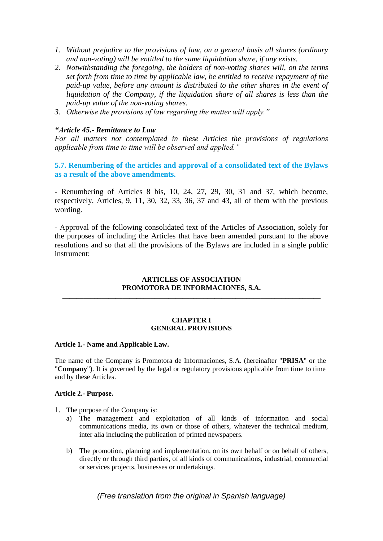- *1. Without prejudice to the provisions of law, on a general basis all shares (ordinary and non-voting) will be entitled to the same liquidation share, if any exists.*
- *2. Notwithstanding the foregoing, the holders of non-voting shares will, on the terms set forth from time to time by applicable law, be entitled to receive repayment of the paid-up value, before any amount is distributed to the other shares in the event of liquidation of the Company, if the liquidation share of all shares is less than the paid-up value of the non-voting shares.*
- *3. Otherwise the provisions of law regarding the matter will apply."*

### *"Article 45.- Remittance to Law*

*For all matters not contemplated in these Articles the provisions of regulations applicable from time to time will be observed and applied."*

# **5.7. Renumbering of the articles and approval of a consolidated text of the Bylaws as a result of the above amendments.**

- Renumbering of Articles 8 bis, 10, 24, 27, 29, 30, 31 and 37, which become, respectively, Articles, 9, 11, 30, 32, 33, 36, 37 and 43, all of them with the previous wording.

- Approval of the following consolidated text of the Articles of Association, solely for the purposes of including the Articles that have been amended pursuant to the above resolutions and so that all the provisions of the Bylaws are included in a single public instrument:

### **ARTICLES OF ASSOCIATION PROMOTORA DE INFORMACIONES, S.A. \_\_\_\_\_\_\_\_\_\_\_\_\_\_\_\_\_\_\_\_\_\_\_\_\_\_\_\_\_\_\_\_\_\_\_\_\_\_\_\_\_\_\_\_\_\_\_\_\_\_\_\_\_\_\_\_\_\_\_\_\_\_\_\_\_\_\_\_\_\_\_\_\_**

#### **CHAPTER I GENERAL PROVISIONS**

#### **Article 1.- Name and Applicable Law.**

The name of the Company is Promotora de Informaciones, S.A. (hereinafter "**PRISA**" or the "**Company**"). It is governed by the legal or regulatory provisions applicable from time to time and by these Articles.

### **Article 2.- Purpose.**

- 1. The purpose of the Company is:
	- a) The management and exploitation of all kinds of information and social communications media, its own or those of others, whatever the technical medium, inter alia including the publication of printed newspapers.
	- b) The promotion, planning and implementation, on its own behalf or on behalf of others, directly or through third parties, of all kinds of communications, industrial, commercial or services projects, businesses or undertakings.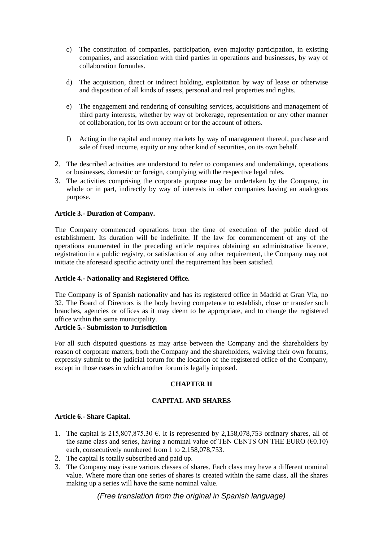- c) The constitution of companies, participation, even majority participation, in existing companies, and association with third parties in operations and businesses, by way of collaboration formulas.
- d) The acquisition, direct or indirect holding, exploitation by way of lease or otherwise and disposition of all kinds of assets, personal and real properties and rights.
- e) The engagement and rendering of consulting services, acquisitions and management of third party interests, whether by way of brokerage, representation or any other manner of collaboration, for its own account or for the account of others.
- f) Acting in the capital and money markets by way of management thereof, purchase and sale of fixed income, equity or any other kind of securities, on its own behalf.
- 2. The described activities are understood to refer to companies and undertakings, operations or businesses, domestic or foreign, complying with the respective legal rules.
- 3. The activities comprising the corporate purpose may be undertaken by the Company, in whole or in part, indirectly by way of interests in other companies having an analogous purpose.

### **Article 3.- Duration of Company.**

The Company commenced operations from the time of execution of the public deed of establishment. Its duration will be indefinite. If the law for commencement of any of the operations enumerated in the preceding article requires obtaining an administrative licence, registration in a public registry, or satisfaction of any other requirement, the Company may not initiate the aforesaid specific activity until the requirement has been satisfied.

### **Article 4.- Nationality and Registered Office.**

The Company is of Spanish nationality and has its registered office in Madrid at Gran Vía, no 32. The Board of Directors is the body having competence to establish, close or transfer such branches, agencies or offices as it may deem to be appropriate, and to change the registered office within the same municipality.

### **Article 5.- Submission to Jurisdiction**

For all such disputed questions as may arise between the Company and the shareholders by reason of corporate matters, both the Company and the shareholders, waiving their own forums, expressly submit to the judicial forum for the location of the registered office of the Company, except in those cases in which another forum is legally imposed.

# **CHAPTER II**

# **CAPITAL AND SHARES**

### **Article 6.- Share Capital.**

- 1. The capital is 215,807,875.30  $\epsilon$ . It is represented by 2,158,078,753 ordinary shares, all of the same class and series, having a nominal value of TEN CENTS ON THE EURO ( $\epsilon$ 0.10) each, consecutively numbered from 1 to 2,158,078,753.
- 2. The capital is totally subscribed and paid up.
- 3. The Company may issue various classes of shares. Each class may have a different nominal value. Where more than one series of shares is created within the same class, all the shares making up a series will have the same nominal value.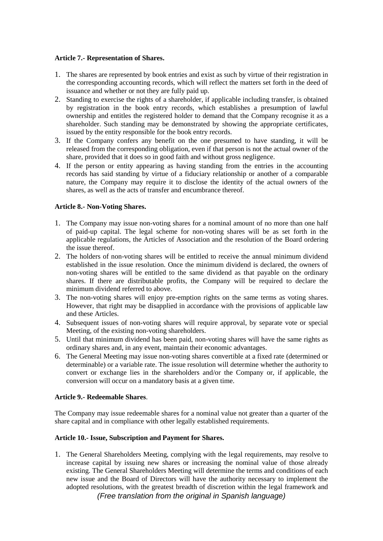### **Article 7.- Representation of Shares.**

- 1. The shares are represented by book entries and exist as such by virtue of their registration in the corresponding accounting records, which will reflect the matters set forth in the deed of issuance and whether or not they are fully paid up.
- 2. Standing to exercise the rights of a shareholder, if applicable including transfer, is obtained by registration in the book entry records, which establishes a presumption of lawful ownership and entitles the registered holder to demand that the Company recognise it as a shareholder. Such standing may be demonstrated by showing the appropriate certificates, issued by the entity responsible for the book entry records.
- 3. If the Company confers any benefit on the one presumed to have standing, it will be released from the corresponding obligation, even if that person is not the actual owner of the share, provided that it does so in good faith and without gross negligence.
- 4. If the person or entity appearing as having standing from the entries in the accounting records has said standing by virtue of a fiduciary relationship or another of a comparable nature, the Company may require it to disclose the identity of the actual owners of the shares, as well as the acts of transfer and encumbrance thereof.

# **Article 8.- Non-Voting Shares.**

- 1. The Company may issue non-voting shares for a nominal amount of no more than one half of paid-up capital. The legal scheme for non-voting shares will be as set forth in the applicable regulations, the Articles of Association and the resolution of the Board ordering the issue thereof.
- 2. The holders of non-voting shares will be entitled to receive the annual minimum dividend established in the issue resolution. Once the minimum dividend is declared, the owners of non-voting shares will be entitled to the same dividend as that payable on the ordinary shares. If there are distributable profits, the Company will be required to declare the minimum dividend referred to above.
- 3. The non-voting shares will enjoy pre-emption rights on the same terms as voting shares. However, that right may be disapplied in accordance with the provisions of applicable law and these Articles.
- 4. Subsequent issues of non-voting shares will require approval, by separate vote or special Meeting, of the existing non-voting shareholders.
- 5. Until that minimum dividend has been paid, non-voting shares will have the same rights as ordinary shares and, in any event, maintain their economic advantages.
- 6. The General Meeting may issue non-voting shares convertible at a fixed rate (determined or determinable) or a variable rate. The issue resolution will determine whether the authority to convert or exchange lies in the shareholders and/or the Company or, if applicable, the conversion will occur on a mandatory basis at a given time.

### **Article 9.- Redeemable Shares**.

The Company may issue redeemable shares for a nominal value not greater than a quarter of the share capital and in compliance with other legally established requirements.

### **Article 10.- Issue, Subscription and Payment for Shares.**

*(Free translation from the original in Spanish language)* 1. The General Shareholders Meeting, complying with the legal requirements, may resolve to increase capital by issuing new shares or increasing the nominal value of those already existing. The General Shareholders Meeting will determine the terms and conditions of each new issue and the Board of Directors will have the authority necessary to implement the adopted resolutions, with the greatest breadth of discretion within the legal framework and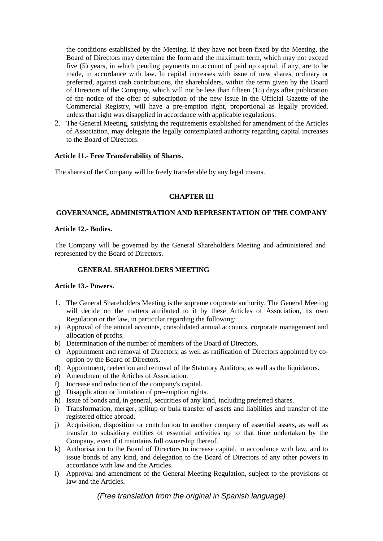the conditions established by the Meeting. If they have not been fixed by the Meeting, the Board of Directors may determine the form and the maximum term, which may not exceed five (5) years, in which pending payments on account of paid up capital, if any, are to be made, in accordance with law. In capital increases with issue of new shares, ordinary or preferred, against cash contributions, the shareholders, within the term given by the Board of Directors of the Company, which will not be less than fifteen (15) days after publication of the notice of the offer of subscription of the new issue in the Official Gazette of the Commercial Registry, will have a pre-emption right, proportional as legally provided, unless that right was disapplied in accordance with applicable regulations.

2. The General Meeting, satisfying the requirements established for amendment of the Articles of Association, may delegate the legally contemplated authority regarding capital increases to the Board of Directors.

### **Article 11.- Free Transferability of Shares.**

The shares of the Company will be freely transferable by any legal means.

### **CHAPTER III**

### **GOVERNANCE, ADMINISTRATION AND REPRESENTATION OF THE COMPANY**

### **Article 12.- Bodies.**

The Company will be governed by the General Shareholders Meeting and administered and represented by the Board of Directors.

### **GENERAL SHAREHOLDERS MEETING**

### **Article 13.- Powers.**

- 1. The General Shareholders Meeting is the supreme corporate authority. The General Meeting will decide on the matters attributed to it by these Articles of Association, its own Regulation or the law, in particular regarding the following:
- a) Approval of the annual accounts, consolidated annual accounts, corporate management and allocation of profits.
- b) Determination of the number of members of the Board of Directors.
- c) Appointment and removal of Directors, as well as ratification of Directors appointed by cooption by the Board of Directors.
- d) Appointment, reelection and removal of the Statutory Auditors, as well as the liquidators.
- e) Amendment of the Articles of Association.
- f) Increase and reduction of the company's capital.
- g) Disapplication or limitation of pre-emption rights.
- h) Issue of bonds and, in general, securities of any kind, including preferred shares.
- i) Transformation, merger, splitup or bulk transfer of assets and liabilities and transfer of the registered office abroad.
- j) Acquisition, disposition or contribution to another company of essential assets, as well as transfer to subsidiary entities of essential activities up to that time undertaken by the Company, even if it maintains full ownership thereof.
- k) Authorisation to the Board of Directors to increase capital, in accordance with law, and to issue bonds of any kind, and delegation to the Board of Directors of any other powers in accordance with law and the Articles.
- l) Approval and amendment of the General Meeting Regulation, subject to the provisions of law and the Articles.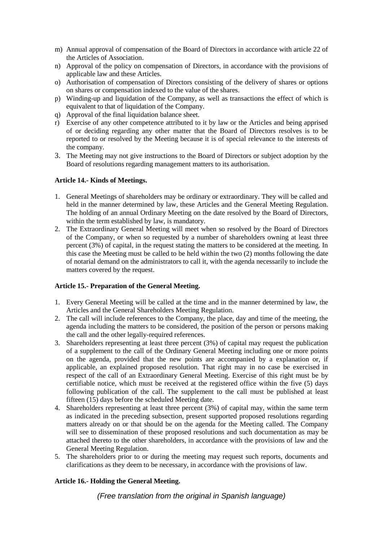- m) Annual approval of compensation of the Board of Directors in accordance with article 22 of the Articles of Association.
- n) Approval of the policy on compensation of Directors, in accordance with the provisions of applicable law and these Articles.
- o) Authorisation of compensation of Directors consisting of the delivery of shares or options on shares or compensation indexed to the value of the shares.
- p) Winding-up and liquidation of the Company, as well as transactions the effect of which is equivalent to that of liquidation of the Company.
- q) Approval of the final liquidation balance sheet.
- r) Exercise of any other competence attributed to it by law or the Articles and being apprised of or deciding regarding any other matter that the Board of Directors resolves is to be reported to or resolved by the Meeting because it is of special relevance to the interests of the company.
- 3. The Meeting may not give instructions to the Board of Directors or subject adoption by the Board of resolutions regarding management matters to its authorisation.

### **Article 14.- Kinds of Meetings.**

- 1. General Meetings of shareholders may be ordinary or extraordinary. They will be called and held in the manner determined by law, these Articles and the General Meeting Regulation. The holding of an annual Ordinary Meeting on the date resolved by the Board of Directors, within the term established by law, is mandatory.
- 2. The Extraordinary General Meeting will meet when so resolved by the Board of Directors of the Company, or when so requested by a number of shareholders owning at least three percent (3%) of capital, in the request stating the matters to be considered at the meeting. In this case the Meeting must be called to be held within the two (2) months following the date of notarial demand on the administrators to call it, with the agenda necessarily to include the matters covered by the request.

# **Article 15.- Preparation of the General Meeting.**

- 1. Every General Meeting will be called at the time and in the manner determined by law, the Articles and the General Shareholders Meeting Regulation.
- 2. The call will include references to the Company, the place, day and time of the meeting, the agenda including the matters to be considered, the position of the person or persons making the call and the other legally-required references.
- 3. Shareholders representing at least three percent (3%) of capital may request the publication of a supplement to the call of the Ordinary General Meeting including one or more points on the agenda, provided that the new points are accompanied by a explanation or, if applicable, an explained proposed resolution. That right may in no case be exercised in respect of the call of an Extraordinary General Meeting. Exercise of this right must be by certifiable notice, which must be received at the registered office within the five (5) days following publication of the call. The supplement to the call must be published at least fifteen (15) days before the scheduled Meeting date.
- 4. Shareholders representing at least three percent (3%) of capital may, within the same term as indicated in the preceding subsection, present supported proposed resolutions regarding matters already on or that should be on the agenda for the Meeting called. The Company will see to dissemination of these proposed resolutions and such documentation as may be attached thereto to the other shareholders, in accordance with the provisions of law and the General Meeting Regulation.
- 5. The shareholders prior to or during the meeting may request such reports, documents and clarifications as they deem to be necessary, in accordance with the provisions of law.

# **Article 16.- Holding the General Meeting.**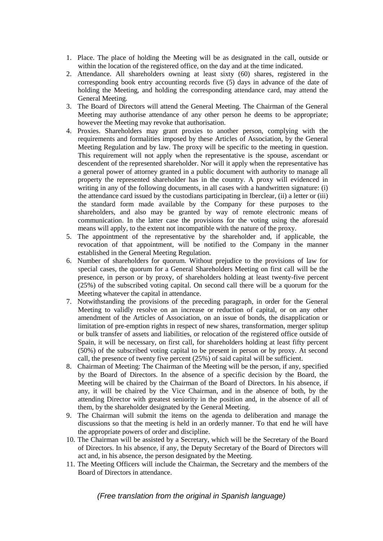- 1. Place. The place of holding the Meeting will be as designated in the call, outside or within the location of the registered office, on the day and at the time indicated.
- 2. Attendance. All shareholders owning at least sixty (60) shares, registered in the corresponding book entry accounting records five (5) days in advance of the date of holding the Meeting, and holding the corresponding attendance card, may attend the General Meeting.
- 3. The Board of Directors will attend the General Meeting. The Chairman of the General Meeting may authorise attendance of any other person he deems to be appropriate; however the Meeting may revoke that authorisation.
- 4. Proxies. Shareholders may grant proxies to another person, complying with the requirements and formalities imposed by these Articles of Association, by the General Meeting Regulation and by law. The proxy will be specific to the meeting in question. This requirement will not apply when the representative is the spouse, ascendant or descendent of the represented shareholder. Nor will it apply when the representative has a general power of attorney granted in a public document with authority to manage all property the represented shareholder has in the country. A proxy will evidenced in writing in any of the following documents, in all cases with a handwritten signature: (i) the attendance card issued by the custodians participating in Iberclear, (ii) a letter or (iii) the standard form made available by the Company for these purposes to the shareholders, and also may be granted by way of remote electronic means of communication. In the latter case the provisions for the voting using the aforesaid means will apply, to the extent not incompatible with the nature of the proxy.
- 5. The appointment of the representative by the shareholder and, if applicable, the revocation of that appointment, will be notified to the Company in the manner established in the General Meeting Regulation.
- 6. Number of shareholders for quorum. Without prejudice to the provisions of law for special cases, the quorum for a General Shareholders Meeting on first call will be the presence, in person or by proxy, of shareholders holding at least twenty-five percent (25%) of the subscribed voting capital. On second call there will be a quorum for the Meeting whatever the capital in attendance.
- 7. Notwithstanding the provisions of the preceding paragraph, in order for the General Meeting to validly resolve on an increase or reduction of capital, or on any other amendment of the Articles of Association, on an issue of bonds, the disapplication or limitation of pre-emption rights in respect of new shares, transformation, merger splitup or bulk transfer of assets and liabilities, or relocation of the registered office outside of Spain, it will be necessary, on first call, for shareholders holding at least fifty percent (50%) of the subscribed voting capital to be present in person or by proxy. At second call, the presence of twenty five percent (25%) of said capital will be sufficient.
- 8. Chairman of Meeting: The Chairman of the Meeting will be the person, if any, specified by the Board of Directors. In the absence of a specific decision by the Board, the Meeting will be chaired by the Chairman of the Board of Directors. In his absence, if any, it will be chaired by the Vice Chairman, and in the absence of both, by the attending Director with greatest seniority in the position and, in the absence of all of them, by the shareholder designated by the General Meeting.
- 9. The Chairman will submit the items on the agenda to deliberation and manage the discussions so that the meeting is held in an orderly manner. To that end he will have the appropriate powers of order and discipline.
- 10. The Chairman will be assisted by a Secretary, which will be the Secretary of the Board of Directors. In his absence, if any, the Deputy Secretary of the Board of Directors will act and, in his absence, the person designated by the Meeting.
- 11. The Meeting Officers will include the Chairman, the Secretary and the members of the Board of Directors in attendance.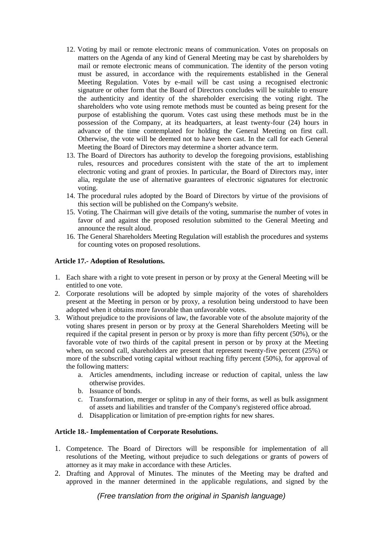- 12. Voting by mail or remote electronic means of communication. Votes on proposals on matters on the Agenda of any kind of General Meeting may be cast by shareholders by mail or remote electronic means of communication. The identity of the person voting must be assured, in accordance with the requirements established in the General Meeting Regulation. Votes by e-mail will be cast using a recognised electronic signature or other form that the Board of Directors concludes will be suitable to ensure the authenticity and identity of the shareholder exercising the voting right. The shareholders who vote using remote methods must be counted as being present for the purpose of establishing the quorum. Votes cast using these methods must be in the possession of the Company, at its headquarters, at least twenty-four (24) hours in advance of the time contemplated for holding the General Meeting on first call. Otherwise, the vote will be deemed not to have been cast. In the call for each General Meeting the Board of Directors may determine a shorter advance term.
- 13. The Board of Directors has authority to develop the foregoing provisions, establishing rules, resources and procedures consistent with the state of the art to implement electronic voting and grant of proxies. In particular, the Board of Directors may, inter alia, regulate the use of alternative guarantees of electronic signatures for electronic voting.
- 14. The procedural rules adopted by the Board of Directors by virtue of the provisions of this section will be published on the Company's website.
- 15. Voting. The Chairman will give details of the voting, summarise the number of votes in favor of and against the proposed resolution submitted to the General Meeting and announce the result aloud.
- 16. The General Shareholders Meeting Regulation will establish the procedures and systems for counting votes on proposed resolutions.

### **Article 17.- Adoption of Resolutions.**

- 1. Each share with a right to vote present in person or by proxy at the General Meeting will be entitled to one vote.
- 2. Corporate resolutions will be adopted by simple majority of the votes of shareholders present at the Meeting in person or by proxy, a resolution being understood to have been adopted when it obtains more favorable than unfavorable votes.
- 3. Without prejudice to the provisions of law, the favorable vote of the absolute majority of the voting shares present in person or by proxy at the General Shareholders Meeting will be required if the capital present in person or by proxy is more than fifty percent (50%), or the favorable vote of two thirds of the capital present in person or by proxy at the Meeting when, on second call, shareholders are present that represent twenty-five percent (25%) or more of the subscribed voting capital without reaching fifty percent (50%), for approval of the following matters:
	- a. Articles amendments, including increase or reduction of capital, unless the law otherwise provides.
	- b. Issuance of bonds.
	- c. Transformation, merger or splitup in any of their forms, as well as bulk assignment of assets and liabilities and transfer of the Company's registered office abroad.
	- d. Disapplication or limitation of pre-emption rights for new shares.

### **Article 18.- Implementation of Corporate Resolutions.**

- 1. Competence. The Board of Directors will be responsible for implementation of all resolutions of the Meeting, without prejudice to such delegations or grants of powers of attorney as it may make in accordance with these Articles.
- 2. Drafting and Approval of Minutes. The minutes of the Meeting may be drafted and approved in the manner determined in the applicable regulations, and signed by the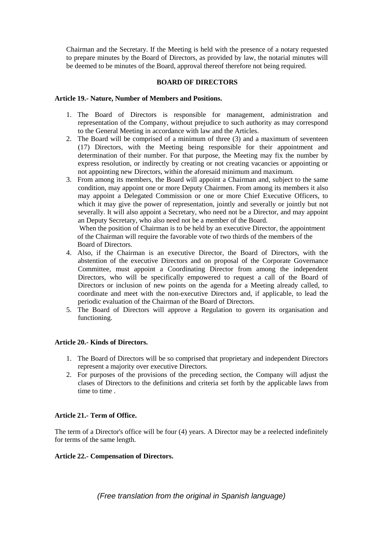Chairman and the Secretary. If the Meeting is held with the presence of a notary requested to prepare minutes by the Board of Directors, as provided by law, the notarial minutes will be deemed to be minutes of the Board, approval thereof therefore not being required.

### **BOARD OF DIRECTORS**

### **Article 19.- Nature, Number of Members and Positions.**

- 1. The Board of Directors is responsible for management, administration and representation of the Company, without prejudice to such authority as may correspond to the General Meeting in accordance with law and the Articles.
- 2. The Board will be comprised of a minimum of three (3) and a maximum of seventeen (17) Directors, with the Meeting being responsible for their appointment and determination of their number. For that purpose, the Meeting may fix the number by express resolution, or indirectly by creating or not creating vacancies or appointing or not appointing new Directors, within the aforesaid minimum and maximum.
- 3. From among its members, the Board will appoint a Chairman and, subject to the same condition, may appoint one or more Deputy Chairmen. From among its members it also may appoint a Delegated Commission or one or more Chief Executive Officers, to which it may give the power of representation, jointly and severally or jointly but not severally. It will also appoint a Secretary, who need not be a Director, and may appoint an Deputy Secretary, who also need not be a member of the Board.

When the position of Chairman is to be held by an executive Director, the appointment of the Chairman will require the favorable vote of two thirds of the members of the Board of Directors.

- 4. Also, if the Chairman is an executive Director, the Board of Directors, with the abstention of the executive Directors and on proposal of the Corporate Governance Committee, must appoint a Coordinating Director from among the independent Directors, who will be specifically empowered to request a call of the Board of Directors or inclusion of new points on the agenda for a Meeting already called, to coordinate and meet with the non-executive Directors and, if applicable, to lead the periodic evaluation of the Chairman of the Board of Directors.
- 5. The Board of Directors will approve a Regulation to govern its organisation and functioning.

### **Article 20.- Kinds of Directors.**

- 1. The Board of Directors will be so comprised that proprietary and independent Directors represent a majority over executive Directors.
- 2. For purposes of the provisions of the preceding section, the Company will adjust the clases of Directors to the definitions and criteria set forth by the applicable laws from time to time .

### **Article 21.- Term of Office.**

The term of a Director's office will be four (4) years. A Director may be a reelected indefinitely for terms of the same length.

### **Article 22.- Compensation of Directors.**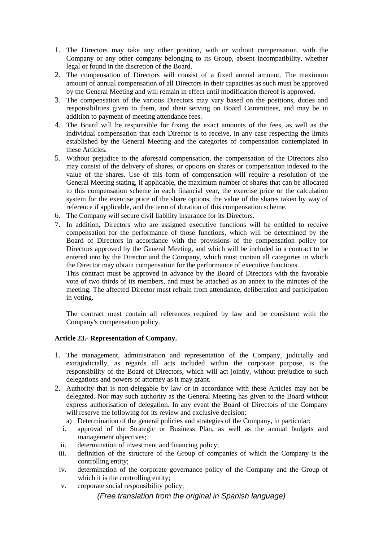- 1. The Directors may take any other position, with or without compensation, with the Company or any other company belonging to its Group, absent incompatibility, whether legal or found in the discretion of the Board.
- 2. The compensation of Directors will consist of a fixed annual amount. The maximum amount of annual compensation of all Directors in their capacities as such must be approved by the General Meeting and will remain in effect until modification thereof is approved.
- 3. The compensation of the various Directors may vary based on the positions, duties and responsibilities given to them, and their serving on Board Committees, and may be in addition to payment of meeting attendance fees.
- 4. The Board will be responsible for fixing the exact amounts of the fees, as well as the individual compensation that each Director is to receive, in any case respecting the limits established by the General Meeting and the categories of compensation contemplated in these Articles.
- 5. Without prejudice to the aforesaid compensation, the compensation of the Directors also may consist of the delivery of shares, or options on shares or compensation indexed to the value of the shares. Use of this form of compensation will require a resolution of the General Meeting stating, if applicable, the maximum number of shares that can be allocated to this compensation scheme in each financial year, the exercise price or the calculation system for the exercise price of the share options, the value of the shares taken by way of reference if applicable, and the term of duration of this compensation scheme.
- 6. The Company will secure civil liability insurance for its Directors.
- 7. In addition, Directors who are assigned executive functions will be entitled to receive compensation for the performance of those functions, which will be determined by the Board of Directors in accordance with the provisions of the compensation policy for Directors approved by the General Meeting, and which will be included in a contract to be entered into by the Director and the Company, which must contain all categories in which the Director may obtain compensation for the performance of executive functions.

This contract must be approved in advance by the Board of Directors with the favorable vote of two thirds of its members, and must be attached as an annex to the minutes of the meeting. The affected Director must refrain from attendance, deliberation and participation in voting.

The contract must contain all references required by law and be consistent with the Company's compensation policy.

# **Article 23.- Representation of Company.**

- 1. The management, administration and representation of the Company, judicially and extrajudicially, as regards all acts included within the corporate purpose, is the responsibility of the Board of Directors, which will act jointly, without prejudice to such delegations and powers of attorney as it may grant.
- 2. Authority that is non-delegable by law or in accordance with these Articles may not be delegated. Nor may such authority as the General Meeting has given to the Board without express authorisation of delegation. In any event the Board of Directors of the Company will reserve the following for its review and exclusive decision:
	- a) Determination of the general policies and strategies of the Company, in particular:
	- i. approval of the Strategic or Business Plan, as well as the annual budgets and management objectives;
	- ii. determination of investment and financing policy;
	- iii. definition of the structure of the Group of companies of which the Company is the controlling entity;
	- iv. determination of the corporate governance policy of the Company and the Group of which it is the controlling entity;
	- v. corporate social responsibility policy;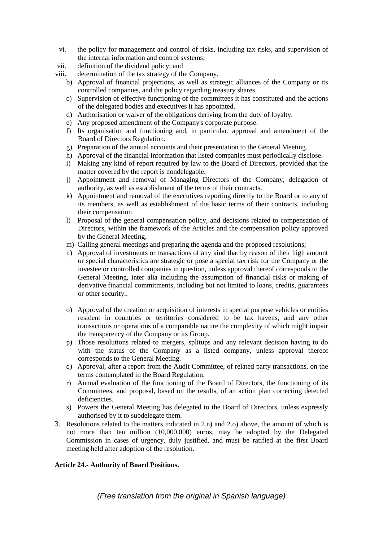- vi. the policy for management and control of risks, including tax risks, and supervision of the internal information and control systems;
- vii. definition of the dividend policy; and
- viii. determination of the tax strategy of the Company.
	- b) Approval of financial projections, as well as strategic alliances of the Company or its controlled companies, and the policy regarding treasury shares.
	- c) Supervision of effective functioning of the committees it has constituted and the actions of the delegated bodies and executives it has appointed.
	- d) Authorisation or waiver of the obligations deriving from the duty of loyalty.
	- e) Any proposed amendment of the Company's corporate purpose.
	- f) Its organisation and functioning and, in particular, approval and amendment of the Board of Directors Regulation.
	- g) Preparation of the annual accounts and their presentation to the General Meeting.
	- h) Approval of the financial information that listed companies must periodically disclose.
	- i) Making any kind of report required by law to the Board of Directors, provided that the matter covered by the report is nondelegable.
	- j) Appointment and removal of Managing Directors of the Company, delegation of authority, as well as establishment of the terms of their contracts.
	- k) Appointment and removal of the executives reporting directly to the Board or to any of its members, as well as establishment of the basic terms of their contracts, including their compensation.
	- l) Proposal of the general compensation policy, and decisions related to compensation of Directors, within the framework of the Articles and the compensation policy approved by the General Meeting.
	- m) Calling general meetings and preparing the agenda and the proposed resolutions;
	- n) Approval of investments or transactions of any kind that by reason of their high amount or special characteristics are strategic or pose a special tax risk for the Company or the investee or controlled companies in question, unless approval thereof corresponds to the General Meeting, inter alia including the assumption of financial risks or making of derivative financial commitments, including but not limited to loans, credits, guarantees or other security..
	- o) Approval of the creation or acquisition of interests in special purpose vehicles or entities resident in countries or territories considered to be tax havens, and any other transactions or operations of a comparable nature the complexity of which might impair the transparency of the Company or its Group.
	- p) Those resolutions related to mergers, splitups and any relevant decision having to do with the status of the Company as a listed company, unless approval thereof corresponds to the General Meeting.
	- q) Approval, after a report from the Audit Committee, of related party transactions, on the terms contemplated in the Board Regulation.
	- r) Annual evaluation of the functioning of the Board of Directors, the functioning of its Committees, and proposal, based on the results, of an action plan correcting detected deficiencies.
	- s) Powers the General Meeting has delegated to the Board of Directors, unless expressly authorised by it to subdelegate them.
- 3. Resolutions related to the matters indicated in 2.n) and 2.o) above, the amount of which is not more than ten million (10,000,000) euros, may be adopted by the Delegated Commission in cases of urgency, duly justified, and must be ratified at the first Board meeting held after adoption of the resolution.

### **Article 24.- Authority of Board Positions.**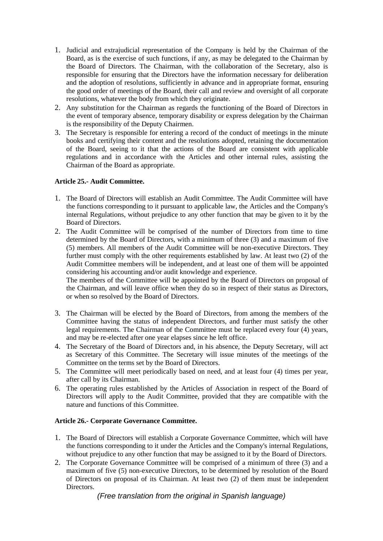- 1. Judicial and extrajudicial representation of the Company is held by the Chairman of the Board, as is the exercise of such functions, if any, as may be delegated to the Chairman by the Board of Directors. The Chairman, with the collaboration of the Secretary, also is responsible for ensuring that the Directors have the information necessary for deliberation and the adoption of resolutions, sufficiently in advance and in appropriate format, ensuring the good order of meetings of the Board, their call and review and oversight of all corporate resolutions, whatever the body from which they originate.
- 2. Any substitution for the Chairman as regards the functioning of the Board of Directors in the event of temporary absence, temporary disability or express delegation by the Chairman is the responsibility of the Deputy Chairmen.
- 3. The Secretary is responsible for entering a record of the conduct of meetings in the minute books and certifying their content and the resolutions adopted, retaining the documentation of the Board, seeing to it that the actions of the Board are consistent with applicable regulations and in accordance with the Articles and other internal rules, assisting the Chairman of the Board as appropriate.

# **Article 25.- Audit Committee.**

- 1. The Board of Directors will establish an Audit Committee. The Audit Committee will have the functions corresponding to it pursuant to applicable law, the Articles and the Company's internal Regulations, without prejudice to any other function that may be given to it by the Board of Directors.
- 2. The Audit Committee will be comprised of the number of Directors from time to time determined by the Board of Directors, with a minimum of three (3) and a maximum of five (5) members. All members of the Audit Committee will be non-executive Directors. They further must comply with the other requirements established by law. At least two (2) of the Audit Committee members will be independent, and at least one of them will be appointed considering his accounting and/or audit knowledge and experience.

The members of the Committee will be appointed by the Board of Directors on proposal of the Chairman, and will leave office when they do so in respect of their status as Directors, or when so resolved by the Board of Directors.

- 3. The Chairman will be elected by the Board of Directors, from among the members of the Committee having the status of independent Directors, and further must satisfy the other legal requirements. The Chairman of the Committee must be replaced every four (4) years, and may be re-elected after one year elapses since he left office.
- 4. The Secretary of the Board of Directors and, in his absence, the Deputy Secretary, will act as Secretary of this Committee. The Secretary will issue minutes of the meetings of the Committee on the terms set by the Board of Directors.
- 5. The Committee will meet periodically based on need, and at least four (4) times per year, after call by its Chairman.
- 6. The operating rules established by the Articles of Association in respect of the Board of Directors will apply to the Audit Committee, provided that they are compatible with the nature and functions of this Committee.

### **Article 26.- Corporate Governance Committee.**

- 1. The Board of Directors will establish a Corporate Governance Committee, which will have the functions corresponding to it under the Articles and the Company's internal Regulations, without prejudice to any other function that may be assigned to it by the Board of Directors.
- 2. The Corporate Governance Committee will be comprised of a minimum of three (3) and a maximum of five (5) non-executive Directors, to be determined by resolution of the Board of Directors on proposal of its Chairman. At least two (2) of them must be independent Directors.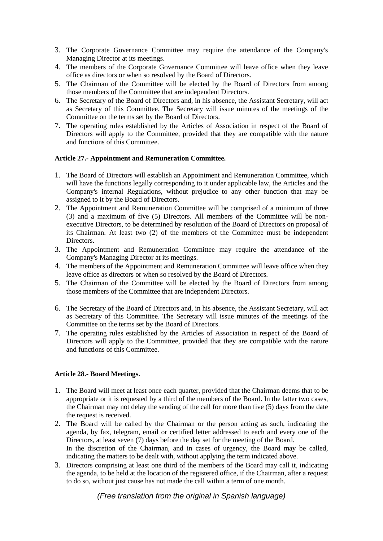- 3. The Corporate Governance Committee may require the attendance of the Company's Managing Director at its meetings.
- 4. The members of the Corporate Governance Committee will leave office when they leave office as directors or when so resolved by the Board of Directors.
- 5. The Chairman of the Committee will be elected by the Board of Directors from among those members of the Committee that are independent Directors.
- 6. The Secretary of the Board of Directors and, in his absence, the Assistant Secretary, will act as Secretary of this Committee. The Secretary will issue minutes of the meetings of the Committee on the terms set by the Board of Directors.
- 7. The operating rules established by the Articles of Association in respect of the Board of Directors will apply to the Committee, provided that they are compatible with the nature and functions of this Committee.

### **Article 27.- Appointment and Remuneration Committee.**

- 1. The Board of Directors will establish an Appointment and Remuneration Committee, which will have the functions legally corresponding to it under applicable law, the Articles and the Company's internal Regulations, without prejudice to any other function that may be assigned to it by the Board of Directors.
- 2. The Appointment and Remuneration Committee will be comprised of a minimum of three (3) and a maximum of five (5) Directors. All members of the Committee will be nonexecutive Directors, to be determined by resolution of the Board of Directors on proposal of its Chairman. At least two (2) of the members of the Committee must be independent Directors.
- 3. The Appointment and Remuneration Committee may require the attendance of the Company's Managing Director at its meetings.
- 4. The members of the Appointment and Remuneration Committee will leave office when they leave office as directors or when so resolved by the Board of Directors.
- 5. The Chairman of the Committee will be elected by the Board of Directors from among those members of the Committee that are independent Directors.
- 6. The Secretary of the Board of Directors and, in his absence, the Assistant Secretary, will act as Secretary of this Committee. The Secretary will issue minutes of the meetings of the Committee on the terms set by the Board of Directors.
- 7. The operating rules established by the Articles of Association in respect of the Board of Directors will apply to the Committee, provided that they are compatible with the nature and functions of this Committee.

### **Article 28.- Board Meetings.**

- 1. The Board will meet at least once each quarter, provided that the Chairman deems that to be appropriate or it is requested by a third of the members of the Board. In the latter two cases, the Chairman may not delay the sending of the call for more than five (5) days from the date the request is received.
- 2. The Board will be called by the Chairman or the person acting as such, indicating the agenda, by fax, telegram, email or certified letter addressed to each and every one of the Directors, at least seven (7) days before the day set for the meeting of the Board. In the discretion of the Chairman, and in cases of urgency, the Board may be called, indicating the matters to be dealt with, without applying the term indicated above.
- 3. Directors comprising at least one third of the members of the Board may call it, indicating the agenda, to be held at the location of the registered office, if the Chairman, after a request to do so, without just cause has not made the call within a term of one month.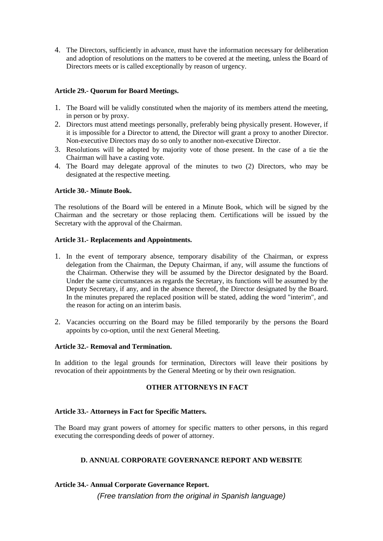4. The Directors, sufficiently in advance, must have the information necessary for deliberation and adoption of resolutions on the matters to be covered at the meeting, unless the Board of Directors meets or is called exceptionally by reason of urgency.

### **Article 29.- Quorum for Board Meetings.**

- 1. The Board will be validly constituted when the majority of its members attend the meeting, in person or by proxy.
- 2. Directors must attend meetings personally, preferably being physically present. However, if it is impossible for a Director to attend, the Director will grant a proxy to another Director. Non-executive Directors may do so only to another non-executive Director.
- 3. Resolutions will be adopted by majority vote of those present. In the case of a tie the Chairman will have a casting vote.
- 4. The Board may delegate approval of the minutes to two (2) Directors, who may be designated at the respective meeting.

### **Article 30.- Minute Book.**

The resolutions of the Board will be entered in a Minute Book, which will be signed by the Chairman and the secretary or those replacing them. Certifications will be issued by the Secretary with the approval of the Chairman.

### **Article 31.- Replacements and Appointments.**

- 1. In the event of temporary absence, temporary disability of the Chairman, or express delegation from the Chairman, the Deputy Chairman, if any, will assume the functions of the Chairman. Otherwise they will be assumed by the Director designated by the Board. Under the same circumstances as regards the Secretary, its functions will be assumed by the Deputy Secretary, if any, and in the absence thereof, the Director designated by the Board. In the minutes prepared the replaced position will be stated, adding the word "interim", and the reason for acting on an interim basis.
- 2. Vacancies occurring on the Board may be filled temporarily by the persons the Board appoints by co-option, until the next General Meeting.

### **Article 32.- Removal and Termination.**

In addition to the legal grounds for termination, Directors will leave their positions by revocation of their appointments by the General Meeting or by their own resignation.

### **OTHER ATTORNEYS IN FACT**

### **Article 33.- Attorneys in Fact for Specific Matters.**

The Board may grant powers of attorney for specific matters to other persons, in this regard executing the corresponding deeds of power of attorney.

# **D. ANNUAL CORPORATE GOVERNANCE REPORT AND WEBSITE**

### **Article 34.- Annual Corporate Governance Report.**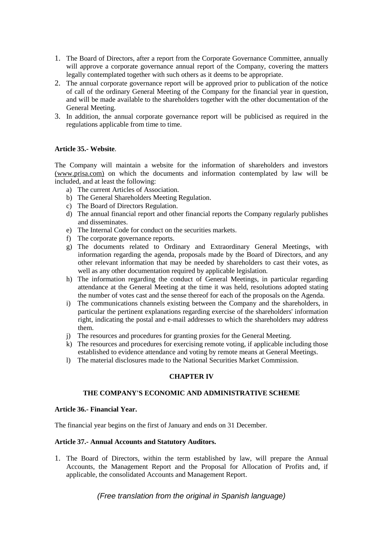- 1. The Board of Directors, after a report from the Corporate Governance Committee, annually will approve a corporate governance annual report of the Company, covering the matters legally contemplated together with such others as it deems to be appropriate.
- 2. The annual corporate governance report will be approved prior to publication of the notice of call of the ordinary General Meeting of the Company for the financial year in question, and will be made available to the shareholders together with the other documentation of the General Meeting.
- 3. In addition, the annual corporate governance report will be publicised as required in the regulations applicable from time to time.

#### **Article 35.- Website**.

The Company will maintain a website for the information of shareholders and investors [\(www.prisa.com\)](http://www.prisa.com/) on which the documents and information contemplated by law will be included, and at least the following:

- a) The current Articles of Association.
- b) The General Shareholders Meeting Regulation.
- c) The Board of Directors Regulation.
- d) The annual financial report and other financial reports the Company regularly publishes and disseminates.
- e) The Internal Code for conduct on the securities markets.
- f) The corporate governance reports.
- g) The documents related to Ordinary and Extraordinary General Meetings, with information regarding the agenda, proposals made by the Board of Directors, and any other relevant information that may be needed by shareholders to cast their votes, as well as any other documentation required by applicable legislation.
- h) The information regarding the conduct of General Meetings, in particular regarding attendance at the General Meeting at the time it was held, resolutions adopted stating the number of votes cast and the sense thereof for each of the proposals on the Agenda.
- i) The communications channels existing between the Company and the shareholders, in particular the pertinent explanations regarding exercise of the shareholders' information right, indicating the postal and e-mail addresses to which the shareholders may address them.
- j) The resources and procedures for granting proxies for the General Meeting.
- k) The resources and procedures for exercising remote voting, if applicable including those established to evidence attendance and voting by remote means at General Meetings.
- l) The material disclosures made to the National Securities Market Commission.

## **CHAPTER IV**

## **THE COMPANY'S ECONOMIC AND ADMINISTRATIVE SCHEME**

#### **Article 36.- Financial Year.**

The financial year begins on the first of January and ends on 31 December.

#### **Article 37.- Annual Accounts and Statutory Auditors.**

1. The Board of Directors, within the term established by law, will prepare the Annual Accounts, the Management Report and the Proposal for Allocation of Profits and, if applicable, the consolidated Accounts and Management Report.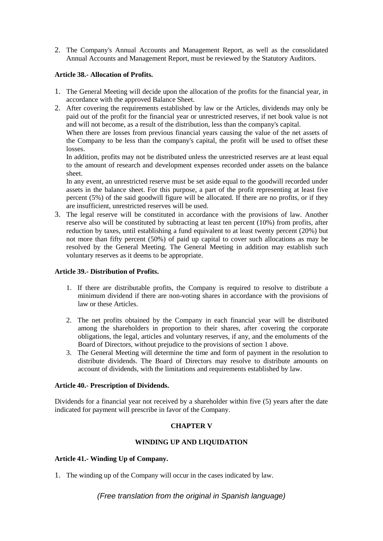2. The Company's Annual Accounts and Management Report, as well as the consolidated Annual Accounts and Management Report, must be reviewed by the Statutory Auditors.

#### **Article 38.- Allocation of Profits.**

- 1. The General Meeting will decide upon the allocation of the profits for the financial year, in accordance with the approved Balance Sheet.
- 2. After covering the requirements established by law or the Articles, dividends may only be paid out of the profit for the financial year or unrestricted reserves, if net book value is not and will not become, as a result of the distribution, less than the company's capital.

When there are losses from previous financial years causing the value of the net assets of the Company to be less than the company's capital, the profit will be used to offset these losses.

In addition, profits may not be distributed unless the unrestricted reserves are at least equal to the amount of research and development expenses recorded under assets on the balance sheet.

In any event, an unrestricted reserve must be set aside equal to the goodwill recorded under assets in the balance sheet. For this purpose, a part of the profit representing at least five percent (5%) of the said goodwill figure will be allocated. If there are no profits, or if they are insufficient, unrestricted reserves will be used.

3. The legal reserve will be constituted in accordance with the provisions of law. Another reserve also will be constituted by subtracting at least ten percent (10%) from profits, after reduction by taxes, until establishing a fund equivalent to at least twenty percent (20%) but not more than fifty percent (50%) of paid up capital to cover such allocations as may be resolved by the General Meeting. The General Meeting in addition may establish such voluntary reserves as it deems to be appropriate.

#### **Article 39.- Distribution of Profits.**

- 1. If there are distributable profits, the Company is required to resolve to distribute a minimum dividend if there are non-voting shares in accordance with the provisions of law or these Articles.
- 2. The net profits obtained by the Company in each financial year will be distributed among the shareholders in proportion to their shares, after covering the corporate obligations, the legal, articles and voluntary reserves, if any, and the emoluments of the Board of Directors, without prejudice to the provisions of section 1 above.
- 3. The General Meeting will determine the time and form of payment in the resolution to distribute dividends. The Board of Directors may resolve to distribute amounts on account of dividends, with the limitations and requirements established by law.

## **Article 40.- Prescription of Dividends.**

Dividends for a financial year not received by a shareholder within five (5) years after the date indicated for payment will prescribe in favor of the Company.

## **CHAPTER V**

## **WINDING UP AND LIQUIDATION**

#### **Article 41.- Winding Up of Company.**

1. The winding up of the Company will occur in the cases indicated by law.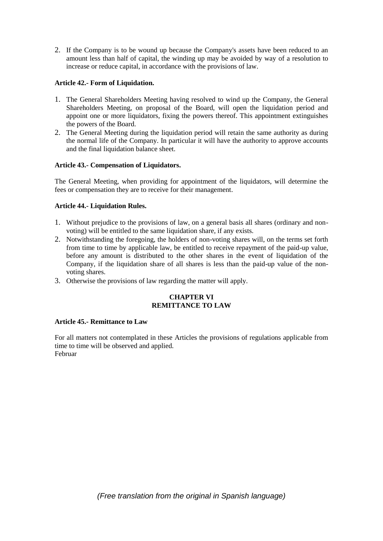2. If the Company is to be wound up because the Company's assets have been reduced to an amount less than half of capital, the winding up may be avoided by way of a resolution to increase or reduce capital, in accordance with the provisions of law.

#### **Article 42.- Form of Liquidation.**

- 1. The General Shareholders Meeting having resolved to wind up the Company, the General Shareholders Meeting, on proposal of the Board, will open the liquidation period and appoint one or more liquidators, fixing the powers thereof. This appointment extinguishes the powers of the Board.
- 2. The General Meeting during the liquidation period will retain the same authority as during the normal life of the Company. In particular it will have the authority to approve accounts and the final liquidation balance sheet.

#### **Article 43.- Compensation of Liquidators.**

The General Meeting, when providing for appointment of the liquidators, will determine the fees or compensation they are to receive for their management.

#### **Article 44.- Liquidation Rules.**

- 1. Without prejudice to the provisions of law, on a general basis all shares (ordinary and nonvoting) will be entitled to the same liquidation share, if any exists.
- 2. Notwithstanding the foregoing, the holders of non-voting shares will, on the terms set forth from time to time by applicable law, be entitled to receive repayment of the paid-up value, before any amount is distributed to the other shares in the event of liquidation of the Company, if the liquidation share of all shares is less than the paid-up value of the nonvoting shares.
- 3. Otherwise the provisions of law regarding the matter will apply.

#### **CHAPTER VI REMITTANCE TO LAW**

#### **Article 45.- Remittance to Law**

For all matters not contemplated in these Articles the provisions of regulations applicable from time to time will be observed and applied. Februar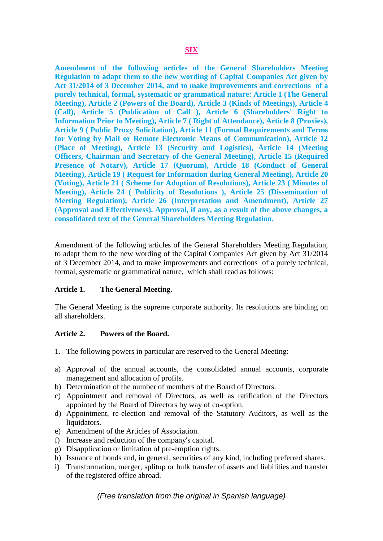**Amendment of the following articles of the General Shareholders Meeting Regulation to adapt them to the new wording of Capital Companies Act given by Act 31/2014 of 3 December 2014, and to make improvements and corrections of a purely technical, formal, systematic or grammatical nature: Article 1 (The General Meeting), Article 2 (Powers of the Board), Article 3 (Kinds of Meetings), Article 4 (Call), Article 5 (Publication of Call ), Article 6 (Shareholders' Right to Information Prior to Meeting), Article 7 ( Right of Attendance), Article 8 (Proxies), Article 9 ( Public Proxy Solicitation), Article 11 (Formal Requirements and Terms for Voting by Mail or Remote Electronic Means of Communication), Article 12 (Place of Meeting), Article 13 (Security and Logistics), Article 14 (Meeting Officers, Chairman and Secretary of the General Meeting), Article 15 (Required Presence of Notary), Article 17 (Quorum), Article 18 (Conduct of General Meeting), Article 19 ( Request for Information during General Meeting), Article 20 (Voting), Article 21 ( Scheme for Adoption of Resolutions), Article 23 ( Minutes of Meeting), Article 24 ( Publicity of Resolutions ), Article 25 (Dissemination of Meeting Regulation), Article 26 (Interpretation and Amendment), Article 27 (Approval and Effectiveness). Approval, if any, as a result of the above changes, a consolidated text of the General Shareholders Meeting Regulation.**

Amendment of the following articles of the General Shareholders Meeting Regulation, to adapt them to the new wording of the Capital Companies Act given by Act 31/2014 of 3 December 2014, and to make improvements and corrections of a purely technical, formal, systematic or grammatical nature, which shall read as follows:

## **Article 1. The General Meeting.**

The General Meeting is the supreme corporate authority. Its resolutions are binding on all shareholders.

## **Article 2. Powers of the Board.**

- 1. The following powers in particular are reserved to the General Meeting:
- a) Approval of the annual accounts, the consolidated annual accounts, corporate management and allocation of profits.
- b) Determination of the number of members of the Board of Directors.
- c) Appointment and removal of Directors, as well as ratification of the Directors appointed by the Board of Directors by way of co-option.
- d) Appointment, re-election and removal of the Statutory Auditors, as well as the liquidators.
- e) Amendment of the Articles of Association.
- f) Increase and reduction of the company's capital.
- g) Disapplication or limitation of pre-emption rights.
- h) Issuance of bonds and, in general, securities of any kind, including preferred shares.
- i) Transformation, merger, splitup or bulk transfer of assets and liabilities and transfer of the registered office abroad.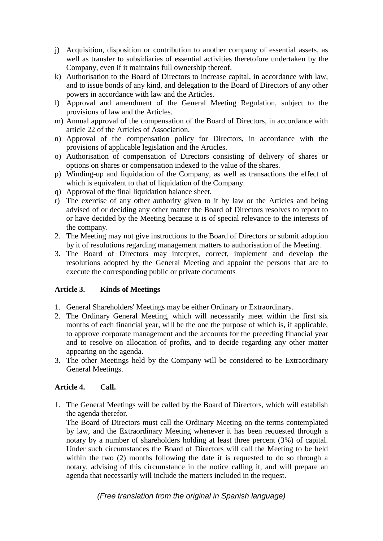- j) Acquisition, disposition or contribution to another company of essential assets, as well as transfer to subsidiaries of essential activities theretofore undertaken by the Company, even if it maintains full ownership thereof.
- k) Authorisation to the Board of Directors to increase capital, in accordance with law, and to issue bonds of any kind, and delegation to the Board of Directors of any other powers in accordance with law and the Articles.
- l) Approval and amendment of the General Meeting Regulation, subject to the provisions of law and the Articles.
- m) Annual approval of the compensation of the Board of Directors, in accordance with article 22 of the Articles of Association.
- n) Approval of the compensation policy for Directors, in accordance with the provisions of applicable legislation and the Articles.
- o) Authorisation of compensation of Directors consisting of delivery of shares or options on shares or compensation indexed to the value of the shares.
- p) Winding-up and liquidation of the Company, as well as transactions the effect of which is equivalent to that of liquidation of the Company.
- q) Approval of the final liquidation balance sheet.
- r) The exercise of any other authority given to it by law or the Articles and being advised of or deciding any other matter the Board of Directors resolves to report to or have decided by the Meeting because it is of special relevance to the interests of the company.
- 2. The Meeting may not give instructions to the Board of Directors or submit adoption by it of resolutions regarding management matters to authorisation of the Meeting.
- 3. The Board of Directors may interpret, correct, implement and develop the resolutions adopted by the General Meeting and appoint the persons that are to execute the corresponding public or private documents

# **Article 3. Kinds of Meetings**

- 1. General Shareholders' Meetings may be either Ordinary or Extraordinary.
- 2. The Ordinary General Meeting, which will necessarily meet within the first six months of each financial year, will be the one the purpose of which is, if applicable, to approve corporate management and the accounts for the preceding financial year and to resolve on allocation of profits, and to decide regarding any other matter appearing on the agenda.
- 3. The other Meetings held by the Company will be considered to be Extraordinary General Meetings.

# **Article 4. Call.**

1. The General Meetings will be called by the Board of Directors, which will establish the agenda therefor.

The Board of Directors must call the Ordinary Meeting on the terms contemplated by law, and the Extraordinary Meeting whenever it has been requested through a notary by a number of shareholders holding at least three percent (3%) of capital. Under such circumstances the Board of Directors will call the Meeting to be held within the two (2) months following the date it is requested to do so through a notary, advising of this circumstance in the notice calling it, and will prepare an agenda that necessarily will include the matters included in the request.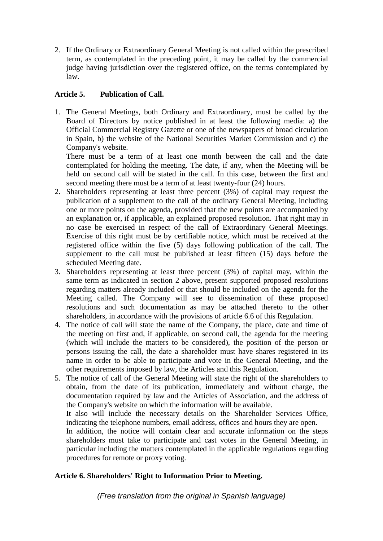2. If the Ordinary or Extraordinary General Meeting is not called within the prescribed term, as contemplated in the preceding point, it may be called by the commercial judge having jurisdiction over the registered office, on the terms contemplated by law.

# **Article 5. Publication of Call.**

1. The General Meetings, both Ordinary and Extraordinary, must be called by the Board of Directors by notice published in at least the following media: a) the Official Commercial Registry Gazette or one of the newspapers of broad circulation in Spain, b) the website of the National Securities Market Commission and c) the Company's website.

There must be a term of at least one month between the call and the date contemplated for holding the meeting. The date, if any, when the Meeting will be held on second call will be stated in the call. In this case, between the first and second meeting there must be a term of at least twenty-four (24) hours.

- 2. Shareholders representing at least three percent (3%) of capital may request the publication of a supplement to the call of the ordinary General Meeting, including one or more points on the agenda, provided that the new points are accompanied by an explanation or, if applicable, an explained proposed resolution. That right may in no case be exercised in respect of the call of Extraordinary General Meetings. Exercise of this right must be by certifiable notice, which must be received at the registered office within the five (5) days following publication of the call. The supplement to the call must be published at least fifteen (15) days before the scheduled Meeting date.
- 3. Shareholders representing at least three percent (3%) of capital may, within the same term as indicated in section 2 above, present supported proposed resolutions regarding matters already included or that should be included on the agenda for the Meeting called. The Company will see to dissemination of these proposed resolutions and such documentation as may be attached thereto to the other shareholders, in accordance with the provisions of article 6.6 of this Regulation.
- 4. The notice of call will state the name of the Company, the place, date and time of the meeting on first and, if applicable, on second call, the agenda for the meeting (which will include the matters to be considered), the position of the person or persons issuing the call, the date a shareholder must have shares registered in its name in order to be able to participate and vote in the General Meeting, and the other requirements imposed by law, the Articles and this Regulation.
- 5. The notice of call of the General Meeting will state the right of the shareholders to obtain, from the date of its publication, immediately and without charge, the documentation required by law and the Articles of Association, and the address of the Company's website on which the information will be available.

It also will include the necessary details on the Shareholder Services Office, indicating the telephone numbers, email address, offices and hours they are open.

In addition, the notice will contain clear and accurate information on the steps shareholders must take to participate and cast votes in the General Meeting, in particular including the matters contemplated in the applicable regulations regarding procedures for remote or proxy voting.

# **Article 6. Shareholders' Right to Information Prior to Meeting.**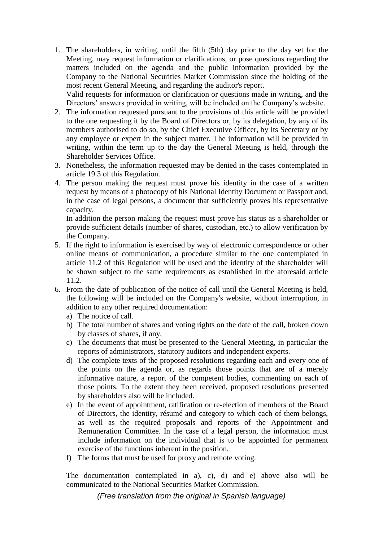1. The shareholders, in writing, until the fifth (5th) day prior to the day set for the Meeting, may request information or clarifications, or pose questions regarding the matters included on the agenda and the public information provided by the Company to the National Securities Market Commission since the holding of the most recent General Meeting, and regarding the auditor's report.

Valid requests for information or clarification or questions made in writing, and the Directors' answers provided in writing, will be included on the Company's website.

- 2. The information requested pursuant to the provisions of this article will be provided to the one requesting it by the Board of Directors or, by its delegation, by any of its members authorised to do so, by the Chief Executive Officer, by Its Secretary or by any employee or expert in the subject matter. The information will be provided in writing, within the term up to the day the General Meeting is held, through the Shareholder Services Office.
- 3. Nonetheless, the information requested may be denied in the cases contemplated in article 19.3 of this Regulation.
- 4. The person making the request must prove his identity in the case of a written request by means of a photocopy of his National Identity Document or Passport and, in the case of legal persons, a document that sufficiently proves his representative capacity.

In addition the person making the request must prove his status as a shareholder or provide sufficient details (number of shares, custodian, etc.) to allow verification by the Company.

- 5. If the right to information is exercised by way of electronic correspondence or other online means of communication, a procedure similar to the one contemplated in article 11.2 of this Regulation will be used and the identity of the shareholder will be shown subject to the same requirements as established in the aforesaid article 11.2.
- 6. From the date of publication of the notice of call until the General Meeting is held, the following will be included on the Company's website, without interruption, in addition to any other required documentation:
	- a) The notice of call.
	- b) The total number of shares and voting rights on the date of the call, broken down by classes of shares, if any.
	- c) The documents that must be presented to the General Meeting, in particular the reports of administrators, statutory auditors and independent experts.
	- d) The complete texts of the proposed resolutions regarding each and every one of the points on the agenda or, as regards those points that are of a merely informative nature, a report of the competent bodies, commenting on each of those points. To the extent they been received, proposed resolutions presented by shareholders also will be included.
	- e) In the event of appointment, ratification or re-election of members of the Board of Directors, the identity, résumé and category to which each of them belongs, as well as the required proposals and reports of the Appointment and Remuneration Committee. In the case of a legal person, the information must include information on the individual that is to be appointed for permanent exercise of the functions inherent in the position.
	- f) The forms that must be used for proxy and remote voting.

The documentation contemplated in a), c), d) and e) above also will be communicated to the National Securities Market Commission.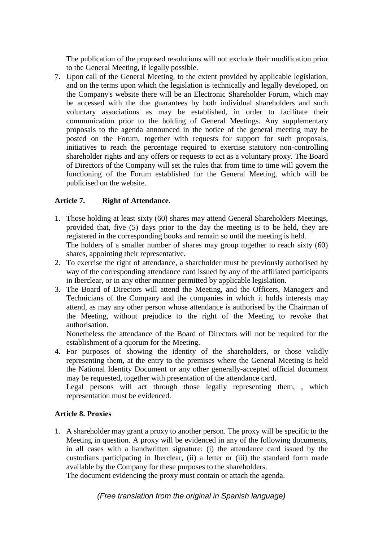The publication of the proposed resolutions will not exclude their modification prior to the General Meeting, if legally possible.

7. Upon call of the General Meeting, to the extent provided by applicable legislation, and on the terms upon which the legislation is technically and legally developed, on the Company's website there will be an Electronic Shareholder Forum, which may be accessed with the due guarantees by both individual shareholders and such voluntary associations as may be established, in order to facilitate their communication prior to the holding of General Meetings. Any supplementary proposals to the agenda announced in the notice of the general meeting may be posted on the Forum, together with requests for support for such proposals, initiatives to reach the percentage required to exercise statutory non-controlling shareholder rights and any offers or requests to act as a voluntary proxy. The Board of Directors of the Company will set the rules that from time to time will govern the functioning of the Forum established for the General Meeting, which will be publicised on the website.

# **Article 7. Right of Attendance.**

- 1. Those holding at least sixty (60) shares may attend General Shareholders Meetings, provided that, five (5) days prior to the day the meeting is to be held, they are registered in the corresponding books and remain so until the meeting is held. The holders of a smaller number of shares may group together to reach sixty (60) shares, appointing their representative.
- 2. To exercise the right of attendance, a shareholder must be previously authorised by way of the corresponding attendance card issued by any of the affiliated participants in Iberclear, or in any other manner permitted by applicable legislation.
- 3. The Board of Directors will attend the Meeting, and the Officers, Managers and Technicians of the Company and the companies in which it holds interests may attend, as may any other person whose attendance is authorised by the Chairman of the Meeting, without prejudice to the right of the Meeting to revoke that authorisation.

Nonetheless the attendance of the Board of Directors will not be required for the establishment of a quorum for the Meeting.

4. For purposes of showing the identity of the shareholders, or those validly representing them, at the entry to the premises where the General Meeting is held the National Identity Document or any other generally-accepted official document may be requested, together with presentation of the attendance card.

Legal persons will act through those legally representing them, , which representation must be evidenced.

# **Article 8. Proxies**

1. A shareholder may grant a proxy to another person. The proxy will be specific to the Meeting in question. A proxy will be evidenced in any of the following documents, in all cases with a handwritten signature: (i) the attendance card issued by the custodians participating in Iberclear, (ii) a letter or (iii) the standard form made available by the Company for these purposes to the shareholders.

The document evidencing the proxy must contain or attach the agenda.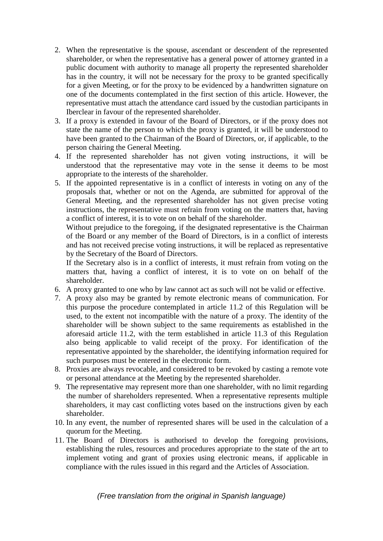- 2. When the representative is the spouse, ascendant or descendent of the represented shareholder, or when the representative has a general power of attorney granted in a public document with authority to manage all property the represented shareholder has in the country, it will not be necessary for the proxy to be granted specifically for a given Meeting, or for the proxy to be evidenced by a handwritten signature on one of the documents contemplated in the first section of this article. However, the representative must attach the attendance card issued by the custodian participants in Iberclear in favour of the represented shareholder.
- 3. If a proxy is extended in favour of the Board of Directors, or if the proxy does not state the name of the person to which the proxy is granted, it will be understood to have been granted to the Chairman of the Board of Directors, or, if applicable, to the person chairing the General Meeting.
- 4. If the represented shareholder has not given voting instructions, it will be understood that the representative may vote in the sense it deems to be most appropriate to the interests of the shareholder.
- 5. If the appointed representative is in a conflict of interests in voting on any of the proposals that, whether or not on the Agenda, are submitted for approval of the General Meeting, and the represented shareholder has not given precise voting instructions, the representative must refrain from voting on the matters that, having a conflict of interest, it is to vote on on behalf of the shareholder.

Without prejudice to the foregoing, if the designated representative is the Chairman of the Board or any member of the Board of Directors, is in a conflict of interests and has not received precise voting instructions, it will be replaced as representative by the Secretary of the Board of Directors.

If the Secretary also is in a conflict of interests, it must refrain from voting on the matters that, having a conflict of interest, it is to vote on on behalf of the shareholder.

- 6. A proxy granted to one who by law cannot act as such will not be valid or effective.
- 7. A proxy also may be granted by remote electronic means of communication. For this purpose the procedure contemplated in article 11.2 of this Regulation will be used, to the extent not incompatible with the nature of a proxy. The identity of the shareholder will be shown subject to the same requirements as established in the aforesaid article 11.2, with the term established in article 11.3 of this Regulation also being applicable to valid receipt of the proxy. For identification of the representative appointed by the shareholder, the identifying information required for such purposes must be entered in the electronic form.
- 8. Proxies are always revocable, and considered to be revoked by casting a remote vote or personal attendance at the Meeting by the represented shareholder.
- 9. The representative may represent more than one shareholder, with no limit regarding the number of shareholders represented. When a representative represents multiple shareholders, it may cast conflicting votes based on the instructions given by each shareholder.
- 10. In any event, the number of represented shares will be used in the calculation of a quorum for the Meeting.
- 11. The Board of Directors is authorised to develop the foregoing provisions, establishing the rules, resources and procedures appropriate to the state of the art to implement voting and grant of proxies using electronic means, if applicable in compliance with the rules issued in this regard and the Articles of Association.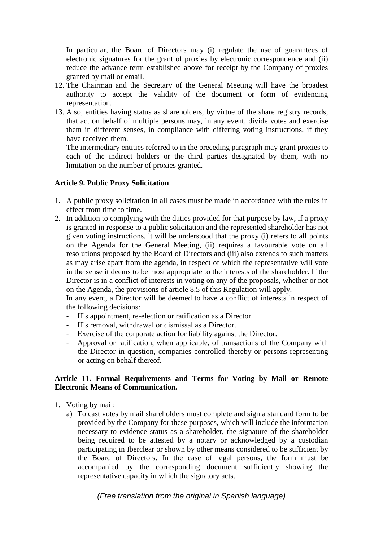In particular, the Board of Directors may (i) regulate the use of guarantees of electronic signatures for the grant of proxies by electronic correspondence and (ii) reduce the advance term established above for receipt by the Company of proxies granted by mail or email.

- 12. The Chairman and the Secretary of the General Meeting will have the broadest authority to accept the validity of the document or form of evidencing representation.
- 13. Also, entities having status as shareholders, by virtue of the share registry records, that act on behalf of multiple persons may, in any event, divide votes and exercise them in different senses, in compliance with differing voting instructions, if they have received them.

The intermediary entities referred to in the preceding paragraph may grant proxies to each of the indirect holders or the third parties designated by them, with no limitation on the number of proxies granted.

## **Article 9. Public Proxy Solicitation**

- 1. A public proxy solicitation in all cases must be made in accordance with the rules in effect from time to time.
- 2. In addition to complying with the duties provided for that purpose by law, if a proxy is granted in response to a public solicitation and the represented shareholder has not given voting instructions, it will be understood that the proxy (i) refers to all points on the Agenda for the General Meeting, (ii) requires a favourable vote on all resolutions proposed by the Board of Directors and (iii) also extends to such matters as may arise apart from the agenda, in respect of which the representative will vote in the sense it deems to be most appropriate to the interests of the shareholder. If the Director is in a conflict of interests in voting on any of the proposals, whether or not on the Agenda, the provisions of article 8.5 of this Regulation will apply.

In any event, a Director will be deemed to have a conflict of interests in respect of the following decisions:

- His appointment, re-election or ratification as a Director.
- His removal, withdrawal or dismissal as a Director.
- Exercise of the corporate action for liability against the Director.
- Approval or ratification, when applicable, of transactions of the Company with the Director in question, companies controlled thereby or persons representing or acting on behalf thereof.

## **Article 11. Formal Requirements and Terms for Voting by Mail or Remote Electronic Means of Communication.**

- 1. Voting by mail:
	- a) To cast votes by mail shareholders must complete and sign a standard form to be provided by the Company for these purposes, which will include the information necessary to evidence status as a shareholder, the signature of the shareholder being required to be attested by a notary or acknowledged by a custodian participating in Iberclear or shown by other means considered to be sufficient by the Board of Directors. In the case of legal persons, the form must be accompanied by the corresponding document sufficiently showing the representative capacity in which the signatory acts.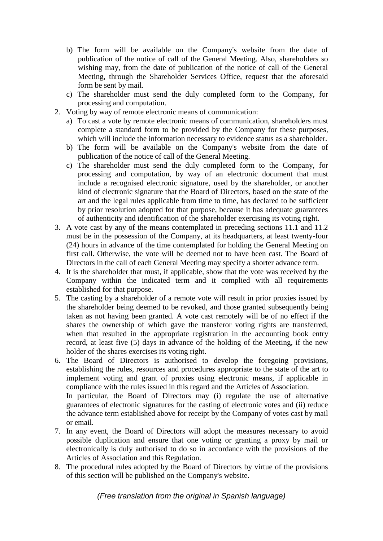- b) The form will be available on the Company's website from the date of publication of the notice of call of the General Meeting. Also, shareholders so wishing may, from the date of publication of the notice of call of the General Meeting, through the Shareholder Services Office, request that the aforesaid form be sent by mail.
- c) The shareholder must send the duly completed form to the Company, for processing and computation.
- 2. Voting by way of remote electronic means of communication:
	- a) To cast a vote by remote electronic means of communication, shareholders must complete a standard form to be provided by the Company for these purposes, which will include the information necessary to evidence status as a shareholder.
	- b) The form will be available on the Company's website from the date of publication of the notice of call of the General Meeting.
	- c) The shareholder must send the duly completed form to the Company, for processing and computation, by way of an electronic document that must include a recognised electronic signature, used by the shareholder, or another kind of electronic signature that the Board of Directors, based on the state of the art and the legal rules applicable from time to time, has declared to be sufficient by prior resolution adopted for that purpose, because it has adequate guarantees of authenticity and identification of the shareholder exercising its voting right.
- 3. A vote cast by any of the means contemplated in preceding sections 11.1 and 11.2 must be in the possession of the Company, at its headquarters, at least twenty-four (24) hours in advance of the time contemplated for holding the General Meeting on first call. Otherwise, the vote will be deemed not to have been cast. The Board of Directors in the call of each General Meeting may specify a shorter advance term.
- 4. It is the shareholder that must, if applicable, show that the vote was received by the Company within the indicated term and it complied with all requirements established for that purpose.
- 5. The casting by a shareholder of a remote vote will result in prior proxies issued by the shareholder being deemed to be revoked, and those granted subsequently being taken as not having been granted. A vote cast remotely will be of no effect if the shares the ownership of which gave the transferor voting rights are transferred, when that resulted in the appropriate registration in the accounting book entry record, at least five (5) days in advance of the holding of the Meeting, if the new holder of the shares exercises its voting right.
- 6. The Board of Directors is authorised to develop the foregoing provisions, establishing the rules, resources and procedures appropriate to the state of the art to implement voting and grant of proxies using electronic means, if applicable in compliance with the rules issued in this regard and the Articles of Association. In particular, the Board of Directors may (i) regulate the use of alternative guarantees of electronic signatures for the casting of electronic votes and (ii) reduce the advance term established above for receipt by the Company of votes cast by mail

or email.

- 7. In any event, the Board of Directors will adopt the measures necessary to avoid possible duplication and ensure that one voting or granting a proxy by mail or electronically is duly authorised to do so in accordance with the provisions of the Articles of Association and this Regulation.
- 8. The procedural rules adopted by the Board of Directors by virtue of the provisions of this section will be published on the Company's website.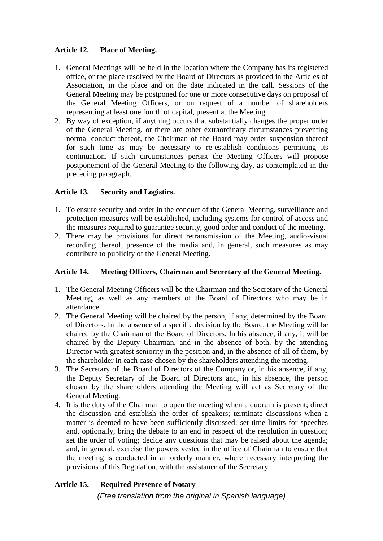# **Article 12. Place of Meeting.**

- 1. General Meetings will be held in the location where the Company has its registered office, or the place resolved by the Board of Directors as provided in the Articles of Association, in the place and on the date indicated in the call. Sessions of the General Meeting may be postponed for one or more consecutive days on proposal of the General Meeting Officers, or on request of a number of shareholders representing at least one fourth of capital, present at the Meeting.
- 2. By way of exception, if anything occurs that substantially changes the proper order of the General Meeting, or there are other extraordinary circumstances preventing normal conduct thereof, the Chairman of the Board may order suspension thereof for such time as may be necessary to re-establish conditions permitting its continuation. If such circumstances persist the Meeting Officers will propose postponement of the General Meeting to the following day, as contemplated in the preceding paragraph.

# **Article 13. Security and Logistics.**

- 1. To ensure security and order in the conduct of the General Meeting, surveillance and protection measures will be established, including systems for control of access and the measures required to guarantee security, good order and conduct of the meeting.
- 2. There may be provisions for direct retransmission of the Meeting, audio-visual recording thereof, presence of the media and, in general, such measures as may contribute to publicity of the General Meeting.

## **Article 14. Meeting Officers, Chairman and Secretary of the General Meeting.**

- 1. The General Meeting Officers will be the Chairman and the Secretary of the General Meeting, as well as any members of the Board of Directors who may be in attendance.
- 2. The General Meeting will be chaired by the person, if any, determined by the Board of Directors. In the absence of a specific decision by the Board, the Meeting will be chaired by the Chairman of the Board of Directors. In his absence, if any, it will be chaired by the Deputy Chairman, and in the absence of both, by the attending Director with greatest seniority in the position and, in the absence of all of them, by the shareholder in each case chosen by the shareholders attending the meeting.
- 3. The Secretary of the Board of Directors of the Company or, in his absence, if any, the Deputy Secretary of the Board of Directors and, in his absence, the person chosen by the shareholders attending the Meeting will act as Secretary of the General Meeting.
- 4. It is the duty of the Chairman to open the meeting when a quorum is present; direct the discussion and establish the order of speakers; terminate discussions when a matter is deemed to have been sufficiently discussed; set time limits for speeches and, optionally, bring the debate to an end in respect of the resolution in question; set the order of voting; decide any questions that may be raised about the agenda; and, in general, exercise the powers vested in the office of Chairman to ensure that the meeting is conducted in an orderly manner, where necessary interpreting the provisions of this Regulation, with the assistance of the Secretary.

# **Article 15. Required Presence of Notary**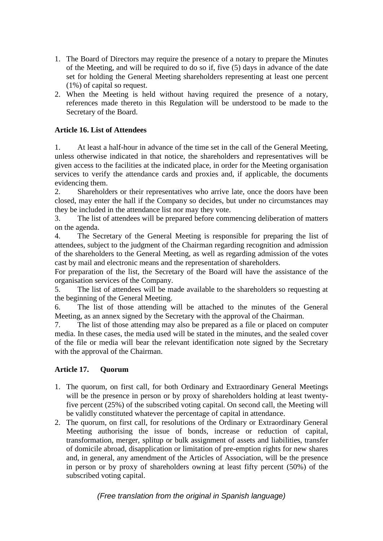- 1. The Board of Directors may require the presence of a notary to prepare the Minutes of the Meeting, and will be required to do so if, five (5) days in advance of the date set for holding the General Meeting shareholders representing at least one percent (1%) of capital so request.
- 2. When the Meeting is held without having required the presence of a notary, references made thereto in this Regulation will be understood to be made to the Secretary of the Board.

# **Article 16. List of Attendees**

1. At least a half-hour in advance of the time set in the call of the General Meeting, unless otherwise indicated in that notice, the shareholders and representatives will be given access to the facilities at the indicated place, in order for the Meeting organisation services to verify the attendance cards and proxies and, if applicable, the documents evidencing them.

2. Shareholders or their representatives who arrive late, once the doors have been closed, may enter the hall if the Company so decides, but under no circumstances may they be included in the attendance list nor may they vote.

3. The list of attendees will be prepared before commencing deliberation of matters on the agenda.

4. The Secretary of the General Meeting is responsible for preparing the list of attendees, subject to the judgment of the Chairman regarding recognition and admission of the shareholders to the General Meeting, as well as regarding admission of the votes cast by mail and electronic means and the representation of shareholders.

For preparation of the list, the Secretary of the Board will have the assistance of the organisation services of the Company.

5. The list of attendees will be made available to the shareholders so requesting at the beginning of the General Meeting.

6. The list of those attending will be attached to the minutes of the General Meeting, as an annex signed by the Secretary with the approval of the Chairman.

7. The list of those attending may also be prepared as a file or placed on computer media. In these cases, the media used will be stated in the minutes, and the sealed cover of the file or media will bear the relevant identification note signed by the Secretary with the approval of the Chairman.

# **Article 17. Quorum**

- 1. The quorum, on first call, for both Ordinary and Extraordinary General Meetings will be the presence in person or by proxy of shareholders holding at least twentyfive percent (25%) of the subscribed voting capital. On second call, the Meeting will be validly constituted whatever the percentage of capital in attendance.
- 2. The quorum, on first call, for resolutions of the Ordinary or Extraordinary General Meeting authorising the issue of bonds, increase or reduction of capital, transformation, merger, splitup or bulk assignment of assets and liabilities, transfer of domicile abroad, disapplication or limitation of pre-emption rights for new shares and, in general, any amendment of the Articles of Association, will be the presence in person or by proxy of shareholders owning at least fifty percent (50%) of the subscribed voting capital.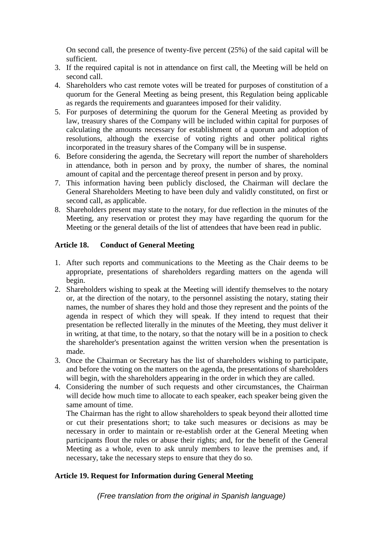On second call, the presence of twenty-five percent (25%) of the said capital will be sufficient.

- 3. If the required capital is not in attendance on first call, the Meeting will be held on second call.
- 4. Shareholders who cast remote votes will be treated for purposes of constitution of a quorum for the General Meeting as being present, this Regulation being applicable as regards the requirements and guarantees imposed for their validity.
- 5. For purposes of determining the quorum for the General Meeting as provided by law, treasury shares of the Company will be included within capital for purposes of calculating the amounts necessary for establishment of a quorum and adoption of resolutions, although the exercise of voting rights and other political rights incorporated in the treasury shares of the Company will be in suspense.
- 6. Before considering the agenda, the Secretary will report the number of shareholders in attendance, both in person and by proxy, the number of shares, the nominal amount of capital and the percentage thereof present in person and by proxy.
- 7. This information having been publicly disclosed, the Chairman will declare the General Shareholders Meeting to have been duly and validly constituted, on first or second call, as applicable.
- 8. Shareholders present may state to the notary, for due reflection in the minutes of the Meeting, any reservation or protest they may have regarding the quorum for the Meeting or the general details of the list of attendees that have been read in public.

# **Article 18. Conduct of General Meeting**

- 1. After such reports and communications to the Meeting as the Chair deems to be appropriate, presentations of shareholders regarding matters on the agenda will begin.
- 2. Shareholders wishing to speak at the Meeting will identify themselves to the notary or, at the direction of the notary, to the personnel assisting the notary, stating their names, the number of shares they hold and those they represent and the points of the agenda in respect of which they will speak. If they intend to request that their presentation be reflected literally in the minutes of the Meeting, they must deliver it in writing, at that time, to the notary, so that the notary will be in a position to check the shareholder's presentation against the written version when the presentation is made.
- 3. Once the Chairman or Secretary has the list of shareholders wishing to participate, and before the voting on the matters on the agenda, the presentations of shareholders will begin, with the shareholders appearing in the order in which they are called.
- 4. Considering the number of such requests and other circumstances, the Chairman will decide how much time to allocate to each speaker, each speaker being given the same amount of time.

The Chairman has the right to allow shareholders to speak beyond their allotted time or cut their presentations short; to take such measures or decisions as may be necessary in order to maintain or re-establish order at the General Meeting when participants flout the rules or abuse their rights; and, for the benefit of the General Meeting as a whole, even to ask unruly members to leave the premises and, if necessary, take the necessary steps to ensure that they do so.

# **Article 19. Request for Information during General Meeting**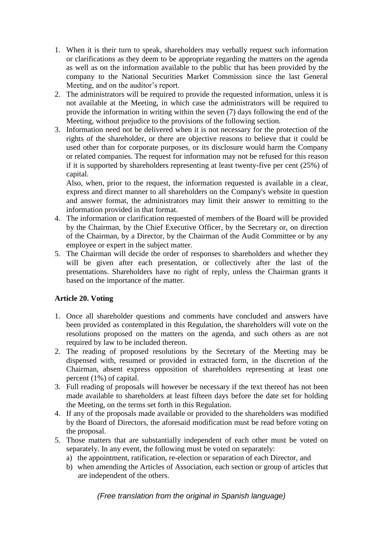- 1. When it is their turn to speak, shareholders may verbally request such information or clarifications as they deem to be appropriate regarding the matters on the agenda as well as on the information available to the public that has been provided by the company to the National Securities Market Commission since the last General Meeting, and on the auditor's report.
- 2. The administrators will be required to provide the requested information, unless it is not available at the Meeting, in which case the administrators will be required to provide the information in writing within the seven (7) days following the end of the Meeting, without prejudice to the provisions of the following section.
- 3. Information need not be delivered when it is not necessary for the protection of the rights of the shareholder, or there are objective reasons to believe that it could be used other than for corporate purposes, or its disclosure would harm the Company or related companies. The request for information may not be refused for this reason if it is supported by shareholders representing at least twenty-five per cent (25%) of capital.

Also, when, prior to the request, the information requested is available in a clear, express and direct manner to all shareholders on the Company's website in question and answer format, the administrators may limit their answer to remitting to the information provided in that format.

- 4. The information or clarification requested of members of the Board will be provided by the Chairman, by the Chief Executive Officer, by the Secretary or, on direction of the Chairman, by a Director, by the Chairman of the Audit Committee or by any employee or expert in the subject matter.
- 5. The Chairman will decide the order of responses to shareholders and whether they will be given after each presentation, or collectively after the last of the presentations. Shareholders have no right of reply, unless the Chairman grants it based on the importance of the matter.

# **Article 20. Voting**

- 1. Once all shareholder questions and comments have concluded and answers have been provided as contemplated in this Regulation, the shareholders will vote on the resolutions proposed on the matters on the agenda, and such others as are not required by law to be included thereon.
- 2. The reading of proposed resolutions by the Secretary of the Meeting may be dispensed with, resumed or provided in extracted form, in the discretion of the Chairman, absent express opposition of shareholders representing at least one percent (1%) of capital.
- 3. Full reading of proposals will however be necessary if the text thereof has not been made available to shareholders at least fifteen days before the date set for holding the Meeting, on the terms set forth in this Regulation.
- 4. If any of the proposals made available or provided to the shareholders was modified by the Board of Directors, the aforesaid modification must be read before voting on the proposal.
- 5. Those matters that are substantially independent of each other must be voted on separately. In any event, the following must be voted on separately:
	- a) the appointment, ratification, re-election or separation of each Director, and
	- b) when amending the Articles of Association, each section or group of articles that are independent of the others.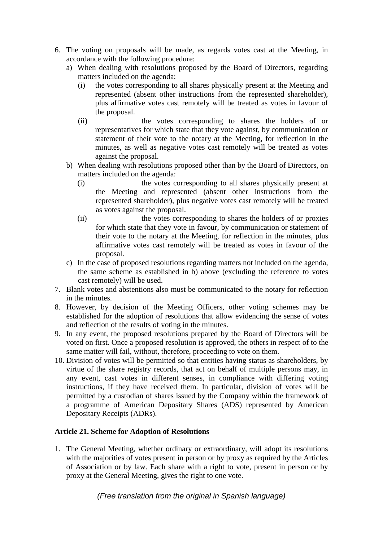- 6. The voting on proposals will be made, as regards votes cast at the Meeting, in accordance with the following procedure:
	- a) When dealing with resolutions proposed by the Board of Directors, regarding matters included on the agenda:
		- (i) the votes corresponding to all shares physically present at the Meeting and represented (absent other instructions from the represented shareholder), plus affirmative votes cast remotely will be treated as votes in favour of the proposal.
		- (ii) the votes corresponding to shares the holders of or representatives for which state that they vote against, by communication or statement of their vote to the notary at the Meeting, for reflection in the minutes, as well as negative votes cast remotely will be treated as votes against the proposal.
	- b) When dealing with resolutions proposed other than by the Board of Directors, on matters included on the agenda:
		- (i) the votes corresponding to all shares physically present at the Meeting and represented (absent other instructions from the represented shareholder), plus negative votes cast remotely will be treated as votes against the proposal.
		- (ii) the votes corresponding to shares the holders of or proxies for which state that they vote in favour, by communication or statement of their vote to the notary at the Meeting, for reflection in the minutes, plus affirmative votes cast remotely will be treated as votes in favour of the proposal.
	- c) In the case of proposed resolutions regarding matters not included on the agenda, the same scheme as established in b) above (excluding the reference to votes cast remotely) will be used.
- 7. Blank votes and abstentions also must be communicated to the notary for reflection in the minutes.
- 8. However, by decision of the Meeting Officers, other voting schemes may be established for the adoption of resolutions that allow evidencing the sense of votes and reflection of the results of voting in the minutes.
- 9. In any event, the proposed resolutions prepared by the Board of Directors will be voted on first. Once a proposed resolution is approved, the others in respect of to the same matter will fail, without, therefore, proceeding to vote on them.
- 10. Division of votes will be permitted so that entities having status as shareholders, by virtue of the share registry records, that act on behalf of multiple persons may, in any event, cast votes in different senses, in compliance with differing voting instructions, if they have received them. In particular, division of votes will be permitted by a custodian of shares issued by the Company within the framework of a programme of American Depositary Shares (ADS) represented by American Depositary Receipts (ADRs).

# **Article 21. Scheme for Adoption of Resolutions**

1. The General Meeting, whether ordinary or extraordinary, will adopt its resolutions with the majorities of votes present in person or by proxy as required by the Articles of Association or by law. Each share with a right to vote, present in person or by proxy at the General Meeting, gives the right to one vote.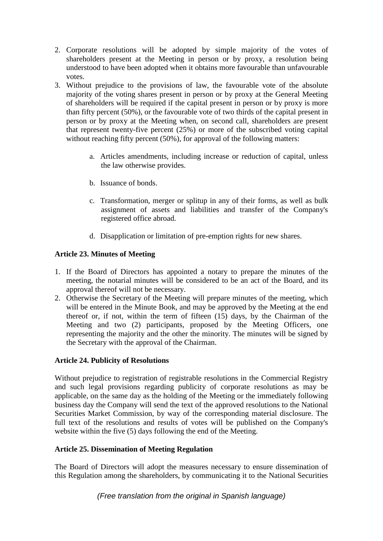- 2. Corporate resolutions will be adopted by simple majority of the votes of shareholders present at the Meeting in person or by proxy, a resolution being understood to have been adopted when it obtains more favourable than unfavourable votes.
- 3. Without prejudice to the provisions of law, the favourable vote of the absolute majority of the voting shares present in person or by proxy at the General Meeting of shareholders will be required if the capital present in person or by proxy is more than fifty percent (50%), or the favourable vote of two thirds of the capital present in person or by proxy at the Meeting when, on second call, shareholders are present that represent twenty-five percent (25%) or more of the subscribed voting capital without reaching fifty percent (50%), for approval of the following matters:
	- a. Articles amendments, including increase or reduction of capital, unless the law otherwise provides.
	- b. Issuance of bonds.
	- c. Transformation, merger or splitup in any of their forms, as well as bulk assignment of assets and liabilities and transfer of the Company's registered office abroad.
	- d. Disapplication or limitation of pre-emption rights for new shares.

# **Article 23. Minutes of Meeting**

- 1. If the Board of Directors has appointed a notary to prepare the minutes of the meeting, the notarial minutes will be considered to be an act of the Board, and its approval thereof will not be necessary.
- 2. Otherwise the Secretary of the Meeting will prepare minutes of the meeting, which will be entered in the Minute Book, and may be approved by the Meeting at the end thereof or, if not, within the term of fifteen (15) days, by the Chairman of the Meeting and two (2) participants, proposed by the Meeting Officers, one representing the majority and the other the minority. The minutes will be signed by the Secretary with the approval of the Chairman.

# **Article 24. Publicity of Resolutions**

Without prejudice to registration of registrable resolutions in the Commercial Registry and such legal provisions regarding publicity of corporate resolutions as may be applicable, on the same day as the holding of the Meeting or the immediately following business day the Company will send the text of the approved resolutions to the National Securities Market Commission, by way of the corresponding material disclosure. The full text of the resolutions and results of votes will be published on the Company's website within the five (5) days following the end of the Meeting.

# **Article 25. Dissemination of Meeting Regulation**

The Board of Directors will adopt the measures necessary to ensure dissemination of this Regulation among the shareholders, by communicating it to the National Securities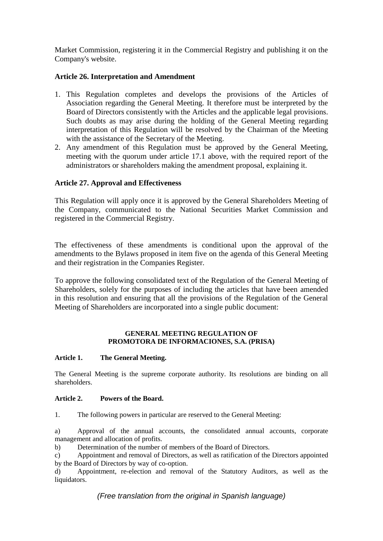Market Commission, registering it in the Commercial Registry and publishing it on the Company's website.

## **Article 26. Interpretation and Amendment**

- 1. This Regulation completes and develops the provisions of the Articles of Association regarding the General Meeting. It therefore must be interpreted by the Board of Directors consistently with the Articles and the applicable legal provisions. Such doubts as may arise during the holding of the General Meeting regarding interpretation of this Regulation will be resolved by the Chairman of the Meeting with the assistance of the Secretary of the Meeting.
- 2. Any amendment of this Regulation must be approved by the General Meeting, meeting with the quorum under article 17.1 above, with the required report of the administrators or shareholders making the amendment proposal, explaining it.

## **Article 27. Approval and Effectiveness**

This Regulation will apply once it is approved by the General Shareholders Meeting of the Company, communicated to the National Securities Market Commission and registered in the Commercial Registry.

The effectiveness of these amendments is conditional upon the approval of the amendments to the Bylaws proposed in item five on the agenda of this General Meeting and their registration in the Companies Register.

To approve the following consolidated text of the Regulation of the General Meeting of Shareholders, solely for the purposes of including the articles that have been amended in this resolution and ensuring that all the provisions of the Regulation of the General Meeting of Shareholders are incorporated into a single public document:

#### **GENERAL MEETING REGULATION OF PROMOTORA DE INFORMACIONES, S.A. (PRISA)**

## **Article 1. The General Meeting.**

The General Meeting is the supreme corporate authority. Its resolutions are binding on all shareholders.

#### **Article 2. Powers of the Board.**

1. The following powers in particular are reserved to the General Meeting:

a) Approval of the annual accounts, the consolidated annual accounts, corporate management and allocation of profits.

b) Determination of the number of members of the Board of Directors.

c) Appointment and removal of Directors, as well as ratification of the Directors appointed by the Board of Directors by way of co-option.

d) Appointment, re-election and removal of the Statutory Auditors, as well as the liquidators.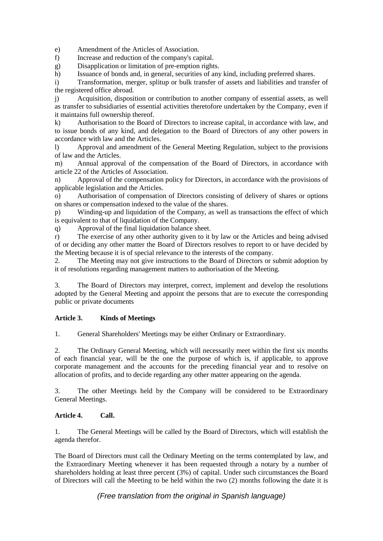e) Amendment of the Articles of Association.

f) Increase and reduction of the company's capital.

g) Disapplication or limitation of pre-emption rights.

h) Issuance of bonds and, in general, securities of any kind, including preferred shares.

i) Transformation, merger, splitup or bulk transfer of assets and liabilities and transfer of the registered office abroad.

j) Acquisition, disposition or contribution to another company of essential assets, as well as transfer to subsidiaries of essential activities theretofore undertaken by the Company, even if it maintains full ownership thereof.

k) Authorisation to the Board of Directors to increase capital, in accordance with law, and to issue bonds of any kind, and delegation to the Board of Directors of any other powers in accordance with law and the Articles.

l) Approval and amendment of the General Meeting Regulation, subject to the provisions of law and the Articles.

m) Annual approval of the compensation of the Board of Directors, in accordance with article 22 of the Articles of Association.

n) Approval of the compensation policy for Directors, in accordance with the provisions of applicable legislation and the Articles.

o) Authorisation of compensation of Directors consisting of delivery of shares or options on shares or compensation indexed to the value of the shares.

p) Winding-up and liquidation of the Company, as well as transactions the effect of which is equivalent to that of liquidation of the Company.

q) Approval of the final liquidation balance sheet.

r) The exercise of any other authority given to it by law or the Articles and being advised of or deciding any other matter the Board of Directors resolves to report to or have decided by the Meeting because it is of special relevance to the interests of the company.

2. The Meeting may not give instructions to the Board of Directors or submit adoption by it of resolutions regarding management matters to authorisation of the Meeting.

3. The Board of Directors may interpret, correct, implement and develop the resolutions adopted by the General Meeting and appoint the persons that are to execute the corresponding public or private documents

#### **Article 3. Kinds of Meetings**

1. General Shareholders' Meetings may be either Ordinary or Extraordinary.

2. The Ordinary General Meeting, which will necessarily meet within the first six months of each financial year, will be the one the purpose of which is, if applicable, to approve corporate management and the accounts for the preceding financial year and to resolve on allocation of profits, and to decide regarding any other matter appearing on the agenda.

3. The other Meetings held by the Company will be considered to be Extraordinary General Meetings.

#### **Article 4. Call.**

1. The General Meetings will be called by the Board of Directors, which will establish the agenda therefor.

The Board of Directors must call the Ordinary Meeting on the terms contemplated by law, and the Extraordinary Meeting whenever it has been requested through a notary by a number of shareholders holding at least three percent (3%) of capital. Under such circumstances the Board of Directors will call the Meeting to be held within the two (2) months following the date it is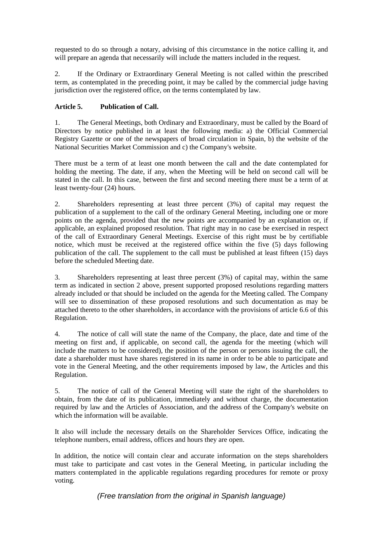requested to do so through a notary, advising of this circumstance in the notice calling it, and will prepare an agenda that necessarily will include the matters included in the request.

2. If the Ordinary or Extraordinary General Meeting is not called within the prescribed term, as contemplated in the preceding point, it may be called by the commercial judge having jurisdiction over the registered office, on the terms contemplated by law.

## **Article 5. Publication of Call.**

1. The General Meetings, both Ordinary and Extraordinary, must be called by the Board of Directors by notice published in at least the following media: a) the Official Commercial Registry Gazette or one of the newspapers of broad circulation in Spain, b) the website of the National Securities Market Commission and c) the Company's website.

There must be a term of at least one month between the call and the date contemplated for holding the meeting. The date, if any, when the Meeting will be held on second call will be stated in the call. In this case, between the first and second meeting there must be a term of at least twenty-four (24) hours.

2. Shareholders representing at least three percent (3%) of capital may request the publication of a supplement to the call of the ordinary General Meeting, including one or more points on the agenda, provided that the new points are accompanied by an explanation or, if applicable, an explained proposed resolution. That right may in no case be exercised in respect of the call of Extraordinary General Meetings. Exercise of this right must be by certifiable notice, which must be received at the registered office within the five (5) days following publication of the call. The supplement to the call must be published at least fifteen (15) days before the scheduled Meeting date.

3. Shareholders representing at least three percent (3%) of capital may, within the same term as indicated in section 2 above, present supported proposed resolutions regarding matters already included or that should be included on the agenda for the Meeting called. The Company will see to dissemination of these proposed resolutions and such documentation as may be attached thereto to the other shareholders, in accordance with the provisions of article 6.6 of this Regulation.

4. The notice of call will state the name of the Company, the place, date and time of the meeting on first and, if applicable, on second call, the agenda for the meeting (which will include the matters to be considered), the position of the person or persons issuing the call, the date a shareholder must have shares registered in its name in order to be able to participate and vote in the General Meeting, and the other requirements imposed by law, the Articles and this Regulation.

5. The notice of call of the General Meeting will state the right of the shareholders to obtain, from the date of its publication, immediately and without charge, the documentation required by law and the Articles of Association, and the address of the Company's website on which the information will be available.

It also will include the necessary details on the Shareholder Services Office, indicating the telephone numbers, email address, offices and hours they are open.

In addition, the notice will contain clear and accurate information on the steps shareholders must take to participate and cast votes in the General Meeting, in particular including the matters contemplated in the applicable regulations regarding procedures for remote or proxy voting.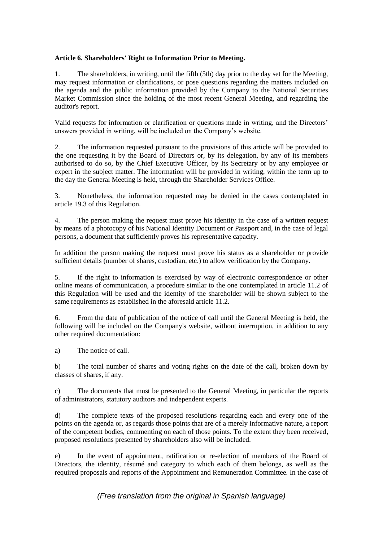## **Article 6. Shareholders' Right to Information Prior to Meeting.**

1. The shareholders, in writing, until the fifth (5th) day prior to the day set for the Meeting, may request information or clarifications, or pose questions regarding the matters included on the agenda and the public information provided by the Company to the National Securities Market Commission since the holding of the most recent General Meeting, and regarding the auditor's report.

Valid requests for information or clarification or questions made in writing, and the Directors' answers provided in writing, will be included on the Company's website.

2. The information requested pursuant to the provisions of this article will be provided to the one requesting it by the Board of Directors or, by its delegation, by any of its members authorised to do so, by the Chief Executive Officer, by Its Secretary or by any employee or expert in the subject matter. The information will be provided in writing, within the term up to the day the General Meeting is held, through the Shareholder Services Office.

3. Nonetheless, the information requested may be denied in the cases contemplated in article 19.3 of this Regulation.

4. The person making the request must prove his identity in the case of a written request by means of a photocopy of his National Identity Document or Passport and, in the case of legal persons, a document that sufficiently proves his representative capacity.

In addition the person making the request must prove his status as a shareholder or provide sufficient details (number of shares, custodian, etc.) to allow verification by the Company.

5. If the right to information is exercised by way of electronic correspondence or other online means of communication, a procedure similar to the one contemplated in article 11.2 of this Regulation will be used and the identity of the shareholder will be shown subject to the same requirements as established in the aforesaid article 11.2.

6. From the date of publication of the notice of call until the General Meeting is held, the following will be included on the Company's website, without interruption, in addition to any other required documentation:

a) The notice of call.

b) The total number of shares and voting rights on the date of the call, broken down by classes of shares, if any.

c) The documents that must be presented to the General Meeting, in particular the reports of administrators, statutory auditors and independent experts.

d) The complete texts of the proposed resolutions regarding each and every one of the points on the agenda or, as regards those points that are of a merely informative nature, a report of the competent bodies, commenting on each of those points. To the extent they been received, proposed resolutions presented by shareholders also will be included.

e) In the event of appointment, ratification or re-election of members of the Board of Directors, the identity, résumé and category to which each of them belongs, as well as the required proposals and reports of the Appointment and Remuneration Committee. In the case of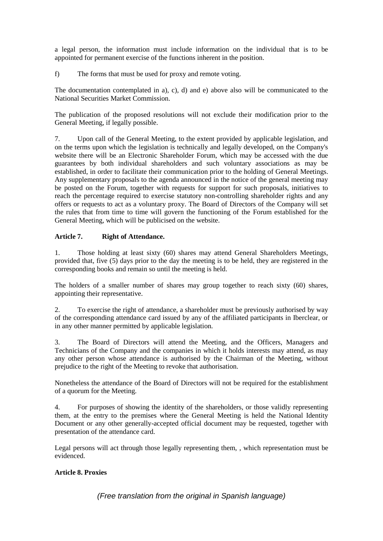a legal person, the information must include information on the individual that is to be appointed for permanent exercise of the functions inherent in the position.

f) The forms that must be used for proxy and remote voting.

The documentation contemplated in a), c), d) and e) above also will be communicated to the National Securities Market Commission.

The publication of the proposed resolutions will not exclude their modification prior to the General Meeting, if legally possible.

7. Upon call of the General Meeting, to the extent provided by applicable legislation, and on the terms upon which the legislation is technically and legally developed, on the Company's website there will be an Electronic Shareholder Forum, which may be accessed with the due guarantees by both individual shareholders and such voluntary associations as may be established, in order to facilitate their communication prior to the holding of General Meetings. Any supplementary proposals to the agenda announced in the notice of the general meeting may be posted on the Forum, together with requests for support for such proposals, initiatives to reach the percentage required to exercise statutory non-controlling shareholder rights and any offers or requests to act as a voluntary proxy. The Board of Directors of the Company will set the rules that from time to time will govern the functioning of the Forum established for the General Meeting, which will be publicised on the website.

## **Article 7. Right of Attendance.**

1. Those holding at least sixty (60) shares may attend General Shareholders Meetings, provided that, five (5) days prior to the day the meeting is to be held, they are registered in the corresponding books and remain so until the meeting is held.

The holders of a smaller number of shares may group together to reach sixty (60) shares, appointing their representative.

2. To exercise the right of attendance, a shareholder must be previously authorised by way of the corresponding attendance card issued by any of the affiliated participants in Iberclear, or in any other manner permitted by applicable legislation.

3. The Board of Directors will attend the Meeting, and the Officers, Managers and Technicians of the Company and the companies in which it holds interests may attend, as may any other person whose attendance is authorised by the Chairman of the Meeting, without prejudice to the right of the Meeting to revoke that authorisation.

Nonetheless the attendance of the Board of Directors will not be required for the establishment of a quorum for the Meeting.

4. For purposes of showing the identity of the shareholders, or those validly representing them, at the entry to the premises where the General Meeting is held the National Identity Document or any other generally-accepted official document may be requested, together with presentation of the attendance card.

Legal persons will act through those legally representing them, , which representation must be evidenced.

## **Article 8. Proxies**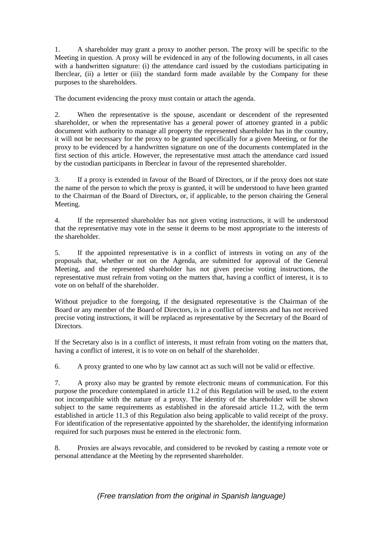1. A shareholder may grant a proxy to another person. The proxy will be specific to the Meeting in question. A proxy will be evidenced in any of the following documents, in all cases with a handwritten signature: (i) the attendance card issued by the custodians participating in Iberclear, (ii) a letter or (iii) the standard form made available by the Company for these purposes to the shareholders.

The document evidencing the proxy must contain or attach the agenda.

2. When the representative is the spouse, ascendant or descendent of the represented shareholder, or when the representative has a general power of attorney granted in a public document with authority to manage all property the represented shareholder has in the country, it will not be necessary for the proxy to be granted specifically for a given Meeting, or for the proxy to be evidenced by a handwritten signature on one of the documents contemplated in the first section of this article. However, the representative must attach the attendance card issued by the custodian participants in Iberclear in favour of the represented shareholder.

3. If a proxy is extended in favour of the Board of Directors, or if the proxy does not state the name of the person to which the proxy is granted, it will be understood to have been granted to the Chairman of the Board of Directors, or, if applicable, to the person chairing the General Meeting.

4. If the represented shareholder has not given voting instructions, it will be understood that the representative may vote in the sense it deems to be most appropriate to the interests of the shareholder.

5. If the appointed representative is in a conflict of interests in voting on any of the proposals that, whether or not on the Agenda, are submitted for approval of the General Meeting, and the represented shareholder has not given precise voting instructions, the representative must refrain from voting on the matters that, having a conflict of interest, it is to vote on on behalf of the shareholder.

Without prejudice to the foregoing, if the designated representative is the Chairman of the Board or any member of the Board of Directors, is in a conflict of interests and has not received precise voting instructions, it will be replaced as representative by the Secretary of the Board of Directors.

If the Secretary also is in a conflict of interests, it must refrain from voting on the matters that, having a conflict of interest, it is to vote on on behalf of the shareholder.

6. A proxy granted to one who by law cannot act as such will not be valid or effective.

7. A proxy also may be granted by remote electronic means of communication. For this purpose the procedure contemplated in article 11.2 of this Regulation will be used, to the extent not incompatible with the nature of a proxy. The identity of the shareholder will be shown subject to the same requirements as established in the aforesaid article 11.2, with the term established in article 11.3 of this Regulation also being applicable to valid receipt of the proxy. For identification of the representative appointed by the shareholder, the identifying information required for such purposes must be entered in the electronic form.

8. Proxies are always revocable, and considered to be revoked by casting a remote vote or personal attendance at the Meeting by the represented shareholder.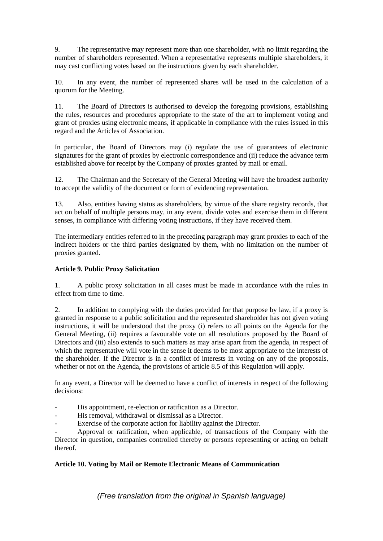9. The representative may represent more than one shareholder, with no limit regarding the number of shareholders represented. When a representative represents multiple shareholders, it may cast conflicting votes based on the instructions given by each shareholder.

10. In any event, the number of represented shares will be used in the calculation of a quorum for the Meeting.

11. The Board of Directors is authorised to develop the foregoing provisions, establishing the rules, resources and procedures appropriate to the state of the art to implement voting and grant of proxies using electronic means, if applicable in compliance with the rules issued in this regard and the Articles of Association.

In particular, the Board of Directors may (i) regulate the use of guarantees of electronic signatures for the grant of proxies by electronic correspondence and (ii) reduce the advance term established above for receipt by the Company of proxies granted by mail or email.

12. The Chairman and the Secretary of the General Meeting will have the broadest authority to accept the validity of the document or form of evidencing representation.

13. Also, entities having status as shareholders, by virtue of the share registry records, that act on behalf of multiple persons may, in any event, divide votes and exercise them in different senses, in compliance with differing voting instructions, if they have received them.

The intermediary entities referred to in the preceding paragraph may grant proxies to each of the indirect holders or the third parties designated by them, with no limitation on the number of proxies granted.

## **Article 9. Public Proxy Solicitation**

1. A public proxy solicitation in all cases must be made in accordance with the rules in effect from time to time.

2. In addition to complying with the duties provided for that purpose by law, if a proxy is granted in response to a public solicitation and the represented shareholder has not given voting instructions, it will be understood that the proxy (i) refers to all points on the Agenda for the General Meeting, (ii) requires a favourable vote on all resolutions proposed by the Board of Directors and (iii) also extends to such matters as may arise apart from the agenda, in respect of which the representative will vote in the sense it deems to be most appropriate to the interests of the shareholder. If the Director is in a conflict of interests in voting on any of the proposals, whether or not on the Agenda, the provisions of article 8.5 of this Regulation will apply.

In any event, a Director will be deemed to have a conflict of interests in respect of the following decisions:

- His appointment, re-election or ratification as a Director.
- His removal, withdrawal or dismissal as a Director.
- Exercise of the corporate action for liability against the Director.

- Approval or ratification, when applicable, of transactions of the Company with the Director in question, companies controlled thereby or persons representing or acting on behalf thereof.

## **Article 10. Voting by Mail or Remote Electronic Means of Communication**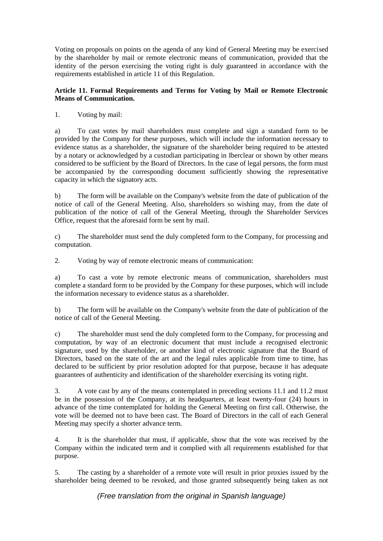Voting on proposals on points on the agenda of any kind of General Meeting may be exercised by the shareholder by mail or remote electronic means of communication, provided that the identity of the person exercising the voting right is duly guaranteed in accordance with the requirements established in article 11 of this Regulation.

#### **Article 11. Formal Requirements and Terms for Voting by Mail or Remote Electronic Means of Communication.**

1. Voting by mail:

a) To cast votes by mail shareholders must complete and sign a standard form to be provided by the Company for these purposes, which will include the information necessary to evidence status as a shareholder, the signature of the shareholder being required to be attested by a notary or acknowledged by a custodian participating in Iberclear or shown by other means considered to be sufficient by the Board of Directors. In the case of legal persons, the form must be accompanied by the corresponding document sufficiently showing the representative capacity in which the signatory acts.

b) The form will be available on the Company's website from the date of publication of the notice of call of the General Meeting. Also, shareholders so wishing may, from the date of publication of the notice of call of the General Meeting, through the Shareholder Services Office, request that the aforesaid form be sent by mail.

c) The shareholder must send the duly completed form to the Company, for processing and computation.

2. Voting by way of remote electronic means of communication:

a) To cast a vote by remote electronic means of communication, shareholders must complete a standard form to be provided by the Company for these purposes, which will include the information necessary to evidence status as a shareholder.

b) The form will be available on the Company's website from the date of publication of the notice of call of the General Meeting.

c) The shareholder must send the duly completed form to the Company, for processing and computation, by way of an electronic document that must include a recognised electronic signature, used by the shareholder, or another kind of electronic signature that the Board of Directors, based on the state of the art and the legal rules applicable from time to time, has declared to be sufficient by prior resolution adopted for that purpose, because it has adequate guarantees of authenticity and identification of the shareholder exercising its voting right.

3. A vote cast by any of the means contemplated in preceding sections 11.1 and 11.2 must be in the possession of the Company, at its headquarters, at least twenty-four (24) hours in advance of the time contemplated for holding the General Meeting on first call. Otherwise, the vote will be deemed not to have been cast. The Board of Directors in the call of each General Meeting may specify a shorter advance term.

4. It is the shareholder that must, if applicable, show that the vote was received by the Company within the indicated term and it complied with all requirements established for that purpose.

5. The casting by a shareholder of a remote vote will result in prior proxies issued by the shareholder being deemed to be revoked, and those granted subsequently being taken as not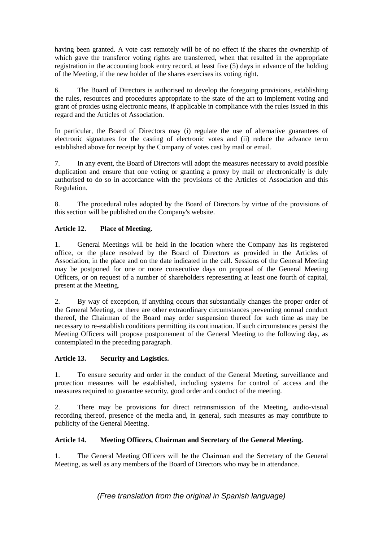having been granted. A vote cast remotely will be of no effect if the shares the ownership of which gave the transferor voting rights are transferred, when that resulted in the appropriate registration in the accounting book entry record, at least five (5) days in advance of the holding of the Meeting, if the new holder of the shares exercises its voting right.

6. The Board of Directors is authorised to develop the foregoing provisions, establishing the rules, resources and procedures appropriate to the state of the art to implement voting and grant of proxies using electronic means, if applicable in compliance with the rules issued in this regard and the Articles of Association.

In particular, the Board of Directors may (i) regulate the use of alternative guarantees of electronic signatures for the casting of electronic votes and (ii) reduce the advance term established above for receipt by the Company of votes cast by mail or email.

7. In any event, the Board of Directors will adopt the measures necessary to avoid possible duplication and ensure that one voting or granting a proxy by mail or electronically is duly authorised to do so in accordance with the provisions of the Articles of Association and this Regulation.

8. The procedural rules adopted by the Board of Directors by virtue of the provisions of this section will be published on the Company's website.

## **Article 12. Place of Meeting.**

1. General Meetings will be held in the location where the Company has its registered office, or the place resolved by the Board of Directors as provided in the Articles of Association, in the place and on the date indicated in the call. Sessions of the General Meeting may be postponed for one or more consecutive days on proposal of the General Meeting Officers, or on request of a number of shareholders representing at least one fourth of capital, present at the Meeting.

2. By way of exception, if anything occurs that substantially changes the proper order of the General Meeting, or there are other extraordinary circumstances preventing normal conduct thereof, the Chairman of the Board may order suspension thereof for such time as may be necessary to re-establish conditions permitting its continuation. If such circumstances persist the Meeting Officers will propose postponement of the General Meeting to the following day, as contemplated in the preceding paragraph.

## **Article 13. Security and Logistics.**

1. To ensure security and order in the conduct of the General Meeting, surveillance and protection measures will be established, including systems for control of access and the measures required to guarantee security, good order and conduct of the meeting.

2. There may be provisions for direct retransmission of the Meeting, audio-visual recording thereof, presence of the media and, in general, such measures as may contribute to publicity of the General Meeting.

## **Article 14. Meeting Officers, Chairman and Secretary of the General Meeting.**

1. The General Meeting Officers will be the Chairman and the Secretary of the General Meeting, as well as any members of the Board of Directors who may be in attendance.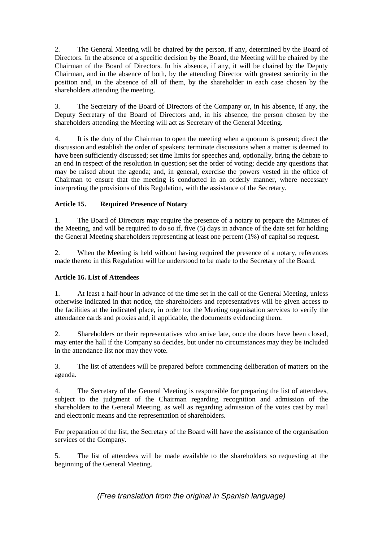2. The General Meeting will be chaired by the person, if any, determined by the Board of Directors. In the absence of a specific decision by the Board, the Meeting will be chaired by the Chairman of the Board of Directors. In his absence, if any, it will be chaired by the Deputy Chairman, and in the absence of both, by the attending Director with greatest seniority in the position and, in the absence of all of them, by the shareholder in each case chosen by the shareholders attending the meeting.

3. The Secretary of the Board of Directors of the Company or, in his absence, if any, the Deputy Secretary of the Board of Directors and, in his absence, the person chosen by the shareholders attending the Meeting will act as Secretary of the General Meeting.

4. It is the duty of the Chairman to open the meeting when a quorum is present; direct the discussion and establish the order of speakers; terminate discussions when a matter is deemed to have been sufficiently discussed; set time limits for speeches and, optionally, bring the debate to an end in respect of the resolution in question; set the order of voting; decide any questions that may be raised about the agenda; and, in general, exercise the powers vested in the office of Chairman to ensure that the meeting is conducted in an orderly manner, where necessary interpreting the provisions of this Regulation, with the assistance of the Secretary.

## **Article 15. Required Presence of Notary**

1. The Board of Directors may require the presence of a notary to prepare the Minutes of the Meeting, and will be required to do so if, five (5) days in advance of the date set for holding the General Meeting shareholders representing at least one percent (1%) of capital so request.

2. When the Meeting is held without having required the presence of a notary, references made thereto in this Regulation will be understood to be made to the Secretary of the Board.

## **Article 16. List of Attendees**

1. At least a half-hour in advance of the time set in the call of the General Meeting, unless otherwise indicated in that notice, the shareholders and representatives will be given access to the facilities at the indicated place, in order for the Meeting organisation services to verify the attendance cards and proxies and, if applicable, the documents evidencing them.

2. Shareholders or their representatives who arrive late, once the doors have been closed, may enter the hall if the Company so decides, but under no circumstances may they be included in the attendance list nor may they vote.

3. The list of attendees will be prepared before commencing deliberation of matters on the agenda.

4. The Secretary of the General Meeting is responsible for preparing the list of attendees, subject to the judgment of the Chairman regarding recognition and admission of the shareholders to the General Meeting, as well as regarding admission of the votes cast by mail and electronic means and the representation of shareholders.

For preparation of the list, the Secretary of the Board will have the assistance of the organisation services of the Company.

5. The list of attendees will be made available to the shareholders so requesting at the beginning of the General Meeting.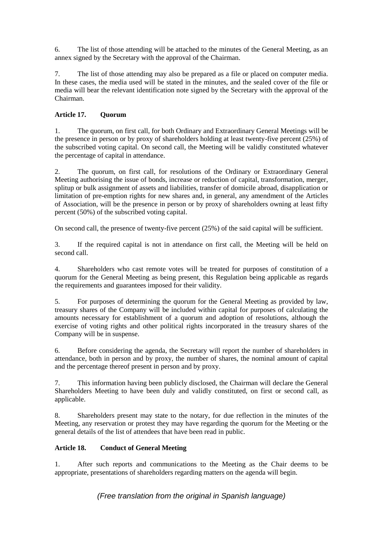6. The list of those attending will be attached to the minutes of the General Meeting, as an annex signed by the Secretary with the approval of the Chairman.

7. The list of those attending may also be prepared as a file or placed on computer media. In these cases, the media used will be stated in the minutes, and the sealed cover of the file or media will bear the relevant identification note signed by the Secretary with the approval of the Chairman.

## **Article 17. Quorum**

1. The quorum, on first call, for both Ordinary and Extraordinary General Meetings will be the presence in person or by proxy of shareholders holding at least twenty-five percent (25%) of the subscribed voting capital. On second call, the Meeting will be validly constituted whatever the percentage of capital in attendance.

2. The quorum, on first call, for resolutions of the Ordinary or Extraordinary General Meeting authorising the issue of bonds, increase or reduction of capital, transformation, merger, splitup or bulk assignment of assets and liabilities, transfer of domicile abroad, disapplication or limitation of pre-emption rights for new shares and, in general, any amendment of the Articles of Association, will be the presence in person or by proxy of shareholders owning at least fifty percent (50%) of the subscribed voting capital.

On second call, the presence of twenty-five percent (25%) of the said capital will be sufficient.

3. If the required capital is not in attendance on first call, the Meeting will be held on second call.

4. Shareholders who cast remote votes will be treated for purposes of constitution of a quorum for the General Meeting as being present, this Regulation being applicable as regards the requirements and guarantees imposed for their validity.

5. For purposes of determining the quorum for the General Meeting as provided by law, treasury shares of the Company will be included within capital for purposes of calculating the amounts necessary for establishment of a quorum and adoption of resolutions, although the exercise of voting rights and other political rights incorporated in the treasury shares of the Company will be in suspense.

6. Before considering the agenda, the Secretary will report the number of shareholders in attendance, both in person and by proxy, the number of shares, the nominal amount of capital and the percentage thereof present in person and by proxy.

7. This information having been publicly disclosed, the Chairman will declare the General Shareholders Meeting to have been duly and validly constituted, on first or second call, as applicable.

8. Shareholders present may state to the notary, for due reflection in the minutes of the Meeting, any reservation or protest they may have regarding the quorum for the Meeting or the general details of the list of attendees that have been read in public.

## **Article 18. Conduct of General Meeting**

1. After such reports and communications to the Meeting as the Chair deems to be appropriate, presentations of shareholders regarding matters on the agenda will begin.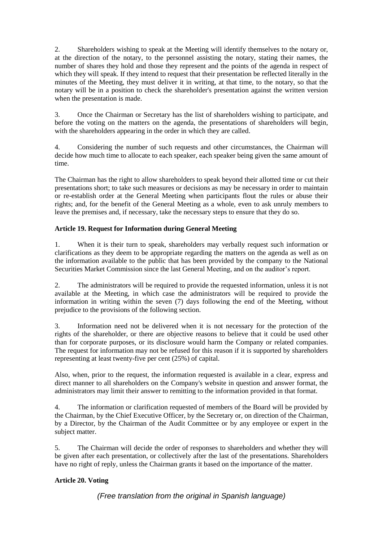2. Shareholders wishing to speak at the Meeting will identify themselves to the notary or, at the direction of the notary, to the personnel assisting the notary, stating their names, the number of shares they hold and those they represent and the points of the agenda in respect of which they will speak. If they intend to request that their presentation be reflected literally in the minutes of the Meeting, they must deliver it in writing, at that time, to the notary, so that the notary will be in a position to check the shareholder's presentation against the written version when the presentation is made.

3. Once the Chairman or Secretary has the list of shareholders wishing to participate, and before the voting on the matters on the agenda, the presentations of shareholders will begin, with the shareholders appearing in the order in which they are called.

4. Considering the number of such requests and other circumstances, the Chairman will decide how much time to allocate to each speaker, each speaker being given the same amount of time.

The Chairman has the right to allow shareholders to speak beyond their allotted time or cut their presentations short; to take such measures or decisions as may be necessary in order to maintain or re-establish order at the General Meeting when participants flout the rules or abuse their rights; and, for the benefit of the General Meeting as a whole, even to ask unruly members to leave the premises and, if necessary, take the necessary steps to ensure that they do so.

# **Article 19. Request for Information during General Meeting**

1. When it is their turn to speak, shareholders may verbally request such information or clarifications as they deem to be appropriate regarding the matters on the agenda as well as on the information available to the public that has been provided by the company to the National Securities Market Commission since the last General Meeting, and on the auditor's report.

2. The administrators will be required to provide the requested information, unless it is not available at the Meeting, in which case the administrators will be required to provide the information in writing within the seven (7) days following the end of the Meeting, without prejudice to the provisions of the following section.

3. Information need not be delivered when it is not necessary for the protection of the rights of the shareholder, or there are objective reasons to believe that it could be used other than for corporate purposes, or its disclosure would harm the Company or related companies. The request for information may not be refused for this reason if it is supported by shareholders representing at least twenty-five per cent (25%) of capital.

Also, when, prior to the request, the information requested is available in a clear, express and direct manner to all shareholders on the Company's website in question and answer format, the administrators may limit their answer to remitting to the information provided in that format.

4. The information or clarification requested of members of the Board will be provided by the Chairman, by the Chief Executive Officer, by the Secretary or, on direction of the Chairman, by a Director, by the Chairman of the Audit Committee or by any employee or expert in the subject matter.

5. The Chairman will decide the order of responses to shareholders and whether they will be given after each presentation, or collectively after the last of the presentations. Shareholders have no right of reply, unless the Chairman grants it based on the importance of the matter.

# **Article 20. Voting**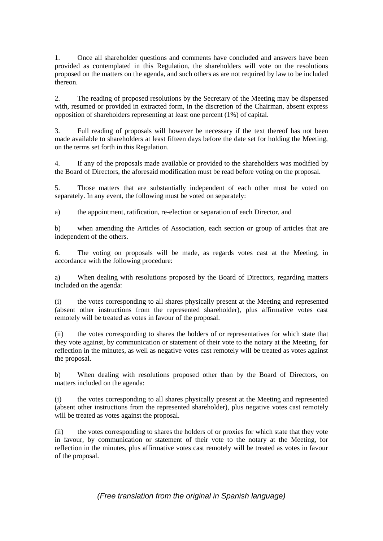1. Once all shareholder questions and comments have concluded and answers have been provided as contemplated in this Regulation, the shareholders will vote on the resolutions proposed on the matters on the agenda, and such others as are not required by law to be included thereon.

2. The reading of proposed resolutions by the Secretary of the Meeting may be dispensed with, resumed or provided in extracted form, in the discretion of the Chairman, absent express opposition of shareholders representing at least one percent (1%) of capital.

3. Full reading of proposals will however be necessary if the text thereof has not been made available to shareholders at least fifteen days before the date set for holding the Meeting, on the terms set forth in this Regulation.

4. If any of the proposals made available or provided to the shareholders was modified by the Board of Directors, the aforesaid modification must be read before voting on the proposal.

5. Those matters that are substantially independent of each other must be voted on separately. In any event, the following must be voted on separately:

a) the appointment, ratification, re-election or separation of each Director, and

b) when amending the Articles of Association, each section or group of articles that are independent of the others.

6. The voting on proposals will be made, as regards votes cast at the Meeting, in accordance with the following procedure:

a) When dealing with resolutions proposed by the Board of Directors, regarding matters included on the agenda:

(i) the votes corresponding to all shares physically present at the Meeting and represented (absent other instructions from the represented shareholder), plus affirmative votes cast remotely will be treated as votes in favour of the proposal.

(ii) the votes corresponding to shares the holders of or representatives for which state that they vote against, by communication or statement of their vote to the notary at the Meeting, for reflection in the minutes, as well as negative votes cast remotely will be treated as votes against the proposal.

b) When dealing with resolutions proposed other than by the Board of Directors, on matters included on the agenda:

(i) the votes corresponding to all shares physically present at the Meeting and represented (absent other instructions from the represented shareholder), plus negative votes cast remotely will be treated as votes against the proposal.

(ii) the votes corresponding to shares the holders of or proxies for which state that they vote in favour, by communication or statement of their vote to the notary at the Meeting, for reflection in the minutes, plus affirmative votes cast remotely will be treated as votes in favour of the proposal.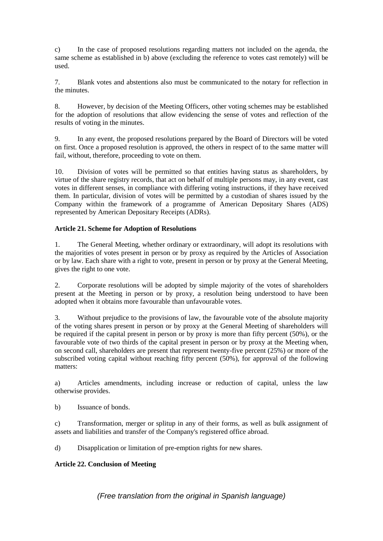c) In the case of proposed resolutions regarding matters not included on the agenda, the same scheme as established in b) above (excluding the reference to votes cast remotely) will be used.

7. Blank votes and abstentions also must be communicated to the notary for reflection in the minutes.

8. However, by decision of the Meeting Officers, other voting schemes may be established for the adoption of resolutions that allow evidencing the sense of votes and reflection of the results of voting in the minutes.

9. In any event, the proposed resolutions prepared by the Board of Directors will be voted on first. Once a proposed resolution is approved, the others in respect of to the same matter will fail, without, therefore, proceeding to vote on them.

10. Division of votes will be permitted so that entities having status as shareholders, by virtue of the share registry records, that act on behalf of multiple persons may, in any event, cast votes in different senses, in compliance with differing voting instructions, if they have received them. In particular, division of votes will be permitted by a custodian of shares issued by the Company within the framework of a programme of American Depositary Shares (ADS) represented by American Depositary Receipts (ADRs).

## **Article 21. Scheme for Adoption of Resolutions**

1. The General Meeting, whether ordinary or extraordinary, will adopt its resolutions with the majorities of votes present in person or by proxy as required by the Articles of Association or by law. Each share with a right to vote, present in person or by proxy at the General Meeting, gives the right to one vote.

2. Corporate resolutions will be adopted by simple majority of the votes of shareholders present at the Meeting in person or by proxy, a resolution being understood to have been adopted when it obtains more favourable than unfavourable votes.

3. Without prejudice to the provisions of law, the favourable vote of the absolute majority of the voting shares present in person or by proxy at the General Meeting of shareholders will be required if the capital present in person or by proxy is more than fifty percent (50%), or the favourable vote of two thirds of the capital present in person or by proxy at the Meeting when, on second call, shareholders are present that represent twenty-five percent (25%) or more of the subscribed voting capital without reaching fifty percent (50%), for approval of the following matters:

a) Articles amendments, including increase or reduction of capital, unless the law otherwise provides.

b) Issuance of bonds.

c) Transformation, merger or splitup in any of their forms, as well as bulk assignment of assets and liabilities and transfer of the Company's registered office abroad.

d) Disapplication or limitation of pre-emption rights for new shares.

## **Article 22. Conclusion of Meeting**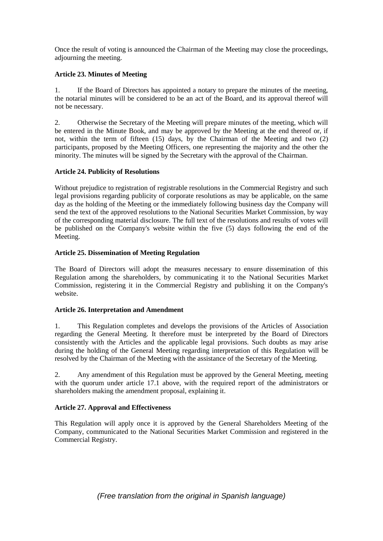Once the result of voting is announced the Chairman of the Meeting may close the proceedings, adjourning the meeting.

## **Article 23. Minutes of Meeting**

1. If the Board of Directors has appointed a notary to prepare the minutes of the meeting, the notarial minutes will be considered to be an act of the Board, and its approval thereof will not be necessary.

2. Otherwise the Secretary of the Meeting will prepare minutes of the meeting, which will be entered in the Minute Book, and may be approved by the Meeting at the end thereof or, if not, within the term of fifteen (15) days, by the Chairman of the Meeting and two (2) participants, proposed by the Meeting Officers, one representing the majority and the other the minority. The minutes will be signed by the Secretary with the approval of the Chairman.

## **Article 24. Publicity of Resolutions**

Without prejudice to registration of registrable resolutions in the Commercial Registry and such legal provisions regarding publicity of corporate resolutions as may be applicable, on the same day as the holding of the Meeting or the immediately following business day the Company will send the text of the approved resolutions to the National Securities Market Commission, by way of the corresponding material disclosure. The full text of the resolutions and results of votes will be published on the Company's website within the five (5) days following the end of the Meeting.

## **Article 25. Dissemination of Meeting Regulation**

The Board of Directors will adopt the measures necessary to ensure dissemination of this Regulation among the shareholders, by communicating it to the National Securities Market Commission, registering it in the Commercial Registry and publishing it on the Company's website.

## **Article 26. Interpretation and Amendment**

1. This Regulation completes and develops the provisions of the Articles of Association regarding the General Meeting. It therefore must be interpreted by the Board of Directors consistently with the Articles and the applicable legal provisions. Such doubts as may arise during the holding of the General Meeting regarding interpretation of this Regulation will be resolved by the Chairman of the Meeting with the assistance of the Secretary of the Meeting.

2. Any amendment of this Regulation must be approved by the General Meeting, meeting with the quorum under article 17.1 above, with the required report of the administrators or shareholders making the amendment proposal, explaining it.

## **Article 27. Approval and Effectiveness**

This Regulation will apply once it is approved by the General Shareholders Meeting of the Company, communicated to the National Securities Market Commission and registered in the Commercial Registry.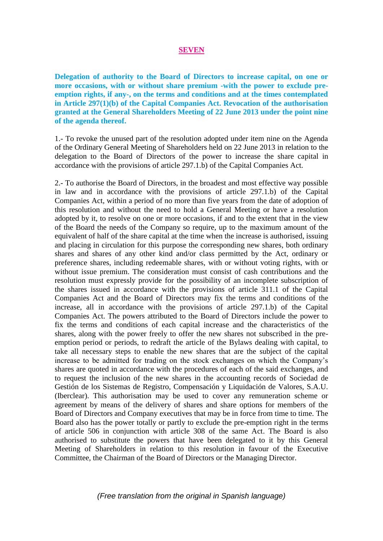#### **SEVEN**

**Delegation of authority to the Board of Directors to increase capital, on one or more occasions, with or without share premium -with the power to exclude preemption rights, if any-, on the terms and conditions and at the times contemplated in Article 297(1)(b) of the Capital Companies Act. Revocation of the authorisation granted at the General Shareholders Meeting of 22 June 2013 under the point nine of the agenda thereof.** 

1.- To revoke the unused part of the resolution adopted under item nine on the Agenda of the Ordinary General Meeting of Shareholders held on 22 June 2013 in relation to the delegation to the Board of Directors of the power to increase the share capital in accordance with the provisions of article 297.1.b) of the Capital Companies Act.

2.- To authorise the Board of Directors, in the broadest and most effective way possible in law and in accordance with the provisions of article 297.1.b) of the Capital Companies Act, within a period of no more than five years from the date of adoption of this resolution and without the need to hold a General Meeting or have a resolution adopted by it, to resolve on one or more occasions, if and to the extent that in the view of the Board the needs of the Company so require, up to the maximum amount of the equivalent of half of the share capital at the time when the increase is authorised, issuing and placing in circulation for this purpose the corresponding new shares, both ordinary shares and shares of any other kind and/or class permitted by the Act, ordinary or preference shares, including redeemable shares, with or without voting rights, with or without issue premium. The consideration must consist of cash contributions and the resolution must expressly provide for the possibility of an incomplete subscription of the shares issued in accordance with the provisions of article 311.1 of the Capital Companies Act and the Board of Directors may fix the terms and conditions of the increase, all in accordance with the provisions of article 297.1.b) of the Capital Companies Act. The powers attributed to the Board of Directors include the power to fix the terms and conditions of each capital increase and the characteristics of the shares, along with the power freely to offer the new shares not subscribed in the preemption period or periods, to redraft the article of the Bylaws dealing with capital, to take all necessary steps to enable the new shares that are the subject of the capital increase to be admitted for trading on the stock exchanges on which the Company's shares are quoted in accordance with the procedures of each of the said exchanges, and to request the inclusion of the new shares in the accounting records of Sociedad de Gestión de los Sistemas de Registro, Compensación y Liquidación de Valores, S.A.U. (Iberclear). This authorisation may be used to cover any remuneration scheme or agreement by means of the delivery of shares and share options for members of the Board of Directors and Company executives that may be in force from time to time. The Board also has the power totally or partly to exclude the pre-emption right in the terms of article 506 in conjunction with article 308 of the same Act. The Board is also authorised to substitute the powers that have been delegated to it by this General Meeting of Shareholders in relation to this resolution in favour of the Executive Committee, the Chairman of the Board of Directors or the Managing Director.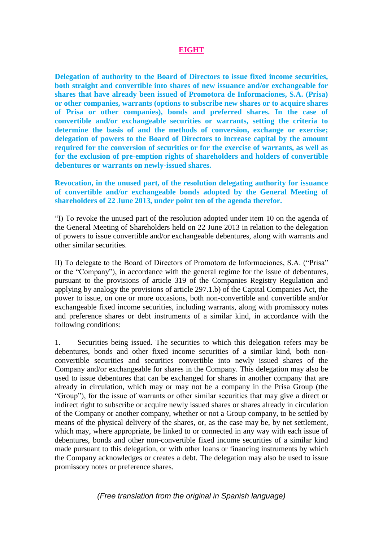## **EIGHT**

**Delegation of authority to the Board of Directors to issue fixed income securities, both straight and convertible into shares of new issuance and/or exchangeable for shares that have already been issued of Promotora de Informaciones, S.A. (Prisa) or other companies, warrants (options to subscribe new shares or to acquire shares of Prisa or other companies), bonds and preferred shares. In the case of convertible and/or exchangeable securities or warrants, setting the criteria to determine the basis of and the methods of conversion, exchange or exercise; delegation of powers to the Board of Directors to increase capital by the amount required for the conversion of securities or for the exercise of warrants, as well as for the exclusion of pre-emption rights of shareholders and holders of convertible debentures or warrants on newly-issued shares.** 

**Revocation, in the unused part, of the resolution delegating authority for issuance of convertible and/or exchangeable bonds adopted by the General Meeting of shareholders of 22 June 2013, under point ten of the agenda therefor.**

"I) To revoke the unused part of the resolution adopted under item 10 on the agenda of the General Meeting of Shareholders held on 22 June 2013 in relation to the delegation of powers to issue convertible and/or exchangeable debentures, along with warrants and other similar securities.

II) To delegate to the Board of Directors of Promotora de Informaciones, S.A. ("Prisa" or the "Company"), in accordance with the general regime for the issue of debentures, pursuant to the provisions of article 319 of the Companies Registry Regulation and applying by analogy the provisions of article 297.1.b) of the Capital Companies Act, the power to issue, on one or more occasions, both non-convertible and convertible and/or exchangeable fixed income securities, including warrants, along with promissory notes and preference shares or debt instruments of a similar kind, in accordance with the following conditions:

1. Securities being issued. The securities to which this delegation refers may be debentures, bonds and other fixed income securities of a similar kind, both nonconvertible securities and securities convertible into newly issued shares of the Company and/or exchangeable for shares in the Company. This delegation may also be used to issue debentures that can be exchanged for shares in another company that are already in circulation, which may or may not be a company in the Prisa Group (the "Group"), for the issue of warrants or other similar securities that may give a direct or indirect right to subscribe or acquire newly issued shares or shares already in circulation of the Company or another company, whether or not a Group company, to be settled by means of the physical delivery of the shares, or, as the case may be, by net settlement, which may, where appropriate, be linked to or connected in any way with each issue of debentures, bonds and other non-convertible fixed income securities of a similar kind made pursuant to this delegation, or with other loans or financing instruments by which the Company acknowledges or creates a debt. The delegation may also be used to issue promissory notes or preference shares.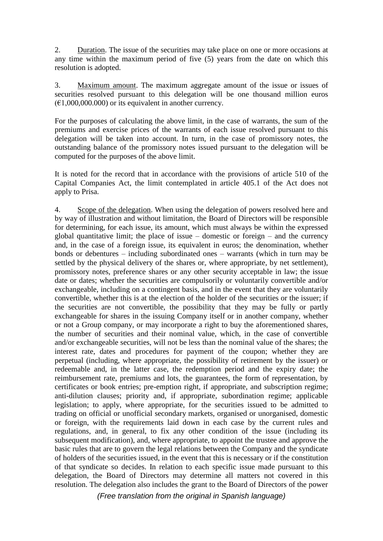2. Duration. The issue of the securities may take place on one or more occasions at any time within the maximum period of five (5) years from the date on which this resolution is adopted.

3. Maximum amount. The maximum aggregate amount of the issue or issues of securities resolved pursuant to this delegation will be one thousand million euros  $(€1,000,000,000)$  or its equivalent in another currency.

For the purposes of calculating the above limit, in the case of warrants, the sum of the premiums and exercise prices of the warrants of each issue resolved pursuant to this delegation will be taken into account. In turn, in the case of promissory notes, the outstanding balance of the promissory notes issued pursuant to the delegation will be computed for the purposes of the above limit.

It is noted for the record that in accordance with the provisions of article 510 of the Capital Companies Act, the limit contemplated in article 405.1 of the Act does not apply to Prisa.

4. Scope of the delegation. When using the delegation of powers resolved here and by way of illustration and without limitation, the Board of Directors will be responsible for determining, for each issue, its amount, which must always be within the expressed global quantitative limit; the place of issue – domestic or foreign – and the currency and, in the case of a foreign issue, its equivalent in euros; the denomination, whether bonds or debentures – including subordinated ones – warrants (which in turn may be settled by the physical delivery of the shares or, where appropriate, by net settlement), promissory notes, preference shares or any other security acceptable in law; the issue date or dates; whether the securities are compulsorily or voluntarily convertible and/or exchangeable, including on a contingent basis, and in the event that they are voluntarily convertible, whether this is at the election of the holder of the securities or the issuer; if the securities are not convertible, the possibility that they may be fully or partly exchangeable for shares in the issuing Company itself or in another company, whether or not a Group company, or may incorporate a right to buy the aforementioned shares, the number of securities and their nominal value, which, in the case of convertible and/or exchangeable securities, will not be less than the nominal value of the shares; the interest rate, dates and procedures for payment of the coupon; whether they are perpetual (including, where appropriate, the possibility of retirement by the issuer) or redeemable and, in the latter case, the redemption period and the expiry date; the reimbursement rate, premiums and lots, the guarantees, the form of representation, by certificates or book entries; pre-emption right, if appropriate, and subscription regime; anti-dilution clauses; priority and, if appropriate, subordination regime; applicable legislation; to apply, where appropriate, for the securities issued to be admitted to trading on official or unofficial secondary markets, organised or unorganised, domestic or foreign, with the requirements laid down in each case by the current rules and regulations, and, in general, to fix any other condition of the issue (including its subsequent modification), and, where appropriate, to appoint the trustee and approve the basic rules that are to govern the legal relations between the Company and the syndicate of holders of the securities issued, in the event that this is necessary or if the constitution of that syndicate so decides. In relation to each specific issue made pursuant to this delegation, the Board of Directors may determine all matters not covered in this resolution. The delegation also includes the grant to the Board of Directors of the power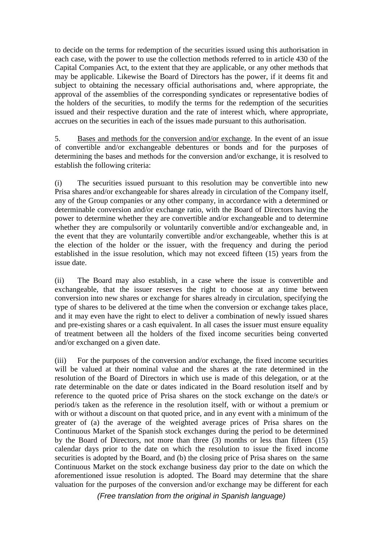to decide on the terms for redemption of the securities issued using this authorisation in each case, with the power to use the collection methods referred to in article 430 of the Capital Companies Act, to the extent that they are applicable, or any other methods that may be applicable. Likewise the Board of Directors has the power, if it deems fit and subject to obtaining the necessary official authorisations and, where appropriate, the approval of the assemblies of the corresponding syndicates or representative bodies of the holders of the securities, to modify the terms for the redemption of the securities issued and their respective duration and the rate of interest which, where appropriate, accrues on the securities in each of the issues made pursuant to this authorisation.

5. Bases and methods for the conversion and/or exchange. In the event of an issue of convertible and/or exchangeable debentures or bonds and for the purposes of determining the bases and methods for the conversion and/or exchange, it is resolved to establish the following criteria:

(i) The securities issued pursuant to this resolution may be convertible into new Prisa shares and/or exchangeable for shares already in circulation of the Company itself, any of the Group companies or any other company, in accordance with a determined or determinable conversion and/or exchange ratio, with the Board of Directors having the power to determine whether they are convertible and/or exchangeable and to determine whether they are compulsorily or voluntarily convertible and/or exchangeable and, in the event that they are voluntarily convertible and/or exchangeable, whether this is at the election of the holder or the issuer, with the frequency and during the period established in the issue resolution, which may not exceed fifteen (15) years from the issue date.

(ii) The Board may also establish, in a case where the issue is convertible and exchangeable, that the issuer reserves the right to choose at any time between conversion into new shares or exchange for shares already in circulation, specifying the type of shares to be delivered at the time when the conversion or exchange takes place, and it may even have the right to elect to deliver a combination of newly issued shares and pre-existing shares or a cash equivalent. In all cases the issuer must ensure equality of treatment between all the holders of the fixed income securities being converted and/or exchanged on a given date.

(iii) For the purposes of the conversion and/or exchange, the fixed income securities will be valued at their nominal value and the shares at the rate determined in the resolution of the Board of Directors in which use is made of this delegation, or at the rate determinable on the date or dates indicated in the Board resolution itself and by reference to the quoted price of Prisa shares on the stock exchange on the date/s or period/s taken as the reference in the resolution itself, with or without a premium or with or without a discount on that quoted price, and in any event with a minimum of the greater of (a) the average of the weighted average prices of Prisa shares on the Continuous Market of the Spanish stock exchanges during the period to be determined by the Board of Directors, not more than three (3) months or less than fifteen (15) calendar days prior to the date on which the resolution to issue the fixed income securities is adopted by the Board, and (b) the closing price of Prisa shares on the same Continuous Market on the stock exchange business day prior to the date on which the aforementioned issue resolution is adopted. The Board may determine that the share valuation for the purposes of the conversion and/or exchange may be different for each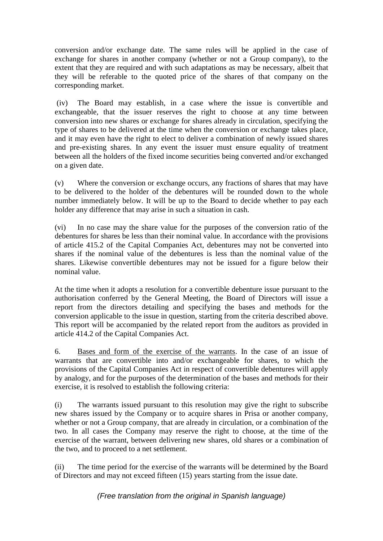conversion and/or exchange date. The same rules will be applied in the case of exchange for shares in another company (whether or not a Group company), to the extent that they are required and with such adaptations as may be necessary, albeit that they will be referable to the quoted price of the shares of that company on the corresponding market.

(iv) The Board may establish, in a case where the issue is convertible and exchangeable, that the issuer reserves the right to choose at any time between conversion into new shares or exchange for shares already in circulation, specifying the type of shares to be delivered at the time when the conversion or exchange takes place, and it may even have the right to elect to deliver a combination of newly issued shares and pre-existing shares. In any event the issuer must ensure equality of treatment between all the holders of the fixed income securities being converted and/or exchanged on a given date.

(v) Where the conversion or exchange occurs, any fractions of shares that may have to be delivered to the holder of the debentures will be rounded down to the whole number immediately below. It will be up to the Board to decide whether to pay each holder any difference that may arise in such a situation in cash.

(vi) In no case may the share value for the purposes of the conversion ratio of the debentures for shares be less than their nominal value. In accordance with the provisions of article 415.2 of the Capital Companies Act, debentures may not be converted into shares if the nominal value of the debentures is less than the nominal value of the shares. Likewise convertible debentures may not be issued for a figure below their nominal value.

At the time when it adopts a resolution for a convertible debenture issue pursuant to the authorisation conferred by the General Meeting, the Board of Directors will issue a report from the directors detailing and specifying the bases and methods for the conversion applicable to the issue in question, starting from the criteria described above. This report will be accompanied by the related report from the auditors as provided in article 414.2 of the Capital Companies Act.

6. Bases and form of the exercise of the warrants. In the case of an issue of warrants that are convertible into and/or exchangeable for shares, to which the provisions of the Capital Companies Act in respect of convertible debentures will apply by analogy, and for the purposes of the determination of the bases and methods for their exercise, it is resolved to establish the following criteria:

(i) The warrants issued pursuant to this resolution may give the right to subscribe new shares issued by the Company or to acquire shares in Prisa or another company, whether or not a Group company, that are already in circulation, or a combination of the two. In all cases the Company may reserve the right to choose, at the time of the exercise of the warrant, between delivering new shares, old shares or a combination of the two, and to proceed to a net settlement.

(ii) The time period for the exercise of the warrants will be determined by the Board of Directors and may not exceed fifteen (15) years starting from the issue date.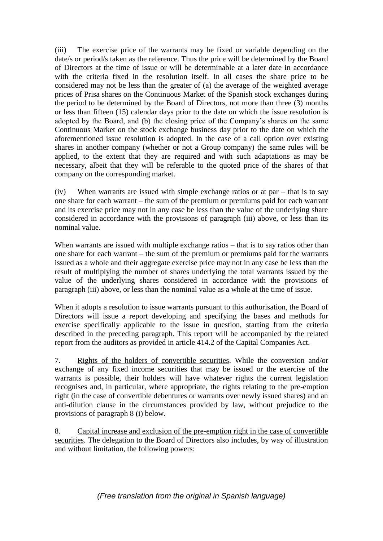(iii) The exercise price of the warrants may be fixed or variable depending on the date/s or period/s taken as the reference. Thus the price will be determined by the Board of Directors at the time of issue or will be determinable at a later date in accordance with the criteria fixed in the resolution itself. In all cases the share price to be considered may not be less than the greater of (a) the average of the weighted average prices of Prisa shares on the Continuous Market of the Spanish stock exchanges during the period to be determined by the Board of Directors, not more than three (3) months or less than fifteen (15) calendar days prior to the date on which the issue resolution is adopted by the Board, and (b) the closing price of the Company's shares on the same Continuous Market on the stock exchange business day prior to the date on which the aforementioned issue resolution is adopted. In the case of a call option over existing shares in another company (whether or not a Group company) the same rules will be applied, to the extent that they are required and with such adaptations as may be necessary, albeit that they will be referable to the quoted price of the shares of that company on the corresponding market.

(iv) When warrants are issued with simple exchange ratios or at par – that is to say one share for each warrant – the sum of the premium or premiums paid for each warrant and its exercise price may not in any case be less than the value of the underlying share considered in accordance with the provisions of paragraph (iii) above, or less than its nominal value.

When warrants are issued with multiple exchange ratios – that is to say ratios other than one share for each warrant – the sum of the premium or premiums paid for the warrants issued as a whole and their aggregate exercise price may not in any case be less than the result of multiplying the number of shares underlying the total warrants issued by the value of the underlying shares considered in accordance with the provisions of paragraph (iii) above, or less than the nominal value as a whole at the time of issue.

When it adopts a resolution to issue warrants pursuant to this authorisation, the Board of Directors will issue a report developing and specifying the bases and methods for exercise specifically applicable to the issue in question, starting from the criteria described in the preceding paragraph. This report will be accompanied by the related report from the auditors as provided in article 414.2 of the Capital Companies Act.

7. Rights of the holders of convertible securities. While the conversion and/or exchange of any fixed income securities that may be issued or the exercise of the warrants is possible, their holders will have whatever rights the current legislation recognises and, in particular, where appropriate, the rights relating to the pre-emption right (in the case of convertible debentures or warrants over newly issued shares) and an anti-dilution clause in the circumstances provided by law, without prejudice to the provisions of paragraph 8 (i) below.

8. Capital increase and exclusion of the pre-emption right in the case of convertible securities. The delegation to the Board of Directors also includes, by way of illustration and without limitation, the following powers: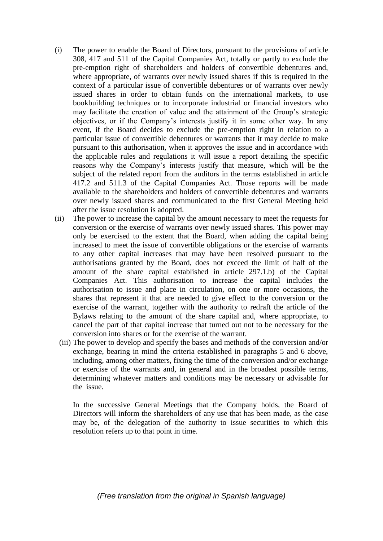- (i) The power to enable the Board of Directors, pursuant to the provisions of article 308, 417 and 511 of the Capital Companies Act, totally or partly to exclude the pre-emption right of shareholders and holders of convertible debentures and, where appropriate, of warrants over newly issued shares if this is required in the context of a particular issue of convertible debentures or of warrants over newly issued shares in order to obtain funds on the international markets, to use bookbuilding techniques or to incorporate industrial or financial investors who may facilitate the creation of value and the attainment of the Group's strategic objectives, or if the Company's interests justify it in some other way. In any event, if the Board decides to exclude the pre-emption right in relation to a particular issue of convertible debentures or warrants that it may decide to make pursuant to this authorisation, when it approves the issue and in accordance with the applicable rules and regulations it will issue a report detailing the specific reasons why the Company's interests justify that measure, which will be the subject of the related report from the auditors in the terms established in article 417.2 and 511.3 of the Capital Companies Act. Those reports will be made available to the shareholders and holders of convertible debentures and warrants over newly issued shares and communicated to the first General Meeting held after the issue resolution is adopted.
- (ii) The power to increase the capital by the amount necessary to meet the requests for conversion or the exercise of warrants over newly issued shares. This power may only be exercised to the extent that the Board, when adding the capital being increased to meet the issue of convertible obligations or the exercise of warrants to any other capital increases that may have been resolved pursuant to the authorisations granted by the Board, does not exceed the limit of half of the amount of the share capital established in article 297.1.b) of the Capital Companies Act. This authorisation to increase the capital includes the authorisation to issue and place in circulation, on one or more occasions, the shares that represent it that are needed to give effect to the conversion or the exercise of the warrant, together with the authority to redraft the article of the Bylaws relating to the amount of the share capital and, where appropriate, to cancel the part of that capital increase that turned out not to be necessary for the conversion into shares or for the exercise of the warrant.
	- (iii) The power to develop and specify the bases and methods of the conversion and/or exchange, bearing in mind the criteria established in paragraphs 5 and 6 above, including, among other matters, fixing the time of the conversion and/or exchange or exercise of the warrants and, in general and in the broadest possible terms, determining whatever matters and conditions may be necessary or advisable for the issue.

In the successive General Meetings that the Company holds, the Board of Directors will inform the shareholders of any use that has been made, as the case may be, of the delegation of the authority to issue securities to which this resolution refers up to that point in time.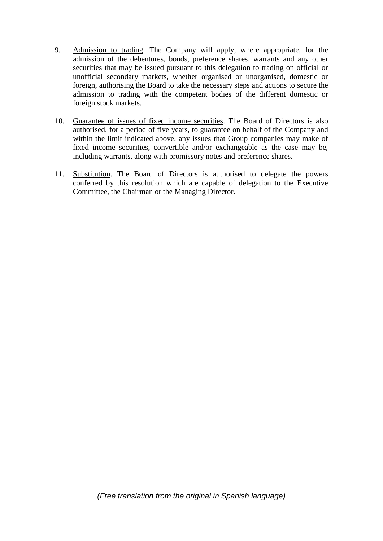- 9. Admission to trading. The Company will apply, where appropriate, for the admission of the debentures, bonds, preference shares, warrants and any other securities that may be issued pursuant to this delegation to trading on official or unofficial secondary markets, whether organised or unorganised, domestic or foreign, authorising the Board to take the necessary steps and actions to secure the admission to trading with the competent bodies of the different domestic or foreign stock markets.
- 10. Guarantee of issues of fixed income securities. The Board of Directors is also authorised, for a period of five years, to guarantee on behalf of the Company and within the limit indicated above, any issues that Group companies may make of fixed income securities, convertible and/or exchangeable as the case may be, including warrants, along with promissory notes and preference shares.
- 11. Substitution. The Board of Directors is authorised to delegate the powers conferred by this resolution which are capable of delegation to the Executive Committee, the Chairman or the Managing Director.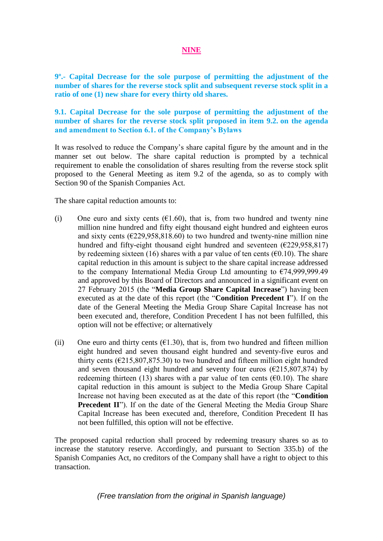## **NINE**

**9º.- Capital Decrease for the sole purpose of permitting the adjustment of the number of shares for the reverse stock split and subsequent reverse stock split in a ratio of one (1) new share for every thirty old shares.** 

**9.1. Capital Decrease for the sole purpose of permitting the adjustment of the number of shares for the reverse stock split proposed in item 9.2. on the agenda and amendment to Section 6.1. of the Company's Bylaws**

It was resolved to reduce the Company's share capital figure by the amount and in the manner set out below. The share capital reduction is prompted by a technical requirement to enable the consolidation of shares resulting from the reverse stock split proposed to the General Meeting as item 9.2 of the agenda, so as to comply with Section 90 of the Spanish Companies Act.

The share capital reduction amounts to:

- (i) One euro and sixty cents  $(61.60)$ , that is, from two hundred and twenty nine million nine hundred and fifty eight thousand eight hundred and eighteen euros and sixty cents  $(6229.958.818.60)$  to two hundred and twenty-nine million nine hundred and fifty-eight thousand eight hundred and seventeen  $(\text{\textsterling}229.958.817)$ by redeeming sixteen (16) shares with a par value of ten cents ( $\epsilon$ 0.10). The share capital reduction in this amount is subject to the share capital increase addressed to the company International Media Group Ltd amounting to  $\epsilon$ 74,999,999.49 and approved by this Board of Directors and announced in a significant event on 27 February 2015 (the "**Media Group Share Capital Increase**") having been executed as at the date of this report (the "**Condition Precedent I**"). If on the date of the General Meeting the Media Group Share Capital Increase has not been executed and, therefore, Condition Precedent I has not been fulfilled, this option will not be effective; or alternatively
- (ii) One euro and thirty cents  $(\text{\textsterling}1.30)$ , that is, from two hundred and fifteen million eight hundred and seven thousand eight hundred and seventy-five euros and thirty cents ( $\epsilon$ 215,807,875.30) to two hundred and fifteen million eight hundred and seven thousand eight hundred and seventy four euros ( $\epsilon$ 215,807,874) by redeeming thirteen (13) shares with a par value of ten cents ( $\epsilon$ 0.10). The share capital reduction in this amount is subject to the Media Group Share Capital Increase not having been executed as at the date of this report (the "**Condition Precedent II**"). If on the date of the General Meeting the Media Group Share Capital Increase has been executed and, therefore, Condition Precedent II has not been fulfilled, this option will not be effective.

The proposed capital reduction shall proceed by redeeming treasury shares so as to increase the statutory reserve. Accordingly, and pursuant to Section 335.b) of the Spanish Companies Act, no creditors of the Company shall have a right to object to this transaction.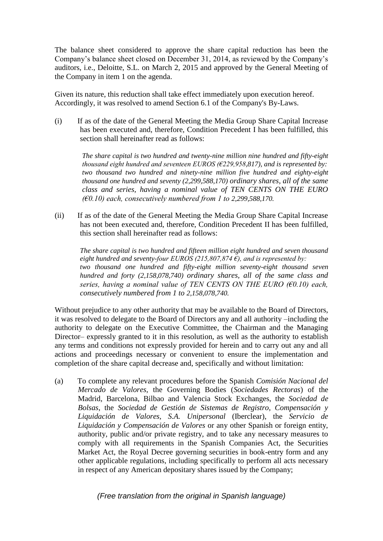The balance sheet considered to approve the share capital reduction has been the Company's balance sheet closed on December 31, 2014, as reviewed by the Company's auditors, i.e., Deloitte, S.L. on March 2, 2015 and approved by the General Meeting of the Company in item 1 on the agenda.

Given its nature, this reduction shall take effect immediately upon execution hereof. Accordingly, it was resolved to amend Section 6.1 of the Company's By-Laws.

(i) If as of the date of the General Meeting the Media Group Share Capital Increase has been executed and, therefore, Condition Precedent I has been fulfilled, this section shall hereinafter read as follows:

*The share capital is two hundred and twenty-nine million nine hundred and fifty-eight thousand eight hundred and seventeen EUROS (€229,958,817), and is represented by: two thousand two hundred and ninety-nine million five hundred and eighty-eight thousand one hundred and seventy (2,299,588,170) ordinary shares, all of the same class and series, having a nominal value of TEN CENTS ON THE EURO (€0.10) each, consecutively numbered from 1 to 2,299,588,170.* 

(ii) If as of the date of the General Meeting the Media Group Share Capital Increase has not been executed and, therefore, Condition Precedent II has been fulfilled, this section shall hereinafter read as follows:

*The share capital is two hundred and fifteen million eight hundred and seven thousand eight hundred and seventy-four EUROS (215,807,874 €), and is represented by: two thousand one hundred and fifty-eight million seventy-eight thousand seven hundred and forty (2,158,078,740) ordinary shares, all of the same class and series, having a nominal value of TEN CENTS ON THE EURO (€0.10) each, consecutively numbered from 1 to 2,158,078,740.* 

Without prejudice to any other authority that may be available to the Board of Directors, it was resolved to delegate to the Board of Directors any and all authority –including the authority to delegate on the Executive Committee, the Chairman and the Managing Director– expressly granted to it in this resolution, as well as the authority to establish any terms and conditions not expressly provided for herein and to carry out any and all actions and proceedings necessary or convenient to ensure the implementation and completion of the share capital decrease and, specifically and without limitation:

(a) To complete any relevant procedures before the Spanish *Comisión Nacional del Mercado de Valores*, the Governing Bodies (*Sociedades Rectoras*) of the Madrid, Barcelona, Bilbao and Valencia Stock Exchanges, the *Sociedad de Bolsas*, the *Sociedad de Gestión de Sistemas de Registro, Compensación y Liquidación de Valores, S.A. Unipersonal* (Iberclear), the *Servicio de Liquidación y Compensación de Valores* or any other Spanish or foreign entity, authority, public and/or private registry, and to take any necessary measures to comply with all requirements in the Spanish Companies Act, the Securities Market Act, the Royal Decree governing securities in book-entry form and any other applicable regulations, including specifically to perform all acts necessary in respect of any American depositary shares issued by the Company;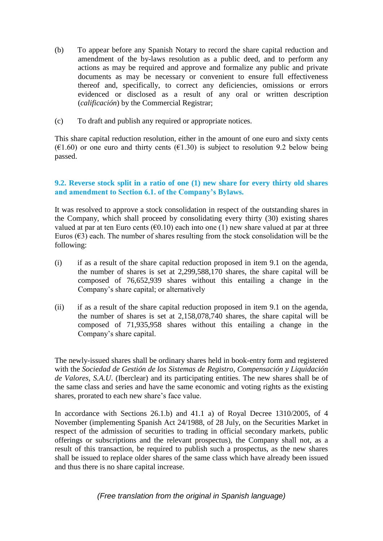- (b) To appear before any Spanish Notary to record the share capital reduction and amendment of the by-laws resolution as a public deed, and to perform any actions as may be required and approve and formalize any public and private documents as may be necessary or convenient to ensure full effectiveness thereof and, specifically, to correct any deficiencies, omissions or errors evidenced or disclosed as a result of any oral or written description (*calificación*) by the Commercial Registrar;
- (c) To draft and publish any required or appropriate notices.

This share capital reduction resolution, either in the amount of one euro and sixty cents  $(\text{\textsterling}1.60)$  or one euro and thirty cents  $(\text{\textsterling}1.30)$  is subject to resolution 9.2 below being passed.

## **9.2. Reverse stock split in a ratio of one (1) new share for every thirty old shares and amendment to Section 6.1. of the Company's Bylaws.**

It was resolved to approve a stock consolidation in respect of the outstanding shares in the Company, which shall proceed by consolidating every thirty (30) existing shares valued at par at ten Euro cents ( $\epsilon$ 0.10) each into one (1) new share valued at par at three Euros  $(63)$  each. The number of shares resulting from the stock consolidation will be the following:

- (i) if as a result of the share capital reduction proposed in item 9.1 on the agenda, the number of shares is set at 2,299,588,170 shares, the share capital will be composed of 76,652,939 shares without this entailing a change in the Company's share capital; or alternatively
- (ii) if as a result of the share capital reduction proposed in item 9.1 on the agenda, the number of shares is set at 2,158,078,740 shares, the share capital will be composed of 71,935,958 shares without this entailing a change in the Company's share capital.

The newly-issued shares shall be ordinary shares held in book-entry form and registered with the *Sociedad de Gestión de los Sistemas de Registro, Compensación y Liquidación de Valores, S.A.U*. (Iberclear) and its participating entities. The new shares shall be of the same class and series and have the same economic and voting rights as the existing shares, prorated to each new share's face value.

In accordance with Sections 26.1.b) and 41.1 a) of Royal Decree 1310/2005, of 4 November (implementing Spanish Act 24/1988, of 28 July, on the Securities Market in respect of the admission of securities to trading in official secondary markets, public offerings or subscriptions and the relevant prospectus), the Company shall not, as a result of this transaction, be required to publish such a prospectus, as the new shares shall be issued to replace older shares of the same class which have already been issued and thus there is no share capital increase.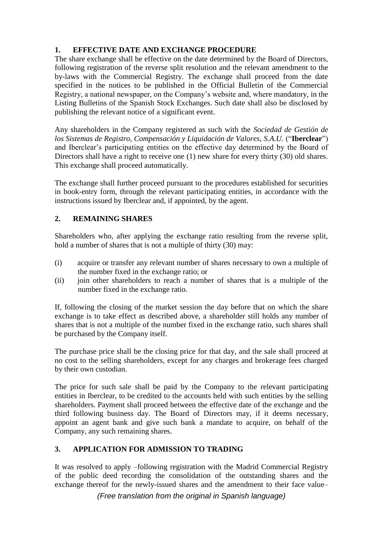# **1. EFFECTIVE DATE AND EXCHANGE PROCEDURE**

The share exchange shall be effective on the date determined by the Board of Directors, following registration of the reverse split resolution and the relevant amendment to the by-laws with the Commercial Registry. The exchange shall proceed from the date specified in the notices to be published in the Official Bulletin of the Commercial Registry, a national newspaper, on the Company's website and, where mandatory, in the Listing Bulletins of the Spanish Stock Exchanges. Such date shall also be disclosed by publishing the relevant notice of a significant event.

Any shareholders in the Company registered as such with the *Sociedad de Gestión de los Sistemas de Registro, Compensación y Liquidación de Valores, S.A.U.* ("**Iberclear**") and Iberclear's participating entities on the effective day determined by the Board of Directors shall have a right to receive one (1) new share for every thirty (30) old shares. This exchange shall proceed automatically.

The exchange shall further proceed pursuant to the procedures established for securities in book-entry form, through the relevant participating entities, in accordance with the instructions issued by Iberclear and, if appointed, by the agent.

# **2. REMAINING SHARES**

Shareholders who, after applying the exchange ratio resulting from the reverse split, hold a number of shares that is not a multiple of thirty (30) may:

- (i) acquire or transfer any relevant number of shares necessary to own a multiple of the number fixed in the exchange ratio; or
- (ii) join other shareholders to reach a number of shares that is a multiple of the number fixed in the exchange ratio.

If, following the closing of the market session the day before that on which the share exchange is to take effect as described above, a shareholder still holds any number of shares that is not a multiple of the number fixed in the exchange ratio, such shares shall be purchased by the Company itself.

The purchase price shall be the closing price for that day, and the sale shall proceed at no cost to the selling shareholders, except for any charges and brokerage fees charged by their own custodian.

The price for such sale shall be paid by the Company to the relevant participating entities in Iberclear, to be credited to the accounts held with such entities by the selling shareholders. Payment shall proceed between the effective date of the exchange and the third following business day. The Board of Directors may, if it deems necessary, appoint an agent bank and give such bank a mandate to acquire, on behalf of the Company, any such remaining shares.

# **3. APPLICATION FOR ADMISSION TO TRADING**

It was resolved to apply –following registration with the Madrid Commercial Registry of the public deed recording the consolidation of the outstanding shares and the exchange thereof for the newly-issued shares and the amendment to their face value–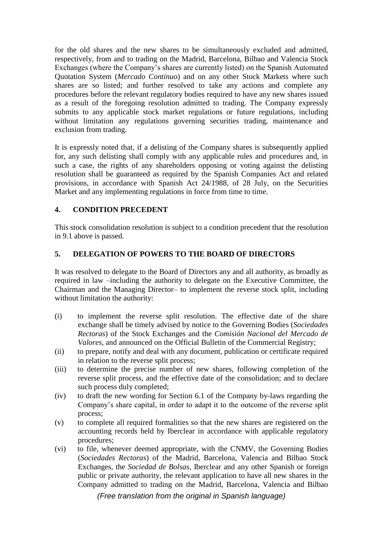for the old shares and the new shares to be simultaneously excluded and admitted, respectively, from and to trading on the Madrid, Barcelona, Bilbao and Valencia Stock Exchanges (where the Company's shares are currently listed) on the Spanish Automated Quotation System (*Mercado Continuo*) and on any other Stock Markets where such shares are so listed; and further resolved to take any actions and complete any procedures before the relevant regulatory bodies required to have any new shares issued as a result of the foregoing resolution admitted to trading. The Company expressly submits to any applicable stock market regulations or future regulations, including without limitation any regulations governing securities trading, maintenance and exclusion from trading.

It is expressly noted that, if a delisting of the Company shares is subsequently applied for, any such delisting shall comply with any applicable rules and procedures and, in such a case, the rights of any shareholders opposing or voting against the delisting resolution shall be guaranteed as required by the Spanish Companies Act and related provisions, in accordance with Spanish Act 24/1988, of 28 July, on the Securities Market and any implementing regulations in force from time to time.

# **4. CONDITION PRECEDENT**

This stock consolidation resolution is subject to a condition precedent that the resolution in 9.1 above is passed.

# **5. DELEGATION OF POWERS TO THE BOARD OF DIRECTORS**

It was resolved to delegate to the Board of Directors any and all authority, as broadly as required in law –including the authority to delegate on the Executive Committee, the Chairman and the Managing Director– to implement the reverse stock split, including without limitation the authority:

- (i) to implement the reverse split resolution. The effective date of the share exchange shall be timely advised by notice to the Governing Bodies (*Sociedades Rectoras*) of the Stock Exchanges and the *Comisión Nacional del Mercado de Valores*, and announced on the Official Bulletin of the Commercial Registry;
- (ii) to prepare, notify and deal with any document, publication or certificate required in relation to the reverse split process;
- (iii) to determine the precise number of new shares, following completion of the reverse split process, and the effective date of the consolidation; and to declare such process duly completed;
- (iv) to draft the new wording for Section 6.1 of the Company by-laws regarding the Company's share capital, in order to adapt it to the outcome of the reverse split process;
- (v) to complete all required formalities so that the new shares are registered on the accounting records held by Iberclear in accordance with applicable regulatory procedures;
- (vi) to file, whenever deemed appropriate, with the CNMV, the Governing Bodies (*Sociedades Rectoras*) of the Madrid, Barcelona, Valencia and Bilbao Stock Exchanges, the *Sociedad de Bolsas*, Iberclear and any other Spanish or foreign public or private authority, the relevant application to have all new shares in the Company admitted to trading on the Madrid, Barcelona, Valencia and Bilbao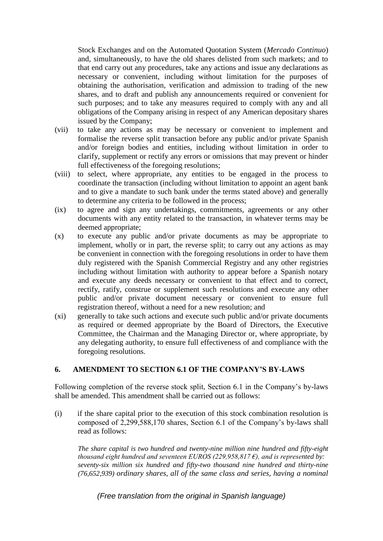Stock Exchanges and on the Automated Quotation System (*Mercado Continuo*) and, simultaneously, to have the old shares delisted from such markets; and to that end carry out any procedures, take any actions and issue any declarations as necessary or convenient, including without limitation for the purposes of obtaining the authorisation, verification and admission to trading of the new shares, and to draft and publish any announcements required or convenient for such purposes; and to take any measures required to comply with any and all obligations of the Company arising in respect of any American depositary shares issued by the Company;

- (vii) to take any actions as may be necessary or convenient to implement and formalise the reverse split transaction before any public and/or private Spanish and/or foreign bodies and entities, including without limitation in order to clarify, supplement or rectify any errors or omissions that may prevent or hinder full effectiveness of the foregoing resolutions;
- (viii) to select, where appropriate, any entities to be engaged in the process to coordinate the transaction (including without limitation to appoint an agent bank and to give a mandate to such bank under the terms stated above) and generally to determine any criteria to be followed in the process;
- (ix) to agree and sign any undertakings, commitments, agreements or any other documents with any entity related to the transaction, in whatever terms may be deemed appropriate;
- (x) to execute any public and/or private documents as may be appropriate to implement, wholly or in part, the reverse split; to carry out any actions as may be convenient in connection with the foregoing resolutions in order to have them duly registered with the Spanish Commercial Registry and any other registries including without limitation with authority to appear before a Spanish notary and execute any deeds necessary or convenient to that effect and to correct, rectify, ratify, construe or supplement such resolutions and execute any other public and/or private document necessary or convenient to ensure full registration thereof, without a need for a new resolution; and
- (xi) generally to take such actions and execute such public and/or private documents as required or deemed appropriate by the Board of Directors, the Executive Committee, the Chairman and the Managing Director or, where appropriate, by any delegating authority, to ensure full effectiveness of and compliance with the foregoing resolutions.

## **6. AMENDMENT TO SECTION 6.1 OF THE COMPANY'S BY-LAWS**

Following completion of the reverse stock split, Section 6.1 in the Company's by-laws shall be amended. This amendment shall be carried out as follows:

(i) if the share capital prior to the execution of this stock combination resolution is composed of 2,299,588,170 shares, Section 6.1 of the Company's by-laws shall read as follows:

*The share capital is two hundred and twenty-nine million nine hundred and fifty-eight thousand eight hundred and seventeen EUROS (229,958,817 €), and is represented by: seventy-six million six hundred and fifty-two thousand nine hundred and thirty-nine (76,652,939) ordinary shares, all of the same class and series, having a nominal*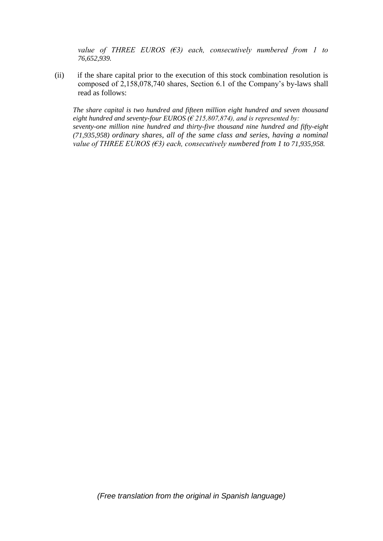*value of THREE EUROS (€3) each, consecutively numbered from 1 to 76,652,939.*

(ii) if the share capital prior to the execution of this stock combination resolution is composed of 2,158,078,740 shares, Section 6.1 of the Company's by-laws shall read as follows:

*The share capital is two hundred and fifteen million eight hundred and seven thousand eight hundred and seventy-four EUROS (€ 215,807,874), and is represented by: seventy-one million nine hundred and thirty-five thousand nine hundred and fifty-eight (71,935,958) ordinary shares, all of the same class and series, having a nominal value of THREE EUROS (€3) each, consecutively numbered from 1 to 71,935,958.*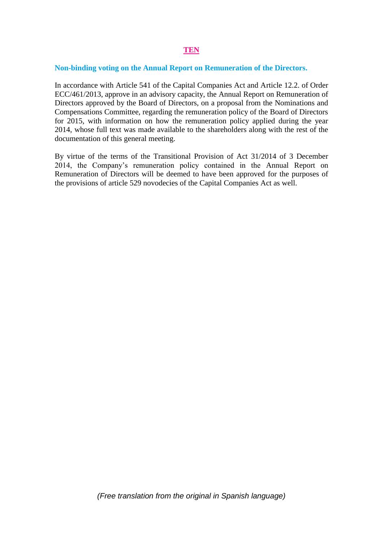### **Non-binding voting on the Annual Report on [Remuneration of the Directors.](http://www.prisa.com/uploads/ficheros/arboles/descargas/201403/descargas-remuneration-policy-report-en.pdf)**

In accordance with Article 541 of the Capital Companies Act and Article 12.2. of Order ECC/461/2013, approve in an advisory capacity, the Annual Report on Remuneration of Directors approved by the Board of Directors, on a proposal from the Nominations and Compensations Committee, regarding the remuneration policy of the Board of Directors for 2015, with information on how the remuneration policy applied during the year 2014, whose full text was made available to the shareholders along with the rest of the documentation of this general meeting.

By virtue of the terms of the Transitional Provision of Act 31/2014 of 3 December 2014, the Company's remuneration policy contained in the Annual Report on Remuneration of Directors will be deemed to have been approved for the purposes of the provisions of article 529 novodecies of the Capital Companies Act as well.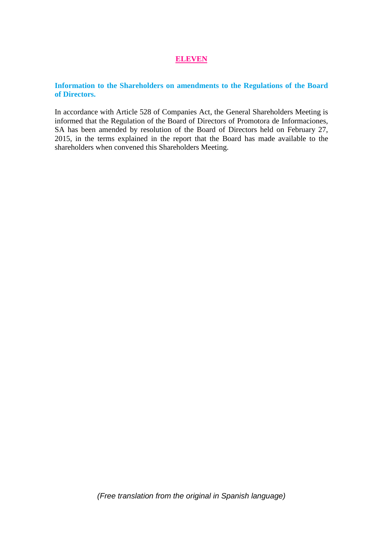### **ELEVEN**

## **Information to the Shareholders on amendments to the Regulations of the Board of Directors.**

In accordance with Article 528 of Companies Act, the General Shareholders Meeting is informed that the Regulation of the Board of Directors of Promotora de Informaciones, SA has been amended by resolution of the Board of Directors held on February 27, 2015, in the terms explained in the report that the Board has made available to the shareholders when convened this Shareholders Meeting.